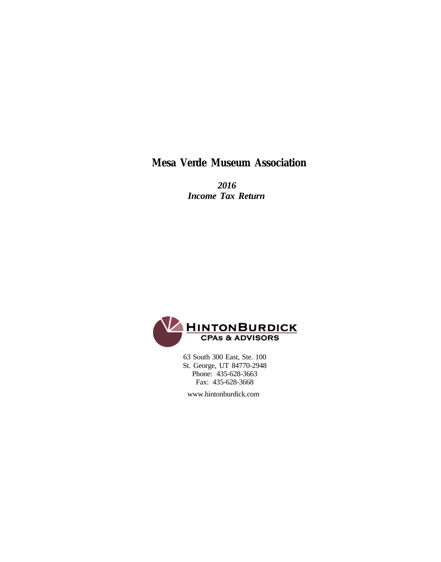**Mesa Verde Museum Association**

 *2016 Income Tax Return*



 63 South 300 East, Ste. 100 St. George, UT 84770-2948 Phone: 435-628-3663 Fax: 435-628-3668

www.hintonburdick.com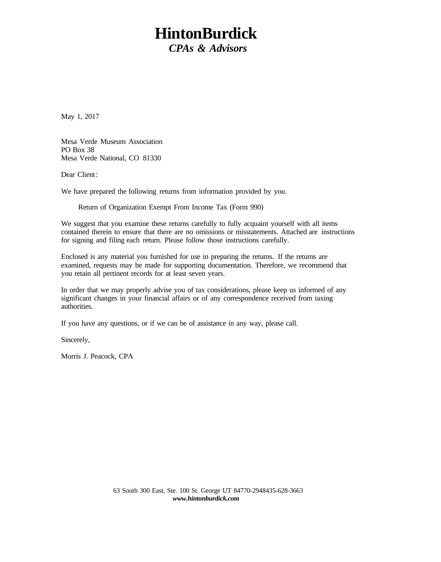# **HintonBurdick** *CPAs & Advisors*

May 1, 2017

Mesa Verde Museum Association PO Box 38 Mesa Verde National, CO 81330

Dear Client:

We have prepared the following returns from information provided by you.

Return of Organization Exempt From Income Tax (Form 990)

We suggest that you examine these returns carefully to fully acquaint yourself with all items contained therein to ensure that there are no omissions or misstatements. Attached are instructions for signing and filing each return. Please follow those instructions carefully.

Enclosed is any material you furnished for use in preparing the returns. If the returns are examined, requests may be made for supporting documentation. Therefore, we recommend that you retain all pertinent records for at least seven years.

In order that we may properly advise you of tax considerations, please keep us informed of any significant changes in your financial affairs or of any correspondence received from taxing authorities.

If you have any questions, or if we can be of assistance in any way, please call.

Sincerely,

Morris J. Peacock, CPA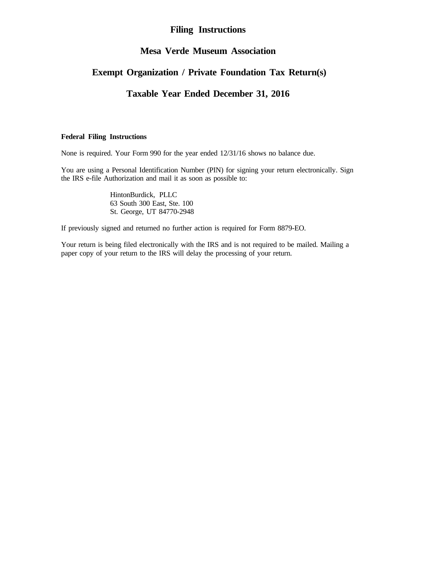#### **Filing Instructions**

### **Mesa Verde Museum Association**

## **Exempt Organization / Private Foundation Tax Return(s)**

## **Taxable Year Ended December 31, 2016**

#### **Federal Filing Instructions**

None is required. Your Form 990 for the year ended 12/31/16 shows no balance due.

You are using a Personal Identification Number (PIN) for signing your return electronically. Sign the IRS e-file Authorization and mail it as soon as possible to:

> HintonBurdick, PLLC 63 South 300 East, Ste. 100 St. George, UT 84770-2948

If previously signed and returned no further action is required for Form 8879-EO.

Your return is being filed electronically with the IRS and is not required to be mailed. Mailing a paper copy of your return to the IRS will delay the processing of your return.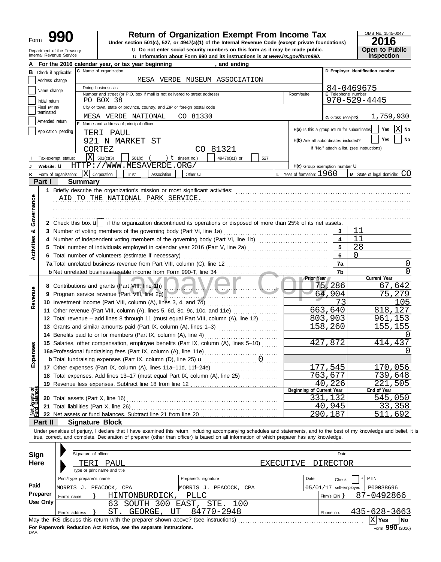| Form | 90                                                     |
|------|--------------------------------------------------------|
|      | Department of the Treasury<br>Internal Revenue Service |

# **990 a Return of Organization Exempt From Income Tax 2016**<br> **Particular Solution 501(c), 527, or 4947(a)(1) of the Internal Revenue Code (except private foundations) <b>2016**

**u** Do not enter social security numbers on this form as it may be made public.

**u** Information about Form 990 and its instructions is at *www.irs.gov/form990.* 

OMB No. 1545-0047 **Open to Public<br>Inspection** 

|                                |                                 |                       | For the 2016 calendar year, or tax year beginning                                                                                                                          | and ending             |                                              |                          |                                            |
|--------------------------------|---------------------------------|-----------------------|----------------------------------------------------------------------------------------------------------------------------------------------------------------------------|------------------------|----------------------------------------------|--------------------------|--------------------------------------------|
| в                              | Check if applicable:            |                       | C Name of organization                                                                                                                                                     |                        |                                              |                          | D Employer identification number           |
|                                | Address change                  |                       | MESA VERDE MUSEUM ASSOCIATION                                                                                                                                              |                        |                                              |                          |                                            |
|                                | Name change                     |                       | Doing business as                                                                                                                                                          |                        |                                              |                          | 84-0469675                                 |
|                                |                                 |                       | Number and street (or P.O. box if mail is not delivered to street address)                                                                                                 |                        | Room/suite                                   | E Telephone number       |                                            |
|                                | Initial return<br>Final return/ |                       | PO BOX 38<br>City or town, state or province, country, and ZIP or foreign postal code                                                                                      |                        |                                              |                          | $970 - 529 - 4445$                         |
|                                | terminated                      |                       |                                                                                                                                                                            |                        |                                              |                          |                                            |
|                                | Amended return                  |                       | CO 81330<br>MESA VERDE NATIONAL<br>F Name and address of principal officer:                                                                                                |                        |                                              | G Gross receipts\$       | 1,759,930                                  |
|                                |                                 | Application pending   |                                                                                                                                                                            |                        | H(a) Is this a group return for subordinates |                          | Х<br>Yes<br>No                             |
|                                |                                 |                       | TERI PAUL                                                                                                                                                                  |                        | H(b) Are all subordinates included?          |                          | Yes<br>No                                  |
|                                |                                 |                       | 921 N MARKET ST                                                                                                                                                            |                        |                                              |                          | If "No," attach a list. (see instructions) |
|                                |                                 |                       | CORTEZ                                                                                                                                                                     | CO 81321               |                                              |                          |                                            |
|                                |                                 | Tax-exempt status:    | Χ<br>501(c)(3)<br>501(c)<br>) $t$ (insert no.)                                                                                                                             | 4947(a)(1) or<br>527   |                                              |                          |                                            |
|                                | Website: U                      |                       | HTTP://WWW.MESAVERDE.ORG/                                                                                                                                                  |                        | H(c) Group exemption number U                |                          |                                            |
| κ                              |                                 | Form of organization: | X<br>Corporation<br>Trust<br>Association<br>Other <b>u</b>                                                                                                                 |                        | <b>L</b> Year of formation: $1960$           |                          | <b>M</b> State of legal domicile: $CO$     |
|                                | Part I                          |                       | <b>Summary</b>                                                                                                                                                             |                        |                                              |                          |                                            |
|                                |                                 |                       | 1 Briefly describe the organization's mission or most significant activities:                                                                                              |                        |                                              |                          |                                            |
|                                |                                 |                       | AID TO THE NATIONAL PARK SERVICE.                                                                                                                                          |                        |                                              |                          |                                            |
|                                |                                 |                       |                                                                                                                                                                            |                        |                                              |                          |                                            |
| Governance                     |                                 |                       |                                                                                                                                                                            |                        |                                              |                          |                                            |
|                                |                                 |                       | 2 Check this box $\mathbf{u}$ if the organization discontinued its operations or disposed of more than 25% of its net assets.                                              |                        |                                              |                          |                                            |
| ೲ                              |                                 |                       | 3 Number of voting members of the governing body (Part VI, line 1a)                                                                                                        |                        |                                              | 3                        | 11                                         |
|                                | 4                               |                       | Number of independent voting members of the governing body (Part VI, line 1b) [10] [10] [10] [10] [10] [10] [1                                                             |                        |                                              | $\blacktriangle$         | 11                                         |
| <b>Activities</b>              |                                 |                       | Total number of individuals employed in calendar year 2016 (Part V, line 2a) [11] [20] [11] Total number of individuals employed in calendar year 2016 (Part V, line 2a)   |                        |                                              | 5                        | 28                                         |
|                                |                                 |                       | 6 Total number of volunteers (estimate if necessary)                                                                                                                       |                        |                                              | 6                        | $\Omega$                                   |
|                                |                                 |                       | 7a Total unrelated business revenue from Part VIII, column (C), line 12                                                                                                    |                        |                                              | 7a                       | $\cup$                                     |
|                                |                                 |                       |                                                                                                                                                                            |                        |                                              | 7b                       | <sup>0</sup>                               |
|                                |                                 |                       |                                                                                                                                                                            |                        | <b>Prior Year</b>                            |                          | Current Year                               |
|                                |                                 |                       | 8 Contributions and grants (Part VIII, line 1h)<br>$\overline{\phantom{a}}$                                                                                                |                        |                                              | 75,286                   | 67,642                                     |
| Revenue                        | 9                               |                       | Program service revenue (Part VIII, line 2g)                                                                                                                               |                        |                                              | 64,904                   | 75,279                                     |
|                                |                                 |                       | 10 Investment income (Part VIII, column (A), lines 3, 4, and 7d)                                                                                                           |                        |                                              | 73                       | 105                                        |
|                                |                                 |                       | 11 Other revenue (Part VIII, column (A), lines 5, 6d, 8c, 9c, 10c, and 11e)                                                                                                |                        |                                              | 663,640                  | 818,127                                    |
|                                |                                 |                       | 12 Total revenue - add lines 8 through 11 (must equal Part VIII, column (A), line 12)                                                                                      |                        |                                              | 803,903                  | 961,153                                    |
|                                |                                 |                       | 13 Grants and similar amounts paid (Part IX, column (A), lines 1-3)                                                                                                        |                        |                                              | 158,260                  | 155,155                                    |
|                                |                                 |                       | 14 Benefits paid to or for members (Part IX, column (A), line 4)                                                                                                           |                        |                                              |                          |                                            |
|                                |                                 |                       | 15 Salaries, other compensation, employee benefits (Part IX, column (A), lines 5-10)                                                                                       |                        |                                              | 427,872                  | 414,437                                    |
| xpenses                        |                                 |                       |                                                                                                                                                                            |                        |                                              |                          | $\left( \right)$                           |
| ш                              |                                 |                       | <b>b</b> Total fundraising expenses (Part IX, column (D), line 25) <b>u</b>                                                                                                | .                      |                                              |                          |                                            |
|                                |                                 |                       | 17 Other expenses (Part IX, column (A), lines 11a-11d, 11f-24e)                                                                                                            | .                      |                                              | 545                      | 170,056                                    |
|                                |                                 |                       | 18 Total expenses. Add lines 13-17 (must equal Part IX, column (A), line 25) [                                                                                             |                        | 763                                          | 677                      | 739,648                                    |
|                                |                                 |                       | 19 Revenue less expenses. Subtract line 18 from line 12                                                                                                                    |                        | Beginning of Current Year                    | 40,226                   | 221,505<br>End of Year                     |
| Net Assets or<br>Fund Balances |                                 |                       | 20 Total assets (Part X, line 16)                                                                                                                                          |                        |                                              | 331,132                  | 545,050                                    |
|                                |                                 |                       | 21 Total liabilities (Part X, line 26)                                                                                                                                     |                        |                                              | 40,945                   | 33,358                                     |
|                                |                                 |                       |                                                                                                                                                                            |                        |                                              | 290,187                  | 511<br>692                                 |
|                                | Part II                         |                       | <b>Signature Block</b>                                                                                                                                                     |                        |                                              |                          |                                            |
|                                |                                 |                       | Under penalties of perjury, I declare that I have examined this return, including accompanying schedules and statements, and to the best of my knowledge and belief, it is |                        |                                              |                          |                                            |
|                                |                                 |                       | true, correct, and complete. Declaration of preparer (other than officer) is based on all information of which preparer has any knowledge.                                 |                        |                                              |                          |                                            |
|                                |                                 |                       |                                                                                                                                                                            |                        |                                              |                          |                                            |
| <b>Sign</b>                    |                                 |                       | Signature of officer                                                                                                                                                       |                        |                                              | Date                     |                                            |
| Here                           |                                 |                       | PAUL<br>LEB L                                                                                                                                                              |                        | EXECUTIVE                                    | DIRECTOR                 |                                            |
|                                |                                 |                       | Type or print name and title                                                                                                                                               |                        |                                              |                          |                                            |
|                                |                                 |                       | Print/Type preparer's name<br>Preparer's signature                                                                                                                         |                        | Date                                         | Check                    | PTIN<br>if                                 |
| Paid                           |                                 |                       |                                                                                                                                                                            |                        |                                              |                          |                                            |
|                                | Preparer                        |                       | MORRIS J. PEACOCK, CPA<br><b>PLLC</b>                                                                                                                                      | MORRIS J. PEACOCK, CPA |                                              | $05/01/17$ self-employed | P00038696<br>87-0492866                    |
|                                | <b>Use Only</b>                 | Firm's name           | HINTONBURDICK,                                                                                                                                                             |                        |                                              | Firm's $EIN$ }           |                                            |
|                                |                                 |                       | SOUTH 300 EAST, STE. 100<br>63<br>GEORGE,                                                                                                                                  | 84770-2948             |                                              |                          | 435-628-3663                               |
|                                |                                 | Firm's address        | ST.<br>UT                                                                                                                                                                  |                        |                                              | Phone no.                |                                            |
|                                |                                 |                       | May the IRS discuss this return with the preparer shown above? (see instructions)                                                                                          |                        |                                              |                          | $X$ Yes<br><b>No</b>                       |

**For Paperwork Reduction Act Notice, see the separate instructions.**<br>DAA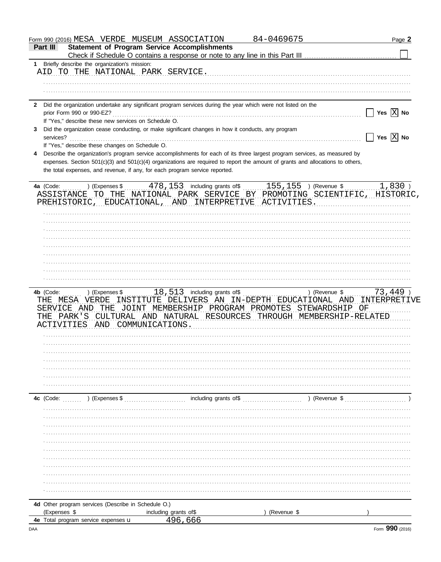|              |                                                      | Form 990 (2016) MESA VERDE MUSEUM ASSOCIATION                                                                                  | 84-0469675  | Page 2                             |
|--------------|------------------------------------------------------|--------------------------------------------------------------------------------------------------------------------------------|-------------|------------------------------------|
| Part III     |                                                      | <b>Statement of Program Service Accomplishments</b>                                                                            |             |                                    |
|              |                                                      |                                                                                                                                |             |                                    |
| 1.           | Briefly describe the organization's mission:         |                                                                                                                                |             |                                    |
|              | AID TO THE NATIONAL PARK SERVICE.                    |                                                                                                                                |             |                                    |
|              |                                                      |                                                                                                                                |             |                                    |
|              |                                                      |                                                                                                                                |             |                                    |
|              |                                                      |                                                                                                                                |             |                                    |
| $\mathbf{2}$ |                                                      | Did the organization undertake any significant program services during the year which were not listed on the                   |             |                                    |
|              |                                                      |                                                                                                                                |             | Yes $ X $ No<br>$\mathbf{L}$       |
|              | If "Yes," describe these new services on Schedule O. |                                                                                                                                |             |                                    |
| 3            |                                                      | Did the organization cease conducting, or make significant changes in how it conducts, any program                             |             |                                    |
| services?    |                                                      |                                                                                                                                |             | $\Box$ Yes $\boxed{\mathrm{X}}$ No |
|              | If "Yes," describe these changes on Schedule O.      |                                                                                                                                |             |                                    |
| 4            |                                                      | Describe the organization's program service accomplishments for each of its three largest program services, as measured by     |             |                                    |
|              |                                                      | expenses. Section 501(c)(3) and 501(c)(4) organizations are required to report the amount of grants and allocations to others, |             |                                    |
|              |                                                      | the total expenses, and revenue, if any, for each program service reported.                                                    |             |                                    |
|              |                                                      |                                                                                                                                |             |                                    |
|              |                                                      | 4a (Code:  ) (Expenses \$  478, 153 including grants of \$  155, 155 ) (Revenue \$                                             |             | $1,830$ )                          |
|              |                                                      | ASSISTANCE TO THE NATIONAL PARK SERVICE BY PROMOTING SCIENTIFIC, HISTORIC,                                                     |             |                                    |
|              |                                                      | PREHISTORIC, EDUCATIONAL, AND INTERPRETIVE ACTIVITIES.                                                                         |             |                                    |
|              |                                                      |                                                                                                                                |             |                                    |
|              |                                                      |                                                                                                                                |             |                                    |
|              |                                                      |                                                                                                                                |             |                                    |
|              |                                                      |                                                                                                                                |             |                                    |
|              |                                                      |                                                                                                                                |             |                                    |
|              |                                                      |                                                                                                                                |             |                                    |
|              |                                                      |                                                                                                                                |             |                                    |
|              |                                                      |                                                                                                                                |             |                                    |
|              |                                                      |                                                                                                                                |             |                                    |
|              |                                                      |                                                                                                                                |             |                                    |
|              |                                                      |                                                                                                                                |             |                                    |
|              |                                                      |                                                                                                                                |             |                                    |
|              |                                                      | THE MESA VERDE INSTITUTE DELIVERS AN IN-DEPTH EDUCATIONAL AND INTERPRETIVE                                                     |             |                                    |
|              |                                                      | SERVICE AND THE JOINT MEMBERSHIP PROGRAM PROMOTES STEWARDSHIP OF                                                               |             |                                    |
|              |                                                      | THE PARK'S CULTURAL AND NATURAL RESOURCES THROUGH MEMBERSHIP-RELATED                                                           |             |                                    |
|              | ACTIVITIES AND COMMUNICATIONS.                       |                                                                                                                                |             |                                    |
|              |                                                      |                                                                                                                                |             |                                    |
|              |                                                      |                                                                                                                                |             |                                    |
|              |                                                      |                                                                                                                                |             |                                    |
|              |                                                      |                                                                                                                                |             |                                    |
|              |                                                      |                                                                                                                                |             |                                    |
|              |                                                      |                                                                                                                                |             |                                    |
|              |                                                      |                                                                                                                                |             |                                    |
|              |                                                      |                                                                                                                                |             |                                    |
| 4c (Code:    | ) (Expenses \$                                       | including grants of\$                                                                                                          | (Revenue \$ |                                    |
|              |                                                      |                                                                                                                                |             |                                    |
|              |                                                      |                                                                                                                                |             |                                    |
|              |                                                      |                                                                                                                                |             |                                    |
|              |                                                      |                                                                                                                                |             |                                    |
|              |                                                      |                                                                                                                                |             |                                    |
|              |                                                      |                                                                                                                                |             |                                    |
|              |                                                      |                                                                                                                                |             |                                    |
|              |                                                      |                                                                                                                                |             |                                    |
|              |                                                      |                                                                                                                                |             |                                    |
|              |                                                      |                                                                                                                                |             |                                    |
|              |                                                      |                                                                                                                                |             |                                    |
|              |                                                      |                                                                                                                                |             |                                    |
|              |                                                      |                                                                                                                                |             |                                    |
|              |                                                      |                                                                                                                                |             |                                    |
|              | 4d Other program services (Describe in Schedule O.)  |                                                                                                                                |             |                                    |
| (Expenses \$ |                                                      | including grants of\$                                                                                                          | (Revenue \$ |                                    |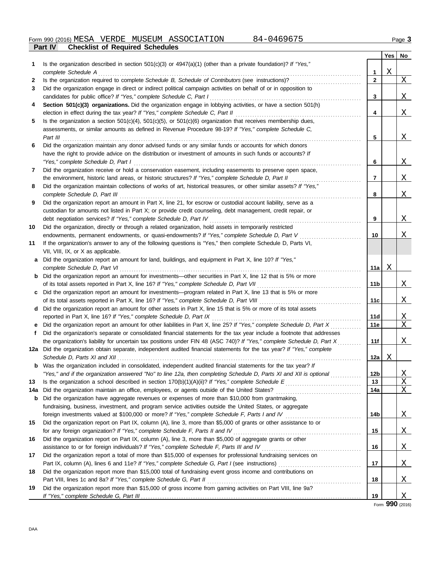|              |                                                                                                                                                                                   |                 | Yes | No       |
|--------------|-----------------------------------------------------------------------------------------------------------------------------------------------------------------------------------|-----------------|-----|----------|
| 1            | Is the organization described in section $501(c)(3)$ or $4947(a)(1)$ (other than a private foundation)? If "Yes,"                                                                 |                 |     |          |
|              | complete Schedule A                                                                                                                                                               | 1               | Χ   |          |
| $\mathbf{z}$ | Is the organization required to complete Schedule B, Schedule of Contributors (see instructions)?                                                                                 | $\mathbf{2}$    |     | Χ        |
| 3            | Did the organization engage in direct or indirect political campaign activities on behalf of or in opposition to                                                                  |                 |     |          |
|              | candidates for public office? If "Yes," complete Schedule C, Part I                                                                                                               | 3               |     | Χ        |
| 4            | Section 501(c)(3) organizations. Did the organization engage in lobbying activities, or have a section 501(h)                                                                     |                 |     |          |
|              |                                                                                                                                                                                   | 4               |     | Χ        |
| 5            | Is the organization a section $501(c)(4)$ , $501(c)(5)$ , or $501(c)(6)$ organization that receives membership dues,                                                              |                 |     |          |
|              | assessments, or similar amounts as defined in Revenue Procedure 98-19? If "Yes," complete Schedule C,                                                                             |                 |     |          |
|              | Part III                                                                                                                                                                          | 5               |     | X        |
| 6            | Did the organization maintain any donor advised funds or any similar funds or accounts for which donors                                                                           |                 |     |          |
|              | have the right to provide advice on the distribution or investment of amounts in such funds or accounts? If                                                                       |                 |     |          |
|              | "Yes," complete Schedule D, Part I                                                                                                                                                | 6               |     | Χ        |
| 7            | Did the organization receive or hold a conservation easement, including easements to preserve open space,                                                                         |                 |     |          |
|              | the environment, historic land areas, or historic structures? If "Yes," complete Schedule D, Part II                                                                              | 7               |     | Χ        |
| 8            | Did the organization maintain collections of works of art, historical treasures, or other similar assets? If "Yes,"                                                               |                 |     |          |
|              | complete Schedule D, Part III                                                                                                                                                     | 8               |     | Χ        |
| 9            | Did the organization report an amount in Part X, line 21, for escrow or custodial account liability, serve as a                                                                   |                 |     |          |
|              | custodian for amounts not listed in Part X; or provide credit counseling, debt management, credit repair, or<br>debt negotiation services? If "Yes," complete Schedule D, Part IV | 9               |     | Χ        |
| 10           | Did the organization, directly or through a related organization, hold assets in temporarily restricted                                                                           |                 |     |          |
|              | endowments, permanent endowments, or quasi-endowments? If "Yes," complete Schedule D, Part V                                                                                      | 10              |     | Χ        |
| 11           | If the organization's answer to any of the following questions is "Yes," then complete Schedule D, Parts VI,                                                                      |                 |     |          |
|              | VII, VIII, IX, or X as applicable.                                                                                                                                                |                 |     |          |
| a            | Did the organization report an amount for land, buildings, and equipment in Part X, line 10? If "Yes,"                                                                            |                 |     |          |
|              | complete Schedule D, Part VI                                                                                                                                                      | 11a             | Χ   |          |
| b            | Did the organization report an amount for investments—other securities in Part X, line 12 that is 5% or more                                                                      |                 |     |          |
|              |                                                                                                                                                                                   | 11b             |     | Χ        |
| c            | Did the organization report an amount for investments-program related in Part X, line 13 that is 5% or more                                                                       |                 |     |          |
|              |                                                                                                                                                                                   | 11c             |     | Χ        |
| d            | Did the organization report an amount for other assets in Part X, line 15 that is 5% or more of its total assets                                                                  |                 |     |          |
|              | reported in Part X, line 16? If "Yes," complete Schedule D, Part IX                                                                                                               | 11d             |     | Χ        |
|              | Did the organization report an amount for other liabilities in Part X, line 25? If "Yes," complete Schedule D, Part X                                                             | 11e             |     | X        |
| f.           | Did the organization's separate or consolidated financial statements for the tax year include a footnote that addresses                                                           |                 |     |          |
|              | the organization's liability for uncertain tax positions under FIN 48 (ASC 740)? If "Yes," complete Schedule D, Part X                                                            | 11f             |     | Χ        |
|              | 12a Did the organization obtain separate, independent audited financial statements for the tax year? If "Yes," complete                                                           |                 |     |          |
|              |                                                                                                                                                                                   | 12a             | Χ   |          |
|              | <b>b</b> Was the organization included in consolidated, independent audited financial statements for the tax year? If                                                             |                 |     |          |
|              | "Yes," and if the organization answered "No" to line 12a, then completing Schedule D, Parts XI and XII is optional                                                                | 12 <sub>b</sub> |     | <u>х</u> |
| 13           |                                                                                                                                                                                   | 13              |     | Χ        |
| 14а          | Did the organization maintain an office, employees, or agents outside of the United States?                                                                                       | 14a             |     | Χ        |
| b            | Did the organization have aggregate revenues or expenses of more than \$10,000 from grantmaking,                                                                                  |                 |     |          |
|              | fundraising, business, investment, and program service activities outside the United States, or aggregate                                                                         |                 |     |          |
|              | foreign investments valued at \$100,000 or more? If "Yes," complete Schedule F, Parts I and IV                                                                                    | 14b             |     | <u>X</u> |
| 15           | Did the organization report on Part IX, column (A), line 3, more than \$5,000 of grants or other assistance to or                                                                 |                 |     |          |
|              | for any foreign organization? If "Yes," complete Schedule F, Parts II and IV                                                                                                      | 15              |     | Χ        |
| 16           | Did the organization report on Part IX, column (A), line 3, more than \$5,000 of aggregate grants or other                                                                        |                 |     |          |
|              |                                                                                                                                                                                   | 16              |     | Χ        |
| 17           | Did the organization report a total of more than \$15,000 of expenses for professional fundraising services on                                                                    |                 |     |          |
|              |                                                                                                                                                                                   | 17              |     | Χ        |
| 18           | Did the organization report more than \$15,000 total of fundraising event gross income and contributions on                                                                       |                 |     |          |
| 19           | Part VIII, lines 1c and 8a? If "Yes," complete Schedule G, Part II                                                                                                                | 18              |     | Χ        |
|              | Did the organization report more than \$15,000 of gross income from gaming activities on Part VIII, line 9a?                                                                      | 19              |     | <u>X</u> |
|              |                                                                                                                                                                                   |                 |     |          |

Form **990** (2016)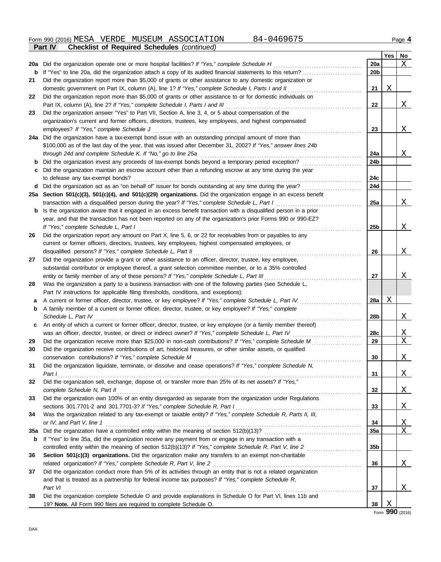Form 990 (2016) Page **4 Part IV Checklist of Required Schedules** *(continued)* MESA VERDE MUSEUM ASSOCIATION 84-0469675

|            |                                                                                                                  |                 | Yes | No       |
|------------|------------------------------------------------------------------------------------------------------------------|-----------------|-----|----------|
| <b>20a</b> | Did the organization operate one or more hospital facilities? If "Yes," complete Schedule H                      | 20a             |     | Χ        |
| b          | If "Yes" to line 20a, did the organization attach a copy of its audited financial statements to this return?     | 20 <sub>b</sub> |     |          |
| 21         | Did the organization report more than \$5,000 of grants or other assistance to any domestic organization or      |                 |     |          |
|            | domestic government on Part IX, column (A), line 1? If "Yes," complete Schedule I, Parts I and II                | 21              | Χ   |          |
| 22         | Did the organization report more than \$5,000 of grants or other assistance to or for domestic individuals on    |                 |     |          |
|            | Part IX, column (A), line 2? If "Yes," complete Schedule I, Parts I and III                                      | 22              |     | Χ        |
| 23         | Did the organization answer "Yes" to Part VII, Section A, line 3, 4, or 5 about compensation of the              |                 |     |          |
|            | organization's current and former officers, directors, trustees, key employees, and highest compensated          |                 |     |          |
|            | employees? If "Yes," complete Schedule J                                                                         | 23              |     | Χ        |
|            | 24a Did the organization have a tax-exempt bond issue with an outstanding principal amount of more than          |                 |     |          |
|            | \$100,000 as of the last day of the year, that was issued after December 31, 2002? If "Yes," answer lines 24b    |                 |     |          |
|            | through 24d and complete Schedule K. If "No," go to line 25a                                                     | 24a             |     | Χ        |
| b          | Did the organization invest any proceeds of tax-exempt bonds beyond a temporary period exception?                | 24b             |     |          |
|            | Did the organization maintain an escrow account other than a refunding escrow at any time during the year        |                 |     |          |
|            | to defease any tax-exempt bonds?                                                                                 | 24c             |     |          |
| d          | Did the organization act as an "on behalf of" issuer for bonds outstanding at any time during the year?          | 24d             |     |          |
|            | 25a Section 501(c)(3), 501(c)(4), and 501(c)(29) organizations. Did the organization engage in an excess benefit |                 |     |          |
|            | transaction with a disqualified person during the year? If "Yes," complete Schedule L, Part I                    | 25a             |     | Χ        |
| b          | Is the organization aware that it engaged in an excess benefit transaction with a disqualified person in a prior |                 |     |          |
|            | year, and that the transaction has not been reported on any of the organization's prior Forms 990 or 990-EZ?     |                 |     |          |
|            | If "Yes," complete Schedule L, Part I                                                                            | 25b             |     | Χ        |
| 26         | Did the organization report any amount on Part X, line 5, 6, or 22 for receivables from or payables to any       |                 |     |          |
|            | current or former officers, directors, trustees, key employees, highest compensated employees, or                |                 |     |          |
|            | disqualified persons? If "Yes," complete Schedule L, Part II                                                     | 26              |     | Χ        |
| 27         | Did the organization provide a grant or other assistance to an officer, director, trustee, key employee,         |                 |     |          |
|            | substantial contributor or employee thereof, a grant selection committee member, or to a 35% controlled          |                 |     |          |
|            | entity or family member of any of these persons? If "Yes," complete Schedule L, Part III                         | 27              |     | Χ        |
| 28         | Was the organization a party to a business transaction with one of the following parties (see Schedule L,        |                 |     |          |
|            | Part IV instructions for applicable filing thresholds, conditions, and exceptions):                              |                 |     |          |
| а          | A current or former officer, director, trustee, or key employee? If "Yes," complete Schedule L, Part IV          | <b>28a</b>      | Χ   |          |
| b          | A family member of a current or former officer, director, trustee, or key employee? If "Yes," complete           |                 |     |          |
|            | Schedule L, Part IV                                                                                              | 28b             |     | <u>X</u> |
| c          | An entity of which a current or former officer, director, trustee, or key employee (or a family member thereof)  |                 |     |          |
|            | was an officer, director, trustee, or direct or indirect owner? If "Yes," complete Schedule L, Part IV           | 28c             |     | <u>X</u> |
| 29         | Did the organization receive more than \$25,000 in non-cash contributions? If "Yes," complete Schedule M         | 29              |     | Χ        |
| 30         | Did the organization receive contributions of art, historical treasures, or other similar assets, or qualified   |                 |     |          |
|            | conservation contributions? If "Yes," complete Schedule M                                                        | 30              |     | X        |
| 31         | Did the organization liquidate, terminate, or dissolve and cease operations? If "Yes," complete Schedule N,      |                 |     |          |
|            | Part I                                                                                                           | 31              |     | Χ        |
| 32         | Did the organization sell, exchange, dispose of, or transfer more than 25% of its net assets? If "Yes,"          |                 |     |          |
|            | complete Schedule N, Part II                                                                                     | 32              |     | Χ        |
| 33         | Did the organization own 100% of an entity disregarded as separate from the organization under Regulations       |                 |     |          |
|            | sections 301.7701-2 and 301.7701-3? If "Yes," complete Schedule R, Part I                                        | 33              |     | Χ        |
| 34         | Was the organization related to any tax-exempt or taxable entity? If "Yes," complete Schedule R, Parts II, III,  |                 |     |          |
|            | or IV, and Part V, line 1                                                                                        | 34              |     | X        |
| 35a        |                                                                                                                  | 35a             |     | Χ        |
| b          | If "Yes" to line 35a, did the organization receive any payment from or engage in any transaction with a          |                 |     |          |
|            |                                                                                                                  | 35 <sub>b</sub> |     |          |
| 36         | Section 501(c)(3) organizations. Did the organization make any transfers to an exempt non-charitable             |                 |     |          |
|            | related organization? If "Yes," complete Schedule R, Part V, line 2                                              | 36              |     | Χ        |
| 37         | Did the organization conduct more than 5% of its activities through an entity that is not a related organization |                 |     |          |
|            | and that is treated as a partnership for federal income tax purposes? If "Yes," complete Schedule R,             |                 |     |          |
|            | Part VI                                                                                                          | 37              |     | Χ        |
| 38         | Did the organization complete Schedule O and provide explanations in Schedule O for Part VI, lines 11b and       |                 |     |          |
|            | 19? Note. All Form 990 filers are required to complete Schedule O.                                               | 38              | Χ   |          |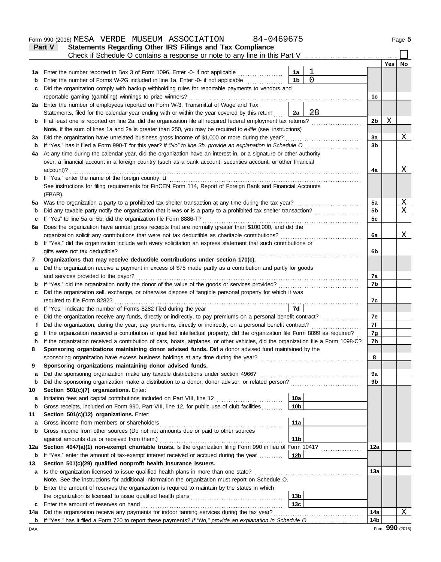|     | 84-0469675<br>Form 990 (2016) MESA VERDE MUSEUM ASSOCIATION                                                                                                                                                           |          |                |     | Page 5       |
|-----|-----------------------------------------------------------------------------------------------------------------------------------------------------------------------------------------------------------------------|----------|----------------|-----|--------------|
|     | Statements Regarding Other IRS Filings and Tax Compliance<br><b>Part V</b>                                                                                                                                            |          |                |     |              |
|     | Check if Schedule O contains a response or note to any line in this Part V                                                                                                                                            |          |                |     |              |
|     |                                                                                                                                                                                                                       |          |                | Yes | No           |
| 1a  | Enter the number reported in Box 3 of Form 1096. Enter -0- if not applicable<br>1a                                                                                                                                    |          |                |     |              |
| b   | 1 <sub>b</sub><br>Enter the number of Forms W-2G included in line 1a. Enter -0- if not applicable                                                                                                                     | $\Omega$ |                |     |              |
| c   | Did the organization comply with backup withholding rules for reportable payments to vendors and                                                                                                                      |          |                |     |              |
|     | reportable gaming (gambling) winnings to prize winners?                                                                                                                                                               |          | 1 <sub>c</sub> |     |              |
|     | 2a Enter the number of employees reported on Form W-3, Transmittal of Wage and Tax                                                                                                                                    | 28       |                |     |              |
|     | Statements, filed for the calendar year ending with or within the year covered by this return<br>2a<br>If at least one is reported on line 2a, did the organization file all required federal employment tax returns? |          | 2 <sub>b</sub> | Χ   |              |
| b   | Note. If the sum of lines 1a and 2a is greater than 250, you may be required to e-file (see instructions)                                                                                                             |          |                |     |              |
| За  | Did the organization have unrelated business gross income of \$1,000 or more during the year?                                                                                                                         |          | 3a             |     | Χ            |
| b   | If "Yes," has it filed a Form 990-T for this year? If "No" to line 3b, provide an explanation in Schedule O                                                                                                           |          | 3b             |     |              |
| 4a  | At any time during the calendar year, did the organization have an interest in, or a signature or other authority                                                                                                     |          |                |     |              |
|     | over, a financial account in a foreign country (such as a bank account, securities account, or other financial                                                                                                        |          |                |     |              |
|     | account)?                                                                                                                                                                                                             |          | 4a             |     | Χ            |
| b   | If "Yes," enter the name of the foreign country: <b>u</b>                                                                                                                                                             |          |                |     |              |
|     | See instructions for filing requirements for FinCEN Form 114, Report of Foreign Bank and Financial Accounts                                                                                                           |          |                |     |              |
|     | (FBAR).                                                                                                                                                                                                               |          |                |     |              |
| 5a  | Was the organization a party to a prohibited tax shelter transaction at any time during the tax year?                                                                                                                 |          | 5a             |     | X            |
| b   | Did any taxable party notify the organization that it was or is a party to a prohibited tax shelter transaction?                                                                                                      |          | 5 <sub>b</sub> |     | X            |
| c   | If "Yes" to line 5a or 5b, did the organization file Form 8886-T?                                                                                                                                                     |          | 5c             |     |              |
| 6a  | Does the organization have annual gross receipts that are normally greater than \$100,000, and did the                                                                                                                |          |                |     |              |
|     | organization solicit any contributions that were not tax deductible as charitable contributions?                                                                                                                      |          | 6a             |     | X            |
| b   | If "Yes," did the organization include with every solicitation an express statement that such contributions or                                                                                                        |          |                |     |              |
|     | gifts were not tax deductible?                                                                                                                                                                                        |          | 6b             |     |              |
| 7   | Organizations that may receive deductible contributions under section 170(c).                                                                                                                                         |          |                |     |              |
| a   | Did the organization receive a payment in excess of \$75 made partly as a contribution and partly for goods                                                                                                           |          | 7a             |     |              |
| b   | and services provided to the payor?<br>If "Yes," did the organization notify the donor of the value of the goods or services provided?                                                                                |          | 7b             |     |              |
| c   | Did the organization sell, exchange, or otherwise dispose of tangible personal property for which it was                                                                                                              |          |                |     |              |
|     | required to file Form 8282?                                                                                                                                                                                           |          | 7c             |     |              |
| d   | 7d<br>If "Yes," indicate the number of Forms 8282 filed during the year                                                                                                                                               |          |                |     |              |
| е   | Did the organization receive any funds, directly or indirectly, to pay premiums on a personal benefit contract?                                                                                                       |          | 7e             |     |              |
| f   | Did the organization, during the year, pay premiums, directly or indirectly, on a personal benefit contract?                                                                                                          |          | 7f             |     |              |
|     | If the organization received a contribution of qualified intellectual property, did the organization file Form 8899 as required?                                                                                      |          | 7g             |     |              |
|     | If the organization received a contribution of cars, boats, airplanes, or other vehicles, did the organization file a Form 1098-C?                                                                                    |          | 7 <sub>h</sub> |     |              |
| 8   | Sponsoring organizations maintaining donor advised funds. Did a donor advised fund maintained by the                                                                                                                  |          |                |     |              |
|     | sponsoring organization have excess business holdings at any time during the year?                                                                                                                                    |          | 8              |     |              |
| 9   | Sponsoring organizations maintaining donor advised funds.                                                                                                                                                             |          |                |     |              |
| a   | Did the sponsoring organization make any taxable distributions under section 4966?                                                                                                                                    |          | 9a             |     |              |
| b   | Did the sponsoring organization make a distribution to a donor, donor advisor, or related person?                                                                                                                     |          | 9b             |     |              |
| 10  | Section 501(c)(7) organizations. Enter:                                                                                                                                                                               |          |                |     |              |
| a   | 10a<br>Initiation fees and capital contributions included on Part VIII, line 12 [11][11][11][11][11][11][11][11][11][                                                                                                 |          |                |     |              |
| b   | Gross receipts, included on Form 990, Part VIII, line 12, for public use of club facilities<br>10 <sub>b</sub>                                                                                                        |          |                |     |              |
| 11  | Section 501(c)(12) organizations. Enter:                                                                                                                                                                              |          |                |     |              |
| a   | 11a<br>Gross income from members or shareholders<br>Gross income from other sources (Do not net amounts due or paid to other sources                                                                                  |          |                |     |              |
| b   | 11 <sub>b</sub><br>against amounts due or received from them.)                                                                                                                                                        |          |                |     |              |
| 12a | Section 4947(a)(1) non-exempt charitable trusts. Is the organization filing Form 990 in lieu of Form 1041?                                                                                                            |          | 12a            |     |              |
| b   | 12 <sub>b</sub><br>If "Yes," enter the amount of tax-exempt interest received or accrued during the year                                                                                                              |          |                |     |              |
| 13  | Section 501(c)(29) qualified nonprofit health insurance issuers.                                                                                                                                                      |          |                |     |              |
| a   | Is the organization licensed to issue qualified health plans in more than one state?                                                                                                                                  |          | 13a            |     |              |
|     | Note. See the instructions for additional information the organization must report on Schedule O.                                                                                                                     |          |                |     |              |
| b   | Enter the amount of reserves the organization is required to maintain by the states in which                                                                                                                          |          |                |     |              |
|     | 13 <sub>b</sub>                                                                                                                                                                                                       |          |                |     |              |
| c   | 13 <sub>c</sub><br>Enter the amount of reserves on hand                                                                                                                                                               |          |                |     |              |
| 14а | Did the organization receive any payments for indoor tanning services during the tax year?                                                                                                                            |          | 14a            |     | $\mathbf{X}$ |
| b   |                                                                                                                                                                                                                       |          | 14b            |     |              |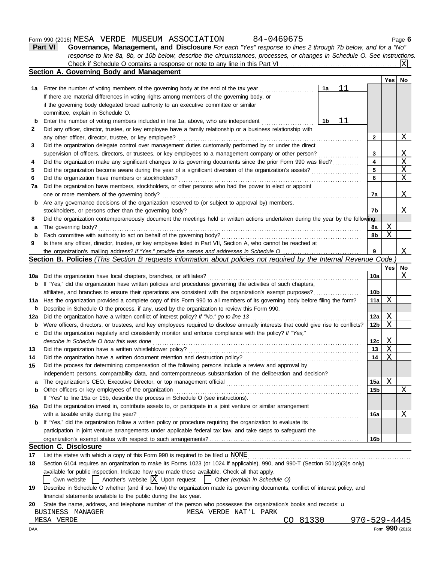#### Form 990 (2016) Page **6** MESA VERDE MUSEUM ASSOCIATION 84-0469675

| <b>Part VI</b> | Governance, Management, and Disclosure For each "Yes" response to lines 2 through 7b below, and for a "No"                |
|----------------|---------------------------------------------------------------------------------------------------------------------------|
|                | response to line 8a, 8b, or 10b below, describe the circumstances, processes, or changes in Schedule O. See instructions. |
|                |                                                                                                                           |
|                |                                                                                                                           |

| Yes<br>No<br>11<br>Enter the number of voting members of the governing body at the end of the tax year<br>1a<br>1a<br>If there are material differences in voting rights among members of the governing body, or<br>if the governing body delegated broad authority to an executive committee or similar<br>committee, explain in Schedule O.<br>11<br>Enter the number of voting members included in line 1a, above, who are independent<br>1b<br>b<br>2<br>Did any officer, director, trustee, or key employee have a family relationship or a business relationship with<br>Χ<br>any other officer, director, trustee, or key employee?<br>2<br>Did the organization delegate control over management duties customarily performed by or under the direct<br>3<br>3<br>X<br>supervision of officers, directors, or trustees, or key employees to a management company or other person?<br>X<br>Did the organization make any significant changes to its governing documents since the prior Form 990 was filed?<br>4<br>4<br>X<br>5<br>Did the organization become aware during the year of a significant diversion of the organization's assets?<br>5<br>Χ<br>Did the organization have members or stockholders?<br>6<br>6<br>Did the organization have members, stockholders, or other persons who had the power to elect or appoint<br>7a<br>Χ<br>one or more members of the governing body?<br>7a<br>Are any governance decisions of the organization reserved to (or subject to approval by) members,<br>b<br>Χ<br>stockholders, or persons other than the governing body?<br>7b<br>Did the organization contemporaneously document the meetings held or written actions undertaken during the year by the following:<br>8<br><u>X</u><br>The governing body?<br>8a<br>a<br>X<br>Each committee with authority to act on behalf of the governing body?<br>8b<br>b<br>Is there any officer, director, trustee, or key employee listed in Part VII, Section A, who cannot be reached at<br>9<br>Χ<br>9<br>Section B. Policies (This Section B requests information about policies not required by the Internal Revenue Code.<br><b>Yes</b><br>No<br>Χ<br>Did the organization have local chapters, branches, or affiliates?<br>10a<br>10a<br>If "Yes," did the organization have written policies and procedures governing the activities of such chapters,<br>b<br>10 <sub>b</sub><br>affiliates, and branches to ensure their operations are consistent with the organization's exempt purposes?<br>Χ<br>Has the organization provided a complete copy of this Form 990 to all members of its governing body before filing the form?<br>11a<br>11a<br>Describe in Schedule O the process, if any, used by the organization to review this Form 990.<br>b<br>X<br>Did the organization have a written conflict of interest policy? If "No," go to line 13<br>12a<br>12a<br>Χ<br>Were officers, directors, or trustees, and key employees required to disclose annually interests that could give rise to conflicts?<br>12b<br>b<br>Did the organization regularly and consistently monitor and enforce compliance with the policy? If "Yes,"<br>c<br>describe in Schedule O how this was done<br>Χ<br>12c<br>Χ<br>Did the organization have a written whistleblower policy?<br>13<br>13<br>Χ<br>Did the organization have a written document retention and destruction policy?<br>14<br>14<br>Did the process for determining compensation of the following persons include a review and approval by<br>independent persons, comparability data, and contemporaneous substantiation of the deliberation and decision?<br>Χ<br>15a<br>a<br><u>X</u><br>Other officers or key employees of the organization<br>15 <sub>b</sub><br>b<br>If "Yes" to line 15a or 15b, describe the process in Schedule O (see instructions).<br>Did the organization invest in, contribute assets to, or participate in a joint venture or similar arrangement<br>with a taxable entity during the year?<br><u>X</u><br>16a<br>If "Yes," did the organization follow a written policy or procedure requiring the organization to evaluate its<br>b<br>participation in joint venture arrangements under applicable federal tax law, and take steps to safeguard the<br>16 <sub>b</sub><br><b>Section C. Disclosure</b><br>List the states with which a copy of this Form 990 is required to be filed $\mathbf u$ NONE<br>Section 6104 requires an organization to make its Forms 1023 (or 1024 if applicable), 990, and 990-T (Section 501(c)(3)s only)<br>available for public inspection. Indicate how you made these available. Check all that apply.<br>$\vert$ Another's website $\vert X \vert$ Upon request<br>  Other (explain in Schedule O)<br>Own website<br>Describe in Schedule O whether (and if so, how) the organization made its governing documents, conflict of interest policy, and<br>19<br>financial statements available to the public during the tax year.<br>State the name, address, and telephone number of the person who possesses the organization's books and records: u<br>20<br>MESA VERDE NAT'L PARK<br>BUSINESS MANAGER |     | Section A. Governing Body and Management |  |  |
|-----------------------------------------------------------------------------------------------------------------------------------------------------------------------------------------------------------------------------------------------------------------------------------------------------------------------------------------------------------------------------------------------------------------------------------------------------------------------------------------------------------------------------------------------------------------------------------------------------------------------------------------------------------------------------------------------------------------------------------------------------------------------------------------------------------------------------------------------------------------------------------------------------------------------------------------------------------------------------------------------------------------------------------------------------------------------------------------------------------------------------------------------------------------------------------------------------------------------------------------------------------------------------------------------------------------------------------------------------------------------------------------------------------------------------------------------------------------------------------------------------------------------------------------------------------------------------------------------------------------------------------------------------------------------------------------------------------------------------------------------------------------------------------------------------------------------------------------------------------------------------------------------------------------------------------------------------------------------------------------------------------------------------------------------------------------------------------------------------------------------------------------------------------------------------------------------------------------------------------------------------------------------------------------------------------------------------------------------------------------------------------------------------------------------------------------------------------------------------------------------------------------------------------------------------------------------------------------------------------------------------------------------------------------------------------------------------------------------------------------------------------------------------------------------------------------------------------------------------------------------------------------------------------------------------------------------------------------------------------------------------------------------------------------------------------------------------------------------------------------------------------------------------------------------------------------------------------------------------------------------------------------------------------------------------------------------------------------------------------------------------------------------------------------------------------------------------------------------------------------------------------------------------------------------------------------------------------------------------------------------------------------------------------------------------------------------------------------------------------------------------------------------------------------------------------------------------------------------------------------------------------------------------------------------------------------------------------------------------------------------------------------------------------------------------------------------------------------------------------------------------------------------------------------------------------------------------------------------------------------------------------------------------------------------------------------------------------------------------------------------------------------------------------------------------------------------------------------------------------------------------------------------------------------------------------------------------------------------------------------------------------------------------------------------------------------------------------------------------------------------------------------------------------------------------------------------------------------------------------------------------------------------------------------------------------------------------------------------------------------------------------------------------------------------------------------------------------------------------------------------------------------------|-----|------------------------------------------|--|--|
|                                                                                                                                                                                                                                                                                                                                                                                                                                                                                                                                                                                                                                                                                                                                                                                                                                                                                                                                                                                                                                                                                                                                                                                                                                                                                                                                                                                                                                                                                                                                                                                                                                                                                                                                                                                                                                                                                                                                                                                                                                                                                                                                                                                                                                                                                                                                                                                                                                                                                                                                                                                                                                                                                                                                                                                                                                                                                                                                                                                                                                                                                                                                                                                                                                                                                                                                                                                                                                                                                                                                                                                                                                                                                                                                                                                                                                                                                                                                                                                                                                                                                                                                                                                                                                                                                                                                                                                                                                                                                                                                                                                                                                                                                                                                                                                                                                                                                                                                                                                                                                                                                                                                               |     |                                          |  |  |
|                                                                                                                                                                                                                                                                                                                                                                                                                                                                                                                                                                                                                                                                                                                                                                                                                                                                                                                                                                                                                                                                                                                                                                                                                                                                                                                                                                                                                                                                                                                                                                                                                                                                                                                                                                                                                                                                                                                                                                                                                                                                                                                                                                                                                                                                                                                                                                                                                                                                                                                                                                                                                                                                                                                                                                                                                                                                                                                                                                                                                                                                                                                                                                                                                                                                                                                                                                                                                                                                                                                                                                                                                                                                                                                                                                                                                                                                                                                                                                                                                                                                                                                                                                                                                                                                                                                                                                                                                                                                                                                                                                                                                                                                                                                                                                                                                                                                                                                                                                                                                                                                                                                                               |     |                                          |  |  |
|                                                                                                                                                                                                                                                                                                                                                                                                                                                                                                                                                                                                                                                                                                                                                                                                                                                                                                                                                                                                                                                                                                                                                                                                                                                                                                                                                                                                                                                                                                                                                                                                                                                                                                                                                                                                                                                                                                                                                                                                                                                                                                                                                                                                                                                                                                                                                                                                                                                                                                                                                                                                                                                                                                                                                                                                                                                                                                                                                                                                                                                                                                                                                                                                                                                                                                                                                                                                                                                                                                                                                                                                                                                                                                                                                                                                                                                                                                                                                                                                                                                                                                                                                                                                                                                                                                                                                                                                                                                                                                                                                                                                                                                                                                                                                                                                                                                                                                                                                                                                                                                                                                                                               |     |                                          |  |  |
|                                                                                                                                                                                                                                                                                                                                                                                                                                                                                                                                                                                                                                                                                                                                                                                                                                                                                                                                                                                                                                                                                                                                                                                                                                                                                                                                                                                                                                                                                                                                                                                                                                                                                                                                                                                                                                                                                                                                                                                                                                                                                                                                                                                                                                                                                                                                                                                                                                                                                                                                                                                                                                                                                                                                                                                                                                                                                                                                                                                                                                                                                                                                                                                                                                                                                                                                                                                                                                                                                                                                                                                                                                                                                                                                                                                                                                                                                                                                                                                                                                                                                                                                                                                                                                                                                                                                                                                                                                                                                                                                                                                                                                                                                                                                                                                                                                                                                                                                                                                                                                                                                                                                               |     |                                          |  |  |
|                                                                                                                                                                                                                                                                                                                                                                                                                                                                                                                                                                                                                                                                                                                                                                                                                                                                                                                                                                                                                                                                                                                                                                                                                                                                                                                                                                                                                                                                                                                                                                                                                                                                                                                                                                                                                                                                                                                                                                                                                                                                                                                                                                                                                                                                                                                                                                                                                                                                                                                                                                                                                                                                                                                                                                                                                                                                                                                                                                                                                                                                                                                                                                                                                                                                                                                                                                                                                                                                                                                                                                                                                                                                                                                                                                                                                                                                                                                                                                                                                                                                                                                                                                                                                                                                                                                                                                                                                                                                                                                                                                                                                                                                                                                                                                                                                                                                                                                                                                                                                                                                                                                                               |     |                                          |  |  |
|                                                                                                                                                                                                                                                                                                                                                                                                                                                                                                                                                                                                                                                                                                                                                                                                                                                                                                                                                                                                                                                                                                                                                                                                                                                                                                                                                                                                                                                                                                                                                                                                                                                                                                                                                                                                                                                                                                                                                                                                                                                                                                                                                                                                                                                                                                                                                                                                                                                                                                                                                                                                                                                                                                                                                                                                                                                                                                                                                                                                                                                                                                                                                                                                                                                                                                                                                                                                                                                                                                                                                                                                                                                                                                                                                                                                                                                                                                                                                                                                                                                                                                                                                                                                                                                                                                                                                                                                                                                                                                                                                                                                                                                                                                                                                                                                                                                                                                                                                                                                                                                                                                                                               |     |                                          |  |  |
|                                                                                                                                                                                                                                                                                                                                                                                                                                                                                                                                                                                                                                                                                                                                                                                                                                                                                                                                                                                                                                                                                                                                                                                                                                                                                                                                                                                                                                                                                                                                                                                                                                                                                                                                                                                                                                                                                                                                                                                                                                                                                                                                                                                                                                                                                                                                                                                                                                                                                                                                                                                                                                                                                                                                                                                                                                                                                                                                                                                                                                                                                                                                                                                                                                                                                                                                                                                                                                                                                                                                                                                                                                                                                                                                                                                                                                                                                                                                                                                                                                                                                                                                                                                                                                                                                                                                                                                                                                                                                                                                                                                                                                                                                                                                                                                                                                                                                                                                                                                                                                                                                                                                               |     |                                          |  |  |
|                                                                                                                                                                                                                                                                                                                                                                                                                                                                                                                                                                                                                                                                                                                                                                                                                                                                                                                                                                                                                                                                                                                                                                                                                                                                                                                                                                                                                                                                                                                                                                                                                                                                                                                                                                                                                                                                                                                                                                                                                                                                                                                                                                                                                                                                                                                                                                                                                                                                                                                                                                                                                                                                                                                                                                                                                                                                                                                                                                                                                                                                                                                                                                                                                                                                                                                                                                                                                                                                                                                                                                                                                                                                                                                                                                                                                                                                                                                                                                                                                                                                                                                                                                                                                                                                                                                                                                                                                                                                                                                                                                                                                                                                                                                                                                                                                                                                                                                                                                                                                                                                                                                                               |     |                                          |  |  |
|                                                                                                                                                                                                                                                                                                                                                                                                                                                                                                                                                                                                                                                                                                                                                                                                                                                                                                                                                                                                                                                                                                                                                                                                                                                                                                                                                                                                                                                                                                                                                                                                                                                                                                                                                                                                                                                                                                                                                                                                                                                                                                                                                                                                                                                                                                                                                                                                                                                                                                                                                                                                                                                                                                                                                                                                                                                                                                                                                                                                                                                                                                                                                                                                                                                                                                                                                                                                                                                                                                                                                                                                                                                                                                                                                                                                                                                                                                                                                                                                                                                                                                                                                                                                                                                                                                                                                                                                                                                                                                                                                                                                                                                                                                                                                                                                                                                                                                                                                                                                                                                                                                                                               |     |                                          |  |  |
|                                                                                                                                                                                                                                                                                                                                                                                                                                                                                                                                                                                                                                                                                                                                                                                                                                                                                                                                                                                                                                                                                                                                                                                                                                                                                                                                                                                                                                                                                                                                                                                                                                                                                                                                                                                                                                                                                                                                                                                                                                                                                                                                                                                                                                                                                                                                                                                                                                                                                                                                                                                                                                                                                                                                                                                                                                                                                                                                                                                                                                                                                                                                                                                                                                                                                                                                                                                                                                                                                                                                                                                                                                                                                                                                                                                                                                                                                                                                                                                                                                                                                                                                                                                                                                                                                                                                                                                                                                                                                                                                                                                                                                                                                                                                                                                                                                                                                                                                                                                                                                                                                                                                               |     |                                          |  |  |
|                                                                                                                                                                                                                                                                                                                                                                                                                                                                                                                                                                                                                                                                                                                                                                                                                                                                                                                                                                                                                                                                                                                                                                                                                                                                                                                                                                                                                                                                                                                                                                                                                                                                                                                                                                                                                                                                                                                                                                                                                                                                                                                                                                                                                                                                                                                                                                                                                                                                                                                                                                                                                                                                                                                                                                                                                                                                                                                                                                                                                                                                                                                                                                                                                                                                                                                                                                                                                                                                                                                                                                                                                                                                                                                                                                                                                                                                                                                                                                                                                                                                                                                                                                                                                                                                                                                                                                                                                                                                                                                                                                                                                                                                                                                                                                                                                                                                                                                                                                                                                                                                                                                                               |     |                                          |  |  |
|                                                                                                                                                                                                                                                                                                                                                                                                                                                                                                                                                                                                                                                                                                                                                                                                                                                                                                                                                                                                                                                                                                                                                                                                                                                                                                                                                                                                                                                                                                                                                                                                                                                                                                                                                                                                                                                                                                                                                                                                                                                                                                                                                                                                                                                                                                                                                                                                                                                                                                                                                                                                                                                                                                                                                                                                                                                                                                                                                                                                                                                                                                                                                                                                                                                                                                                                                                                                                                                                                                                                                                                                                                                                                                                                                                                                                                                                                                                                                                                                                                                                                                                                                                                                                                                                                                                                                                                                                                                                                                                                                                                                                                                                                                                                                                                                                                                                                                                                                                                                                                                                                                                                               |     |                                          |  |  |
|                                                                                                                                                                                                                                                                                                                                                                                                                                                                                                                                                                                                                                                                                                                                                                                                                                                                                                                                                                                                                                                                                                                                                                                                                                                                                                                                                                                                                                                                                                                                                                                                                                                                                                                                                                                                                                                                                                                                                                                                                                                                                                                                                                                                                                                                                                                                                                                                                                                                                                                                                                                                                                                                                                                                                                                                                                                                                                                                                                                                                                                                                                                                                                                                                                                                                                                                                                                                                                                                                                                                                                                                                                                                                                                                                                                                                                                                                                                                                                                                                                                                                                                                                                                                                                                                                                                                                                                                                                                                                                                                                                                                                                                                                                                                                                                                                                                                                                                                                                                                                                                                                                                                               |     |                                          |  |  |
|                                                                                                                                                                                                                                                                                                                                                                                                                                                                                                                                                                                                                                                                                                                                                                                                                                                                                                                                                                                                                                                                                                                                                                                                                                                                                                                                                                                                                                                                                                                                                                                                                                                                                                                                                                                                                                                                                                                                                                                                                                                                                                                                                                                                                                                                                                                                                                                                                                                                                                                                                                                                                                                                                                                                                                                                                                                                                                                                                                                                                                                                                                                                                                                                                                                                                                                                                                                                                                                                                                                                                                                                                                                                                                                                                                                                                                                                                                                                                                                                                                                                                                                                                                                                                                                                                                                                                                                                                                                                                                                                                                                                                                                                                                                                                                                                                                                                                                                                                                                                                                                                                                                                               |     |                                          |  |  |
|                                                                                                                                                                                                                                                                                                                                                                                                                                                                                                                                                                                                                                                                                                                                                                                                                                                                                                                                                                                                                                                                                                                                                                                                                                                                                                                                                                                                                                                                                                                                                                                                                                                                                                                                                                                                                                                                                                                                                                                                                                                                                                                                                                                                                                                                                                                                                                                                                                                                                                                                                                                                                                                                                                                                                                                                                                                                                                                                                                                                                                                                                                                                                                                                                                                                                                                                                                                                                                                                                                                                                                                                                                                                                                                                                                                                                                                                                                                                                                                                                                                                                                                                                                                                                                                                                                                                                                                                                                                                                                                                                                                                                                                                                                                                                                                                                                                                                                                                                                                                                                                                                                                                               |     |                                          |  |  |
|                                                                                                                                                                                                                                                                                                                                                                                                                                                                                                                                                                                                                                                                                                                                                                                                                                                                                                                                                                                                                                                                                                                                                                                                                                                                                                                                                                                                                                                                                                                                                                                                                                                                                                                                                                                                                                                                                                                                                                                                                                                                                                                                                                                                                                                                                                                                                                                                                                                                                                                                                                                                                                                                                                                                                                                                                                                                                                                                                                                                                                                                                                                                                                                                                                                                                                                                                                                                                                                                                                                                                                                                                                                                                                                                                                                                                                                                                                                                                                                                                                                                                                                                                                                                                                                                                                                                                                                                                                                                                                                                                                                                                                                                                                                                                                                                                                                                                                                                                                                                                                                                                                                                               |     |                                          |  |  |
|                                                                                                                                                                                                                                                                                                                                                                                                                                                                                                                                                                                                                                                                                                                                                                                                                                                                                                                                                                                                                                                                                                                                                                                                                                                                                                                                                                                                                                                                                                                                                                                                                                                                                                                                                                                                                                                                                                                                                                                                                                                                                                                                                                                                                                                                                                                                                                                                                                                                                                                                                                                                                                                                                                                                                                                                                                                                                                                                                                                                                                                                                                                                                                                                                                                                                                                                                                                                                                                                                                                                                                                                                                                                                                                                                                                                                                                                                                                                                                                                                                                                                                                                                                                                                                                                                                                                                                                                                                                                                                                                                                                                                                                                                                                                                                                                                                                                                                                                                                                                                                                                                                                                               |     |                                          |  |  |
|                                                                                                                                                                                                                                                                                                                                                                                                                                                                                                                                                                                                                                                                                                                                                                                                                                                                                                                                                                                                                                                                                                                                                                                                                                                                                                                                                                                                                                                                                                                                                                                                                                                                                                                                                                                                                                                                                                                                                                                                                                                                                                                                                                                                                                                                                                                                                                                                                                                                                                                                                                                                                                                                                                                                                                                                                                                                                                                                                                                                                                                                                                                                                                                                                                                                                                                                                                                                                                                                                                                                                                                                                                                                                                                                                                                                                                                                                                                                                                                                                                                                                                                                                                                                                                                                                                                                                                                                                                                                                                                                                                                                                                                                                                                                                                                                                                                                                                                                                                                                                                                                                                                                               |     |                                          |  |  |
|                                                                                                                                                                                                                                                                                                                                                                                                                                                                                                                                                                                                                                                                                                                                                                                                                                                                                                                                                                                                                                                                                                                                                                                                                                                                                                                                                                                                                                                                                                                                                                                                                                                                                                                                                                                                                                                                                                                                                                                                                                                                                                                                                                                                                                                                                                                                                                                                                                                                                                                                                                                                                                                                                                                                                                                                                                                                                                                                                                                                                                                                                                                                                                                                                                                                                                                                                                                                                                                                                                                                                                                                                                                                                                                                                                                                                                                                                                                                                                                                                                                                                                                                                                                                                                                                                                                                                                                                                                                                                                                                                                                                                                                                                                                                                                                                                                                                                                                                                                                                                                                                                                                                               |     |                                          |  |  |
|                                                                                                                                                                                                                                                                                                                                                                                                                                                                                                                                                                                                                                                                                                                                                                                                                                                                                                                                                                                                                                                                                                                                                                                                                                                                                                                                                                                                                                                                                                                                                                                                                                                                                                                                                                                                                                                                                                                                                                                                                                                                                                                                                                                                                                                                                                                                                                                                                                                                                                                                                                                                                                                                                                                                                                                                                                                                                                                                                                                                                                                                                                                                                                                                                                                                                                                                                                                                                                                                                                                                                                                                                                                                                                                                                                                                                                                                                                                                                                                                                                                                                                                                                                                                                                                                                                                                                                                                                                                                                                                                                                                                                                                                                                                                                                                                                                                                                                                                                                                                                                                                                                                                               |     |                                          |  |  |
|                                                                                                                                                                                                                                                                                                                                                                                                                                                                                                                                                                                                                                                                                                                                                                                                                                                                                                                                                                                                                                                                                                                                                                                                                                                                                                                                                                                                                                                                                                                                                                                                                                                                                                                                                                                                                                                                                                                                                                                                                                                                                                                                                                                                                                                                                                                                                                                                                                                                                                                                                                                                                                                                                                                                                                                                                                                                                                                                                                                                                                                                                                                                                                                                                                                                                                                                                                                                                                                                                                                                                                                                                                                                                                                                                                                                                                                                                                                                                                                                                                                                                                                                                                                                                                                                                                                                                                                                                                                                                                                                                                                                                                                                                                                                                                                                                                                                                                                                                                                                                                                                                                                                               |     |                                          |  |  |
|                                                                                                                                                                                                                                                                                                                                                                                                                                                                                                                                                                                                                                                                                                                                                                                                                                                                                                                                                                                                                                                                                                                                                                                                                                                                                                                                                                                                                                                                                                                                                                                                                                                                                                                                                                                                                                                                                                                                                                                                                                                                                                                                                                                                                                                                                                                                                                                                                                                                                                                                                                                                                                                                                                                                                                                                                                                                                                                                                                                                                                                                                                                                                                                                                                                                                                                                                                                                                                                                                                                                                                                                                                                                                                                                                                                                                                                                                                                                                                                                                                                                                                                                                                                                                                                                                                                                                                                                                                                                                                                                                                                                                                                                                                                                                                                                                                                                                                                                                                                                                                                                                                                                               |     |                                          |  |  |
|                                                                                                                                                                                                                                                                                                                                                                                                                                                                                                                                                                                                                                                                                                                                                                                                                                                                                                                                                                                                                                                                                                                                                                                                                                                                                                                                                                                                                                                                                                                                                                                                                                                                                                                                                                                                                                                                                                                                                                                                                                                                                                                                                                                                                                                                                                                                                                                                                                                                                                                                                                                                                                                                                                                                                                                                                                                                                                                                                                                                                                                                                                                                                                                                                                                                                                                                                                                                                                                                                                                                                                                                                                                                                                                                                                                                                                                                                                                                                                                                                                                                                                                                                                                                                                                                                                                                                                                                                                                                                                                                                                                                                                                                                                                                                                                                                                                                                                                                                                                                                                                                                                                                               |     |                                          |  |  |
|                                                                                                                                                                                                                                                                                                                                                                                                                                                                                                                                                                                                                                                                                                                                                                                                                                                                                                                                                                                                                                                                                                                                                                                                                                                                                                                                                                                                                                                                                                                                                                                                                                                                                                                                                                                                                                                                                                                                                                                                                                                                                                                                                                                                                                                                                                                                                                                                                                                                                                                                                                                                                                                                                                                                                                                                                                                                                                                                                                                                                                                                                                                                                                                                                                                                                                                                                                                                                                                                                                                                                                                                                                                                                                                                                                                                                                                                                                                                                                                                                                                                                                                                                                                                                                                                                                                                                                                                                                                                                                                                                                                                                                                                                                                                                                                                                                                                                                                                                                                                                                                                                                                                               |     |                                          |  |  |
|                                                                                                                                                                                                                                                                                                                                                                                                                                                                                                                                                                                                                                                                                                                                                                                                                                                                                                                                                                                                                                                                                                                                                                                                                                                                                                                                                                                                                                                                                                                                                                                                                                                                                                                                                                                                                                                                                                                                                                                                                                                                                                                                                                                                                                                                                                                                                                                                                                                                                                                                                                                                                                                                                                                                                                                                                                                                                                                                                                                                                                                                                                                                                                                                                                                                                                                                                                                                                                                                                                                                                                                                                                                                                                                                                                                                                                                                                                                                                                                                                                                                                                                                                                                                                                                                                                                                                                                                                                                                                                                                                                                                                                                                                                                                                                                                                                                                                                                                                                                                                                                                                                                                               |     |                                          |  |  |
|                                                                                                                                                                                                                                                                                                                                                                                                                                                                                                                                                                                                                                                                                                                                                                                                                                                                                                                                                                                                                                                                                                                                                                                                                                                                                                                                                                                                                                                                                                                                                                                                                                                                                                                                                                                                                                                                                                                                                                                                                                                                                                                                                                                                                                                                                                                                                                                                                                                                                                                                                                                                                                                                                                                                                                                                                                                                                                                                                                                                                                                                                                                                                                                                                                                                                                                                                                                                                                                                                                                                                                                                                                                                                                                                                                                                                                                                                                                                                                                                                                                                                                                                                                                                                                                                                                                                                                                                                                                                                                                                                                                                                                                                                                                                                                                                                                                                                                                                                                                                                                                                                                                                               |     |                                          |  |  |
|                                                                                                                                                                                                                                                                                                                                                                                                                                                                                                                                                                                                                                                                                                                                                                                                                                                                                                                                                                                                                                                                                                                                                                                                                                                                                                                                                                                                                                                                                                                                                                                                                                                                                                                                                                                                                                                                                                                                                                                                                                                                                                                                                                                                                                                                                                                                                                                                                                                                                                                                                                                                                                                                                                                                                                                                                                                                                                                                                                                                                                                                                                                                                                                                                                                                                                                                                                                                                                                                                                                                                                                                                                                                                                                                                                                                                                                                                                                                                                                                                                                                                                                                                                                                                                                                                                                                                                                                                                                                                                                                                                                                                                                                                                                                                                                                                                                                                                                                                                                                                                                                                                                                               |     |                                          |  |  |
|                                                                                                                                                                                                                                                                                                                                                                                                                                                                                                                                                                                                                                                                                                                                                                                                                                                                                                                                                                                                                                                                                                                                                                                                                                                                                                                                                                                                                                                                                                                                                                                                                                                                                                                                                                                                                                                                                                                                                                                                                                                                                                                                                                                                                                                                                                                                                                                                                                                                                                                                                                                                                                                                                                                                                                                                                                                                                                                                                                                                                                                                                                                                                                                                                                                                                                                                                                                                                                                                                                                                                                                                                                                                                                                                                                                                                                                                                                                                                                                                                                                                                                                                                                                                                                                                                                                                                                                                                                                                                                                                                                                                                                                                                                                                                                                                                                                                                                                                                                                                                                                                                                                                               |     |                                          |  |  |
|                                                                                                                                                                                                                                                                                                                                                                                                                                                                                                                                                                                                                                                                                                                                                                                                                                                                                                                                                                                                                                                                                                                                                                                                                                                                                                                                                                                                                                                                                                                                                                                                                                                                                                                                                                                                                                                                                                                                                                                                                                                                                                                                                                                                                                                                                                                                                                                                                                                                                                                                                                                                                                                                                                                                                                                                                                                                                                                                                                                                                                                                                                                                                                                                                                                                                                                                                                                                                                                                                                                                                                                                                                                                                                                                                                                                                                                                                                                                                                                                                                                                                                                                                                                                                                                                                                                                                                                                                                                                                                                                                                                                                                                                                                                                                                                                                                                                                                                                                                                                                                                                                                                                               |     |                                          |  |  |
|                                                                                                                                                                                                                                                                                                                                                                                                                                                                                                                                                                                                                                                                                                                                                                                                                                                                                                                                                                                                                                                                                                                                                                                                                                                                                                                                                                                                                                                                                                                                                                                                                                                                                                                                                                                                                                                                                                                                                                                                                                                                                                                                                                                                                                                                                                                                                                                                                                                                                                                                                                                                                                                                                                                                                                                                                                                                                                                                                                                                                                                                                                                                                                                                                                                                                                                                                                                                                                                                                                                                                                                                                                                                                                                                                                                                                                                                                                                                                                                                                                                                                                                                                                                                                                                                                                                                                                                                                                                                                                                                                                                                                                                                                                                                                                                                                                                                                                                                                                                                                                                                                                                                               |     |                                          |  |  |
|                                                                                                                                                                                                                                                                                                                                                                                                                                                                                                                                                                                                                                                                                                                                                                                                                                                                                                                                                                                                                                                                                                                                                                                                                                                                                                                                                                                                                                                                                                                                                                                                                                                                                                                                                                                                                                                                                                                                                                                                                                                                                                                                                                                                                                                                                                                                                                                                                                                                                                                                                                                                                                                                                                                                                                                                                                                                                                                                                                                                                                                                                                                                                                                                                                                                                                                                                                                                                                                                                                                                                                                                                                                                                                                                                                                                                                                                                                                                                                                                                                                                                                                                                                                                                                                                                                                                                                                                                                                                                                                                                                                                                                                                                                                                                                                                                                                                                                                                                                                                                                                                                                                                               |     |                                          |  |  |
|                                                                                                                                                                                                                                                                                                                                                                                                                                                                                                                                                                                                                                                                                                                                                                                                                                                                                                                                                                                                                                                                                                                                                                                                                                                                                                                                                                                                                                                                                                                                                                                                                                                                                                                                                                                                                                                                                                                                                                                                                                                                                                                                                                                                                                                                                                                                                                                                                                                                                                                                                                                                                                                                                                                                                                                                                                                                                                                                                                                                                                                                                                                                                                                                                                                                                                                                                                                                                                                                                                                                                                                                                                                                                                                                                                                                                                                                                                                                                                                                                                                                                                                                                                                                                                                                                                                                                                                                                                                                                                                                                                                                                                                                                                                                                                                                                                                                                                                                                                                                                                                                                                                                               |     |                                          |  |  |
|                                                                                                                                                                                                                                                                                                                                                                                                                                                                                                                                                                                                                                                                                                                                                                                                                                                                                                                                                                                                                                                                                                                                                                                                                                                                                                                                                                                                                                                                                                                                                                                                                                                                                                                                                                                                                                                                                                                                                                                                                                                                                                                                                                                                                                                                                                                                                                                                                                                                                                                                                                                                                                                                                                                                                                                                                                                                                                                                                                                                                                                                                                                                                                                                                                                                                                                                                                                                                                                                                                                                                                                                                                                                                                                                                                                                                                                                                                                                                                                                                                                                                                                                                                                                                                                                                                                                                                                                                                                                                                                                                                                                                                                                                                                                                                                                                                                                                                                                                                                                                                                                                                                                               |     |                                          |  |  |
|                                                                                                                                                                                                                                                                                                                                                                                                                                                                                                                                                                                                                                                                                                                                                                                                                                                                                                                                                                                                                                                                                                                                                                                                                                                                                                                                                                                                                                                                                                                                                                                                                                                                                                                                                                                                                                                                                                                                                                                                                                                                                                                                                                                                                                                                                                                                                                                                                                                                                                                                                                                                                                                                                                                                                                                                                                                                                                                                                                                                                                                                                                                                                                                                                                                                                                                                                                                                                                                                                                                                                                                                                                                                                                                                                                                                                                                                                                                                                                                                                                                                                                                                                                                                                                                                                                                                                                                                                                                                                                                                                                                                                                                                                                                                                                                                                                                                                                                                                                                                                                                                                                                                               |     |                                          |  |  |
|                                                                                                                                                                                                                                                                                                                                                                                                                                                                                                                                                                                                                                                                                                                                                                                                                                                                                                                                                                                                                                                                                                                                                                                                                                                                                                                                                                                                                                                                                                                                                                                                                                                                                                                                                                                                                                                                                                                                                                                                                                                                                                                                                                                                                                                                                                                                                                                                                                                                                                                                                                                                                                                                                                                                                                                                                                                                                                                                                                                                                                                                                                                                                                                                                                                                                                                                                                                                                                                                                                                                                                                                                                                                                                                                                                                                                                                                                                                                                                                                                                                                                                                                                                                                                                                                                                                                                                                                                                                                                                                                                                                                                                                                                                                                                                                                                                                                                                                                                                                                                                                                                                                                               |     |                                          |  |  |
|                                                                                                                                                                                                                                                                                                                                                                                                                                                                                                                                                                                                                                                                                                                                                                                                                                                                                                                                                                                                                                                                                                                                                                                                                                                                                                                                                                                                                                                                                                                                                                                                                                                                                                                                                                                                                                                                                                                                                                                                                                                                                                                                                                                                                                                                                                                                                                                                                                                                                                                                                                                                                                                                                                                                                                                                                                                                                                                                                                                                                                                                                                                                                                                                                                                                                                                                                                                                                                                                                                                                                                                                                                                                                                                                                                                                                                                                                                                                                                                                                                                                                                                                                                                                                                                                                                                                                                                                                                                                                                                                                                                                                                                                                                                                                                                                                                                                                                                                                                                                                                                                                                                                               |     |                                          |  |  |
|                                                                                                                                                                                                                                                                                                                                                                                                                                                                                                                                                                                                                                                                                                                                                                                                                                                                                                                                                                                                                                                                                                                                                                                                                                                                                                                                                                                                                                                                                                                                                                                                                                                                                                                                                                                                                                                                                                                                                                                                                                                                                                                                                                                                                                                                                                                                                                                                                                                                                                                                                                                                                                                                                                                                                                                                                                                                                                                                                                                                                                                                                                                                                                                                                                                                                                                                                                                                                                                                                                                                                                                                                                                                                                                                                                                                                                                                                                                                                                                                                                                                                                                                                                                                                                                                                                                                                                                                                                                                                                                                                                                                                                                                                                                                                                                                                                                                                                                                                                                                                                                                                                                                               | 15  |                                          |  |  |
|                                                                                                                                                                                                                                                                                                                                                                                                                                                                                                                                                                                                                                                                                                                                                                                                                                                                                                                                                                                                                                                                                                                                                                                                                                                                                                                                                                                                                                                                                                                                                                                                                                                                                                                                                                                                                                                                                                                                                                                                                                                                                                                                                                                                                                                                                                                                                                                                                                                                                                                                                                                                                                                                                                                                                                                                                                                                                                                                                                                                                                                                                                                                                                                                                                                                                                                                                                                                                                                                                                                                                                                                                                                                                                                                                                                                                                                                                                                                                                                                                                                                                                                                                                                                                                                                                                                                                                                                                                                                                                                                                                                                                                                                                                                                                                                                                                                                                                                                                                                                                                                                                                                                               |     |                                          |  |  |
|                                                                                                                                                                                                                                                                                                                                                                                                                                                                                                                                                                                                                                                                                                                                                                                                                                                                                                                                                                                                                                                                                                                                                                                                                                                                                                                                                                                                                                                                                                                                                                                                                                                                                                                                                                                                                                                                                                                                                                                                                                                                                                                                                                                                                                                                                                                                                                                                                                                                                                                                                                                                                                                                                                                                                                                                                                                                                                                                                                                                                                                                                                                                                                                                                                                                                                                                                                                                                                                                                                                                                                                                                                                                                                                                                                                                                                                                                                                                                                                                                                                                                                                                                                                                                                                                                                                                                                                                                                                                                                                                                                                                                                                                                                                                                                                                                                                                                                                                                                                                                                                                                                                                               |     |                                          |  |  |
|                                                                                                                                                                                                                                                                                                                                                                                                                                                                                                                                                                                                                                                                                                                                                                                                                                                                                                                                                                                                                                                                                                                                                                                                                                                                                                                                                                                                                                                                                                                                                                                                                                                                                                                                                                                                                                                                                                                                                                                                                                                                                                                                                                                                                                                                                                                                                                                                                                                                                                                                                                                                                                                                                                                                                                                                                                                                                                                                                                                                                                                                                                                                                                                                                                                                                                                                                                                                                                                                                                                                                                                                                                                                                                                                                                                                                                                                                                                                                                                                                                                                                                                                                                                                                                                                                                                                                                                                                                                                                                                                                                                                                                                                                                                                                                                                                                                                                                                                                                                                                                                                                                                                               |     |                                          |  |  |
|                                                                                                                                                                                                                                                                                                                                                                                                                                                                                                                                                                                                                                                                                                                                                                                                                                                                                                                                                                                                                                                                                                                                                                                                                                                                                                                                                                                                                                                                                                                                                                                                                                                                                                                                                                                                                                                                                                                                                                                                                                                                                                                                                                                                                                                                                                                                                                                                                                                                                                                                                                                                                                                                                                                                                                                                                                                                                                                                                                                                                                                                                                                                                                                                                                                                                                                                                                                                                                                                                                                                                                                                                                                                                                                                                                                                                                                                                                                                                                                                                                                                                                                                                                                                                                                                                                                                                                                                                                                                                                                                                                                                                                                                                                                                                                                                                                                                                                                                                                                                                                                                                                                                               |     |                                          |  |  |
|                                                                                                                                                                                                                                                                                                                                                                                                                                                                                                                                                                                                                                                                                                                                                                                                                                                                                                                                                                                                                                                                                                                                                                                                                                                                                                                                                                                                                                                                                                                                                                                                                                                                                                                                                                                                                                                                                                                                                                                                                                                                                                                                                                                                                                                                                                                                                                                                                                                                                                                                                                                                                                                                                                                                                                                                                                                                                                                                                                                                                                                                                                                                                                                                                                                                                                                                                                                                                                                                                                                                                                                                                                                                                                                                                                                                                                                                                                                                                                                                                                                                                                                                                                                                                                                                                                                                                                                                                                                                                                                                                                                                                                                                                                                                                                                                                                                                                                                                                                                                                                                                                                                                               | 16а |                                          |  |  |
|                                                                                                                                                                                                                                                                                                                                                                                                                                                                                                                                                                                                                                                                                                                                                                                                                                                                                                                                                                                                                                                                                                                                                                                                                                                                                                                                                                                                                                                                                                                                                                                                                                                                                                                                                                                                                                                                                                                                                                                                                                                                                                                                                                                                                                                                                                                                                                                                                                                                                                                                                                                                                                                                                                                                                                                                                                                                                                                                                                                                                                                                                                                                                                                                                                                                                                                                                                                                                                                                                                                                                                                                                                                                                                                                                                                                                                                                                                                                                                                                                                                                                                                                                                                                                                                                                                                                                                                                                                                                                                                                                                                                                                                                                                                                                                                                                                                                                                                                                                                                                                                                                                                                               |     |                                          |  |  |
|                                                                                                                                                                                                                                                                                                                                                                                                                                                                                                                                                                                                                                                                                                                                                                                                                                                                                                                                                                                                                                                                                                                                                                                                                                                                                                                                                                                                                                                                                                                                                                                                                                                                                                                                                                                                                                                                                                                                                                                                                                                                                                                                                                                                                                                                                                                                                                                                                                                                                                                                                                                                                                                                                                                                                                                                                                                                                                                                                                                                                                                                                                                                                                                                                                                                                                                                                                                                                                                                                                                                                                                                                                                                                                                                                                                                                                                                                                                                                                                                                                                                                                                                                                                                                                                                                                                                                                                                                                                                                                                                                                                                                                                                                                                                                                                                                                                                                                                                                                                                                                                                                                                                               |     |                                          |  |  |
|                                                                                                                                                                                                                                                                                                                                                                                                                                                                                                                                                                                                                                                                                                                                                                                                                                                                                                                                                                                                                                                                                                                                                                                                                                                                                                                                                                                                                                                                                                                                                                                                                                                                                                                                                                                                                                                                                                                                                                                                                                                                                                                                                                                                                                                                                                                                                                                                                                                                                                                                                                                                                                                                                                                                                                                                                                                                                                                                                                                                                                                                                                                                                                                                                                                                                                                                                                                                                                                                                                                                                                                                                                                                                                                                                                                                                                                                                                                                                                                                                                                                                                                                                                                                                                                                                                                                                                                                                                                                                                                                                                                                                                                                                                                                                                                                                                                                                                                                                                                                                                                                                                                                               |     |                                          |  |  |
|                                                                                                                                                                                                                                                                                                                                                                                                                                                                                                                                                                                                                                                                                                                                                                                                                                                                                                                                                                                                                                                                                                                                                                                                                                                                                                                                                                                                                                                                                                                                                                                                                                                                                                                                                                                                                                                                                                                                                                                                                                                                                                                                                                                                                                                                                                                                                                                                                                                                                                                                                                                                                                                                                                                                                                                                                                                                                                                                                                                                                                                                                                                                                                                                                                                                                                                                                                                                                                                                                                                                                                                                                                                                                                                                                                                                                                                                                                                                                                                                                                                                                                                                                                                                                                                                                                                                                                                                                                                                                                                                                                                                                                                                                                                                                                                                                                                                                                                                                                                                                                                                                                                                               |     |                                          |  |  |
|                                                                                                                                                                                                                                                                                                                                                                                                                                                                                                                                                                                                                                                                                                                                                                                                                                                                                                                                                                                                                                                                                                                                                                                                                                                                                                                                                                                                                                                                                                                                                                                                                                                                                                                                                                                                                                                                                                                                                                                                                                                                                                                                                                                                                                                                                                                                                                                                                                                                                                                                                                                                                                                                                                                                                                                                                                                                                                                                                                                                                                                                                                                                                                                                                                                                                                                                                                                                                                                                                                                                                                                                                                                                                                                                                                                                                                                                                                                                                                                                                                                                                                                                                                                                                                                                                                                                                                                                                                                                                                                                                                                                                                                                                                                                                                                                                                                                                                                                                                                                                                                                                                                                               |     |                                          |  |  |
|                                                                                                                                                                                                                                                                                                                                                                                                                                                                                                                                                                                                                                                                                                                                                                                                                                                                                                                                                                                                                                                                                                                                                                                                                                                                                                                                                                                                                                                                                                                                                                                                                                                                                                                                                                                                                                                                                                                                                                                                                                                                                                                                                                                                                                                                                                                                                                                                                                                                                                                                                                                                                                                                                                                                                                                                                                                                                                                                                                                                                                                                                                                                                                                                                                                                                                                                                                                                                                                                                                                                                                                                                                                                                                                                                                                                                                                                                                                                                                                                                                                                                                                                                                                                                                                                                                                                                                                                                                                                                                                                                                                                                                                                                                                                                                                                                                                                                                                                                                                                                                                                                                                                               | 17  |                                          |  |  |
|                                                                                                                                                                                                                                                                                                                                                                                                                                                                                                                                                                                                                                                                                                                                                                                                                                                                                                                                                                                                                                                                                                                                                                                                                                                                                                                                                                                                                                                                                                                                                                                                                                                                                                                                                                                                                                                                                                                                                                                                                                                                                                                                                                                                                                                                                                                                                                                                                                                                                                                                                                                                                                                                                                                                                                                                                                                                                                                                                                                                                                                                                                                                                                                                                                                                                                                                                                                                                                                                                                                                                                                                                                                                                                                                                                                                                                                                                                                                                                                                                                                                                                                                                                                                                                                                                                                                                                                                                                                                                                                                                                                                                                                                                                                                                                                                                                                                                                                                                                                                                                                                                                                                               | 18  |                                          |  |  |
|                                                                                                                                                                                                                                                                                                                                                                                                                                                                                                                                                                                                                                                                                                                                                                                                                                                                                                                                                                                                                                                                                                                                                                                                                                                                                                                                                                                                                                                                                                                                                                                                                                                                                                                                                                                                                                                                                                                                                                                                                                                                                                                                                                                                                                                                                                                                                                                                                                                                                                                                                                                                                                                                                                                                                                                                                                                                                                                                                                                                                                                                                                                                                                                                                                                                                                                                                                                                                                                                                                                                                                                                                                                                                                                                                                                                                                                                                                                                                                                                                                                                                                                                                                                                                                                                                                                                                                                                                                                                                                                                                                                                                                                                                                                                                                                                                                                                                                                                                                                                                                                                                                                                               |     |                                          |  |  |
|                                                                                                                                                                                                                                                                                                                                                                                                                                                                                                                                                                                                                                                                                                                                                                                                                                                                                                                                                                                                                                                                                                                                                                                                                                                                                                                                                                                                                                                                                                                                                                                                                                                                                                                                                                                                                                                                                                                                                                                                                                                                                                                                                                                                                                                                                                                                                                                                                                                                                                                                                                                                                                                                                                                                                                                                                                                                                                                                                                                                                                                                                                                                                                                                                                                                                                                                                                                                                                                                                                                                                                                                                                                                                                                                                                                                                                                                                                                                                                                                                                                                                                                                                                                                                                                                                                                                                                                                                                                                                                                                                                                                                                                                                                                                                                                                                                                                                                                                                                                                                                                                                                                                               |     |                                          |  |  |
|                                                                                                                                                                                                                                                                                                                                                                                                                                                                                                                                                                                                                                                                                                                                                                                                                                                                                                                                                                                                                                                                                                                                                                                                                                                                                                                                                                                                                                                                                                                                                                                                                                                                                                                                                                                                                                                                                                                                                                                                                                                                                                                                                                                                                                                                                                                                                                                                                                                                                                                                                                                                                                                                                                                                                                                                                                                                                                                                                                                                                                                                                                                                                                                                                                                                                                                                                                                                                                                                                                                                                                                                                                                                                                                                                                                                                                                                                                                                                                                                                                                                                                                                                                                                                                                                                                                                                                                                                                                                                                                                                                                                                                                                                                                                                                                                                                                                                                                                                                                                                                                                                                                                               |     |                                          |  |  |
|                                                                                                                                                                                                                                                                                                                                                                                                                                                                                                                                                                                                                                                                                                                                                                                                                                                                                                                                                                                                                                                                                                                                                                                                                                                                                                                                                                                                                                                                                                                                                                                                                                                                                                                                                                                                                                                                                                                                                                                                                                                                                                                                                                                                                                                                                                                                                                                                                                                                                                                                                                                                                                                                                                                                                                                                                                                                                                                                                                                                                                                                                                                                                                                                                                                                                                                                                                                                                                                                                                                                                                                                                                                                                                                                                                                                                                                                                                                                                                                                                                                                                                                                                                                                                                                                                                                                                                                                                                                                                                                                                                                                                                                                                                                                                                                                                                                                                                                                                                                                                                                                                                                                               |     |                                          |  |  |
|                                                                                                                                                                                                                                                                                                                                                                                                                                                                                                                                                                                                                                                                                                                                                                                                                                                                                                                                                                                                                                                                                                                                                                                                                                                                                                                                                                                                                                                                                                                                                                                                                                                                                                                                                                                                                                                                                                                                                                                                                                                                                                                                                                                                                                                                                                                                                                                                                                                                                                                                                                                                                                                                                                                                                                                                                                                                                                                                                                                                                                                                                                                                                                                                                                                                                                                                                                                                                                                                                                                                                                                                                                                                                                                                                                                                                                                                                                                                                                                                                                                                                                                                                                                                                                                                                                                                                                                                                                                                                                                                                                                                                                                                                                                                                                                                                                                                                                                                                                                                                                                                                                                                               |     |                                          |  |  |
|                                                                                                                                                                                                                                                                                                                                                                                                                                                                                                                                                                                                                                                                                                                                                                                                                                                                                                                                                                                                                                                                                                                                                                                                                                                                                                                                                                                                                                                                                                                                                                                                                                                                                                                                                                                                                                                                                                                                                                                                                                                                                                                                                                                                                                                                                                                                                                                                                                                                                                                                                                                                                                                                                                                                                                                                                                                                                                                                                                                                                                                                                                                                                                                                                                                                                                                                                                                                                                                                                                                                                                                                                                                                                                                                                                                                                                                                                                                                                                                                                                                                                                                                                                                                                                                                                                                                                                                                                                                                                                                                                                                                                                                                                                                                                                                                                                                                                                                                                                                                                                                                                                                                               |     |                                          |  |  |

MESA VERDE 29-4445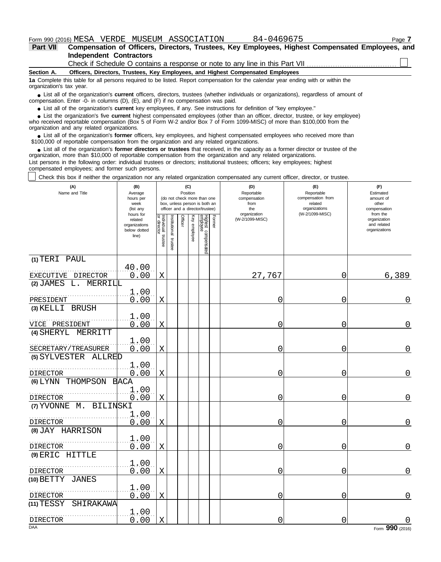| <b>Part VII</b> | Compensation of Officers, Directors, Trustees, Key Employees, Highest Compensated Employees, and |
|-----------------|--------------------------------------------------------------------------------------------------|
|                 | <b>Independent Contractors</b>                                                                   |
|                 | Check if Schedule O contains a response or note to any line in this Part VII                     |

#### **Section A. Officers, Directors, Trustees, Key Employees, and Highest Compensated Employees**

**1a** Complete this table for all persons required to be listed. Report compensation for the calendar year ending with or within the organization's tax year.

List all of the organization's **current** officers, directors, trustees (whether individuals or organizations), regardless of amount of ● List all of the organization's **current** officers, directors, trustees (whether indi compensation. Enter -0- in columns (D), (E), and (F) if no compensation was paid.

● List all of the organization's **current** key employees, if any. See instructions for definition of "key employee."

who received reportable compensation (Box 5 of Form W-2 and/or Box 7 of Form 1099-MISC) of more than \$100,000 from the organization and any related organizations. ■ List the organization's five **current** highest compensated employees (other than an officer, director, trustee, or key employee)<br>
a received reportable compensation (Box 5 of Form W-2 and/or Box 7 of Form 1099-MISC) of

■ List all of the organization's **former** officers, key employees, and highest compensated employees who received more than<br>00,000 of reportable compensation from the organization and any related organizations \$100,000 of reportable compensation from the organization and any related organizations.

• List all of the organization's **former directors or trustees** that received, in the capacity as a former director or trustee of the prization more than \$10,000 of reportable compensation from the organization and any rel organization, more than \$10,000 of reportable compensation from the organization and any related organizations.

List persons in the following order: individual trustees or directors; institutional trustees; officers; key employees; highest compensated employees; and former such persons.

Check this box if neither the organization nor any related organization compensated any current officer, director, or trustee.

| hours for<br>Former<br>Officer<br>Individual trustee<br>or director<br>Key employee<br>Highest compensated<br>employee<br>nstitutional<br>(W-2/1099-MISC)<br>organization<br>related<br>and related<br>organizations<br>organizations<br>below dotted<br>line)<br>trustee<br>(1) TERI PAUL<br>40.00<br>0.00<br>27,767<br>6,389<br>EXECUTIVE DIRECTOR<br>X<br>0<br>$(2)$ JAMES<br>L.<br>MERRILL<br>1.00<br>0.00<br>PRESIDENT<br>X<br>0<br>0<br>(3) KELLI BRUSH<br>1.00<br>0.00<br>$\mathbf X$<br>0<br>VICE PRESIDENT<br>0<br>(4) SHERYL MERRITT<br>1.00<br>0.00<br>$\mathbf X$<br>SECRETARY/TREASURER<br>0<br>0<br>(5) SYLVESTER ALLRED<br>1.00<br>0.00<br>0<br>0<br>$\mathbf X$<br><b>DIRECTOR</b><br>(6) LYNN THOMPSON BACA<br>1.00<br>0.00<br>X<br>0<br>0<br><b>DIRECTOR</b><br>(7) YVONNE M.<br>BILINSKI<br>1.00<br>0.00<br>X<br>0<br>0<br><b>DIRECTOR</b><br>(8) JAY HARRISON<br>1.00<br>0.00<br>$\mathbf X$<br>0<br>0<br><b>DIRECTOR</b><br>(9) ERIC HITTLE<br>1.00<br>0.00<br>$\mathbf X$<br>0<br>0<br>DIRECTOR<br>(10) BETTY<br><b>JANES</b><br>1.00 | (A)<br>Name and Title | (B)<br>Average<br>hours per<br>week<br>(list any |   | (C)<br>Position | (do not check more than one<br>box, unless person is both an<br>officer and a director/trustee) | (D)<br>Reportable<br>compensation<br>from<br>the | (E)<br>Reportable<br>compensation from<br>related<br>organizations | (F)<br>Estimated<br>amount of<br>other<br>compensation<br>from the |
|-------------------------------------------------------------------------------------------------------------------------------------------------------------------------------------------------------------------------------------------------------------------------------------------------------------------------------------------------------------------------------------------------------------------------------------------------------------------------------------------------------------------------------------------------------------------------------------------------------------------------------------------------------------------------------------------------------------------------------------------------------------------------------------------------------------------------------------------------------------------------------------------------------------------------------------------------------------------------------------------------------------------------------------------------------------|-----------------------|--------------------------------------------------|---|-----------------|-------------------------------------------------------------------------------------------------|--------------------------------------------------|--------------------------------------------------------------------|--------------------------------------------------------------------|
|                                                                                                                                                                                                                                                                                                                                                                                                                                                                                                                                                                                                                                                                                                                                                                                                                                                                                                                                                                                                                                                             |                       |                                                  |   |                 |                                                                                                 |                                                  | organization<br>(W-2/1099-MISC)                                    |                                                                    |
|                                                                                                                                                                                                                                                                                                                                                                                                                                                                                                                                                                                                                                                                                                                                                                                                                                                                                                                                                                                                                                                             |                       |                                                  |   |                 |                                                                                                 |                                                  |                                                                    |                                                                    |
|                                                                                                                                                                                                                                                                                                                                                                                                                                                                                                                                                                                                                                                                                                                                                                                                                                                                                                                                                                                                                                                             |                       |                                                  |   |                 |                                                                                                 |                                                  |                                                                    |                                                                    |
|                                                                                                                                                                                                                                                                                                                                                                                                                                                                                                                                                                                                                                                                                                                                                                                                                                                                                                                                                                                                                                                             |                       |                                                  |   |                 |                                                                                                 |                                                  |                                                                    | 0                                                                  |
|                                                                                                                                                                                                                                                                                                                                                                                                                                                                                                                                                                                                                                                                                                                                                                                                                                                                                                                                                                                                                                                             |                       |                                                  |   |                 |                                                                                                 |                                                  |                                                                    |                                                                    |
|                                                                                                                                                                                                                                                                                                                                                                                                                                                                                                                                                                                                                                                                                                                                                                                                                                                                                                                                                                                                                                                             |                       |                                                  |   |                 |                                                                                                 |                                                  |                                                                    | $\mathbf{0}$                                                       |
|                                                                                                                                                                                                                                                                                                                                                                                                                                                                                                                                                                                                                                                                                                                                                                                                                                                                                                                                                                                                                                                             |                       |                                                  |   |                 |                                                                                                 |                                                  |                                                                    |                                                                    |
|                                                                                                                                                                                                                                                                                                                                                                                                                                                                                                                                                                                                                                                                                                                                                                                                                                                                                                                                                                                                                                                             |                       |                                                  |   |                 |                                                                                                 |                                                  |                                                                    | $\overline{0}$                                                     |
|                                                                                                                                                                                                                                                                                                                                                                                                                                                                                                                                                                                                                                                                                                                                                                                                                                                                                                                                                                                                                                                             |                       |                                                  |   |                 |                                                                                                 |                                                  |                                                                    |                                                                    |
|                                                                                                                                                                                                                                                                                                                                                                                                                                                                                                                                                                                                                                                                                                                                                                                                                                                                                                                                                                                                                                                             |                       |                                                  |   |                 |                                                                                                 |                                                  |                                                                    | $\mathbf 0$                                                        |
|                                                                                                                                                                                                                                                                                                                                                                                                                                                                                                                                                                                                                                                                                                                                                                                                                                                                                                                                                                                                                                                             |                       |                                                  |   |                 |                                                                                                 |                                                  |                                                                    |                                                                    |
|                                                                                                                                                                                                                                                                                                                                                                                                                                                                                                                                                                                                                                                                                                                                                                                                                                                                                                                                                                                                                                                             |                       |                                                  |   |                 |                                                                                                 |                                                  |                                                                    | $\overline{0}$                                                     |
|                                                                                                                                                                                                                                                                                                                                                                                                                                                                                                                                                                                                                                                                                                                                                                                                                                                                                                                                                                                                                                                             |                       |                                                  |   |                 |                                                                                                 |                                                  |                                                                    |                                                                    |
|                                                                                                                                                                                                                                                                                                                                                                                                                                                                                                                                                                                                                                                                                                                                                                                                                                                                                                                                                                                                                                                             |                       |                                                  |   |                 |                                                                                                 |                                                  |                                                                    | 0                                                                  |
|                                                                                                                                                                                                                                                                                                                                                                                                                                                                                                                                                                                                                                                                                                                                                                                                                                                                                                                                                                                                                                                             |                       |                                                  |   |                 |                                                                                                 |                                                  |                                                                    |                                                                    |
|                                                                                                                                                                                                                                                                                                                                                                                                                                                                                                                                                                                                                                                                                                                                                                                                                                                                                                                                                                                                                                                             |                       |                                                  |   |                 |                                                                                                 |                                                  |                                                                    | $\overline{0}$                                                     |
|                                                                                                                                                                                                                                                                                                                                                                                                                                                                                                                                                                                                                                                                                                                                                                                                                                                                                                                                                                                                                                                             |                       |                                                  |   |                 |                                                                                                 |                                                  |                                                                    |                                                                    |
|                                                                                                                                                                                                                                                                                                                                                                                                                                                                                                                                                                                                                                                                                                                                                                                                                                                                                                                                                                                                                                                             |                       |                                                  |   |                 |                                                                                                 |                                                  |                                                                    | $\mathbf 0$                                                        |
|                                                                                                                                                                                                                                                                                                                                                                                                                                                                                                                                                                                                                                                                                                                                                                                                                                                                                                                                                                                                                                                             |                       |                                                  |   |                 |                                                                                                 |                                                  |                                                                    |                                                                    |
|                                                                                                                                                                                                                                                                                                                                                                                                                                                                                                                                                                                                                                                                                                                                                                                                                                                                                                                                                                                                                                                             | DIRECTOR              | 0.00                                             | Χ |                 |                                                                                                 | 0                                                | 0                                                                  | 0                                                                  |
| $(11)$ TESSY<br>SHIRAKAWA                                                                                                                                                                                                                                                                                                                                                                                                                                                                                                                                                                                                                                                                                                                                                                                                                                                                                                                                                                                                                                   |                       |                                                  |   |                 |                                                                                                 |                                                  |                                                                    |                                                                    |
| 1.00                                                                                                                                                                                                                                                                                                                                                                                                                                                                                                                                                                                                                                                                                                                                                                                                                                                                                                                                                                                                                                                        |                       |                                                  |   |                 |                                                                                                 |                                                  |                                                                    |                                                                    |
| 0.00<br>X<br>0<br>0<br>DIRECTOR<br><b>DAA</b>                                                                                                                                                                                                                                                                                                                                                                                                                                                                                                                                                                                                                                                                                                                                                                                                                                                                                                                                                                                                               |                       |                                                  |   |                 |                                                                                                 |                                                  |                                                                    | Form 990 (2016)                                                    |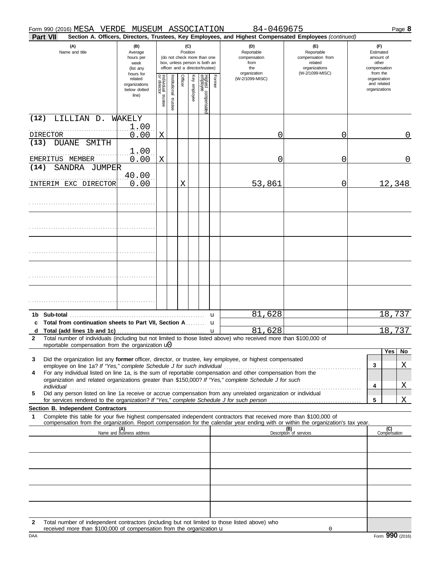received more than  $$100,000$  of compensation from the organization  $\mathbf u$ 

| Part VII                                                                                                                                                                                                                                                    |                                                                |                                                                                                                                                                                                                                              |                       |         |                                                        |                                 |             | Section A. Officers, Directors, Trustees, Key Employees, and Highest Compensated Employees (continued) |                                |  |                                                          |                     |
|-------------------------------------------------------------------------------------------------------------------------------------------------------------------------------------------------------------------------------------------------------------|----------------------------------------------------------------|----------------------------------------------------------------------------------------------------------------------------------------------------------------------------------------------------------------------------------------------|-----------------------|---------|--------------------------------------------------------|---------------------------------|-------------|--------------------------------------------------------------------------------------------------------|--------------------------------|--|----------------------------------------------------------|---------------------|
| (A)<br>Name and title                                                                                                                                                                                                                                       | (B)<br>Average<br>hours per<br>week<br>(list any               | (D)<br>(E)<br>(C)<br>Position<br>Reportable<br>Reportable<br>(do not check more than one<br>compensation<br>compensation from<br>box, unless person is both an<br>related<br>from<br>officer and a director/trustee)<br>organizations<br>the |                       |         | (F)<br>Estimated<br>amount of<br>other<br>compensation |                                 |             |                                                                                                        |                                |  |                                                          |                     |
|                                                                                                                                                                                                                                                             | hours for<br>related<br>organizations<br>below dotted<br>line) | Individual trustee<br>or director                                                                                                                                                                                                            | Institutional trustee | Officer | Key employee                                           | Highest compensatec<br>employee | Former      | organization<br>(W-2/1099-MISC)                                                                        | (W-2/1099-MISC)                |  | from the<br>organization<br>and related<br>organizations |                     |
| LILLIAN D.<br>(12)                                                                                                                                                                                                                                          | WAKELY                                                         |                                                                                                                                                                                                                                              |                       |         |                                                        |                                 |             |                                                                                                        |                                |  |                                                          |                     |
| DIRECTOR                                                                                                                                                                                                                                                    | 1.00<br>0.00                                                   | Χ                                                                                                                                                                                                                                            |                       |         |                                                        |                                 |             | 0                                                                                                      | 0                              |  |                                                          | 0                   |
| (13)<br><b>DUANE</b><br>SMITH                                                                                                                                                                                                                               |                                                                |                                                                                                                                                                                                                                              |                       |         |                                                        |                                 |             |                                                                                                        |                                |  |                                                          |                     |
| EMERITUS MEMBER                                                                                                                                                                                                                                             | 1.00<br>0.00                                                   | Χ                                                                                                                                                                                                                                            |                       |         |                                                        |                                 |             | 0                                                                                                      | 0                              |  |                                                          | 0                   |
| SANDRA JUMPER<br>(14)                                                                                                                                                                                                                                       | 40.00                                                          |                                                                                                                                                                                                                                              |                       |         |                                                        |                                 |             |                                                                                                        |                                |  |                                                          |                     |
| INTERIM EXC DIRECTOR                                                                                                                                                                                                                                        | 0.00                                                           |                                                                                                                                                                                                                                              |                       | X       |                                                        |                                 |             | 53,861                                                                                                 | $\overline{0}$                 |  |                                                          | 12,348              |
|                                                                                                                                                                                                                                                             |                                                                |                                                                                                                                                                                                                                              |                       |         |                                                        |                                 |             |                                                                                                        |                                |  |                                                          |                     |
|                                                                                                                                                                                                                                                             |                                                                |                                                                                                                                                                                                                                              |                       |         |                                                        |                                 |             |                                                                                                        |                                |  |                                                          |                     |
|                                                                                                                                                                                                                                                             |                                                                |                                                                                                                                                                                                                                              |                       |         |                                                        |                                 |             |                                                                                                        |                                |  |                                                          |                     |
|                                                                                                                                                                                                                                                             |                                                                |                                                                                                                                                                                                                                              |                       |         |                                                        |                                 |             |                                                                                                        |                                |  |                                                          |                     |
|                                                                                                                                                                                                                                                             |                                                                |                                                                                                                                                                                                                                              |                       |         |                                                        |                                 |             |                                                                                                        |                                |  |                                                          |                     |
|                                                                                                                                                                                                                                                             |                                                                |                                                                                                                                                                                                                                              |                       |         |                                                        |                                 |             |                                                                                                        |                                |  |                                                          |                     |
| Total from continuation sheets to Part VII, Section A u<br>C                                                                                                                                                                                                |                                                                |                                                                                                                                                                                                                                              |                       |         |                                                        |                                 | u           | 81,628                                                                                                 |                                |  |                                                          | 18,737              |
| d                                                                                                                                                                                                                                                           |                                                                |                                                                                                                                                                                                                                              |                       |         |                                                        |                                 | $\mathbf u$ | 81,628                                                                                                 |                                |  |                                                          | 18,737              |
| Total number of individuals (including but not limited to those listed above) who received more than \$100,000 of<br>$\mathbf{2}$<br>reportable compensation from the organization $\mathbf{u}$                                                             |                                                                |                                                                                                                                                                                                                                              |                       |         |                                                        |                                 |             |                                                                                                        |                                |  |                                                          |                     |
|                                                                                                                                                                                                                                                             |                                                                |                                                                                                                                                                                                                                              |                       |         |                                                        |                                 |             |                                                                                                        |                                |  |                                                          | No<br>Yes           |
| Did the organization list any former officer, director, or trustee, key employee, or highest compensated<br>3                                                                                                                                               |                                                                |                                                                                                                                                                                                                                              |                       |         |                                                        |                                 |             |                                                                                                        |                                |  | 3                                                        | <u>X</u>            |
| For any individual listed on line 1a, is the sum of reportable compensation and other compensation from the<br>4<br>organization and related organizations greater than \$150,000? If "Yes," complete Schedule J for such                                   |                                                                |                                                                                                                                                                                                                                              |                       |         |                                                        |                                 |             |                                                                                                        |                                |  | 4                                                        | <u>X</u>            |
| Did any person listed on line 1a receive or accrue compensation from any unrelated organization or individual<br>5                                                                                                                                          |                                                                |                                                                                                                                                                                                                                              |                       |         |                                                        |                                 |             |                                                                                                        |                                |  |                                                          |                     |
| Section B. Independent Contractors                                                                                                                                                                                                                          |                                                                |                                                                                                                                                                                                                                              |                       |         |                                                        |                                 |             |                                                                                                        |                                |  | 5                                                        | Χ                   |
| Complete this table for your five highest compensated independent contractors that received more than \$100,000 of<br>1<br>compensation from the organization. Report compensation for the calendar year ending with or within the organization's tax year. |                                                                |                                                                                                                                                                                                                                              |                       |         |                                                        |                                 |             |                                                                                                        |                                |  |                                                          |                     |
|                                                                                                                                                                                                                                                             | (A)<br>Name and business address                               |                                                                                                                                                                                                                                              |                       |         |                                                        |                                 |             |                                                                                                        | (B)<br>Description of services |  |                                                          | (C)<br>Compensation |
|                                                                                                                                                                                                                                                             |                                                                |                                                                                                                                                                                                                                              |                       |         |                                                        |                                 |             |                                                                                                        |                                |  |                                                          |                     |
|                                                                                                                                                                                                                                                             |                                                                |                                                                                                                                                                                                                                              |                       |         |                                                        |                                 |             |                                                                                                        |                                |  |                                                          |                     |
|                                                                                                                                                                                                                                                             |                                                                |                                                                                                                                                                                                                                              |                       |         |                                                        |                                 |             |                                                                                                        |                                |  |                                                          |                     |
|                                                                                                                                                                                                                                                             |                                                                |                                                                                                                                                                                                                                              |                       |         |                                                        |                                 |             |                                                                                                        |                                |  |                                                          |                     |
| Total number of independent contractors (including but not limited to those listed above) who<br>2                                                                                                                                                          |                                                                |                                                                                                                                                                                                                                              |                       |         |                                                        |                                 |             |                                                                                                        |                                |  |                                                          |                     |

DAA Form **990** (2016)

0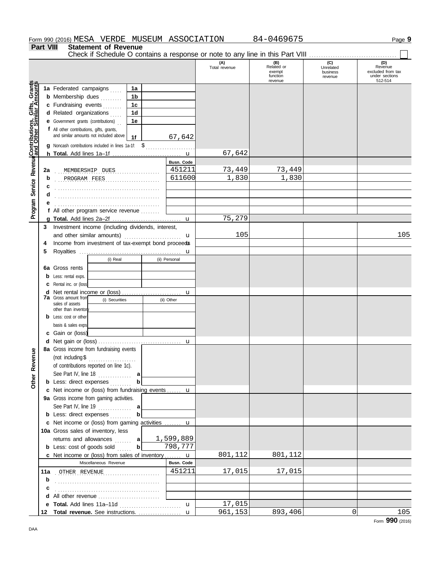|                                              | Part VIII    | <b>Statement of Revenue</b><br>Check if Schedule O contains a response or note to any line in this Part VIII                                                                                                                                                                                                                          |                                       |                                |                                                    |                                         |                                                                  |
|----------------------------------------------|--------------|---------------------------------------------------------------------------------------------------------------------------------------------------------------------------------------------------------------------------------------------------------------------------------------------------------------------------------------|---------------------------------------|--------------------------------|----------------------------------------------------|-----------------------------------------|------------------------------------------------------------------|
|                                              |              |                                                                                                                                                                                                                                                                                                                                       |                                       | (A)<br>Total revenue           | (B)<br>Related or<br>exempt<br>function<br>revenue | (C)<br>Unrelated<br>business<br>revenue | (D)<br>Revenue<br>excluded from tax<br>under sections<br>512-514 |
| Service Revenue Contributions, Gifts, Grants |              | 1a Federated campaigns<br>1a<br><b>b</b> Membership dues<br>1b<br>c Fundraising events<br>1c<br>d Related organizations<br>1d<br><b>e</b> Government grants (contributions)<br>1e<br>f All other contributions, gifts, grants,<br>and similar amounts not included above<br>1f<br>g Noncash contributions included in lines 1a-1f: \$ | 67,642                                |                                |                                                    |                                         |                                                                  |
|                                              |              |                                                                                                                                                                                                                                                                                                                                       |                                       | 67,642                         |                                                    |                                         |                                                                  |
|                                              | 2a<br>b<br>с | MEMBERSHIP DUES<br>.<br>PROGRAM FEES                                                                                                                                                                                                                                                                                                  | <b>Busn. Code</b><br>451211<br>611600 | 73,449<br>$\overline{1}$ , 830 | 73,449<br>1,830                                    |                                         |                                                                  |
| Program                                      | d            | f All other program service revenue                                                                                                                                                                                                                                                                                                   |                                       | 75,279                         |                                                    |                                         |                                                                  |
|                                              | 3<br>4       | Investment income (including dividends, interest,<br>and other similar amounts)<br>Income from investment of tax-exempt bond proceeds                                                                                                                                                                                                 | u                                     | 105                            |                                                    |                                         | 105                                                              |
|                                              | 5<br>6а<br>d | (i) Real<br>Gross rents<br>Less: rental exps.<br>Rental inc. or (loss)<br><b>7a</b> Gross amount from<br>(i) Securities<br>sales of assets<br>other than inventor                                                                                                                                                                     | u<br>(ii) Personal<br>u<br>(ii) Other |                                |                                                    |                                         |                                                                  |
|                                              |              | Less: cost or other<br>basis & sales exps<br>c Gain or (loss)                                                                                                                                                                                                                                                                         | u                                     |                                |                                                    |                                         |                                                                  |
| Other Revenue                                |              | 8a Gross income from fundraising events<br>(not including $$$<br>.<br>of contributions reported on line 1c).<br>See Part IV, line 18 $\ldots$<br>а<br><b>b</b> Less: direct expenses<br>b                                                                                                                                             |                                       |                                |                                                    |                                         |                                                                  |
|                                              |              | c Net income or (loss) from fundraising events  u                                                                                                                                                                                                                                                                                     |                                       |                                |                                                    |                                         |                                                                  |
|                                              |              | 9a Gross income from gaming activities.<br><b>b</b> Less: direct expenses<br>b                                                                                                                                                                                                                                                        |                                       |                                |                                                    |                                         |                                                                  |
|                                              |              | c Net income or (loss) from gaming activities  u<br>10a Gross sales of inventory, less<br>returns and allowances  a<br>$\mathbf b$<br><b>b</b> Less: cost of goods sold                                                                                                                                                               | 1,599,889<br>798,777                  |                                |                                                    |                                         |                                                                  |
|                                              |              | c Net income or (loss) from sales of inventory u                                                                                                                                                                                                                                                                                      |                                       | 801,112                        | 801,112                                            |                                         |                                                                  |
|                                              |              | Miscellaneous Revenue                                                                                                                                                                                                                                                                                                                 | Busn. Code<br>451211                  | 17,015                         |                                                    |                                         |                                                                  |
|                                              | b<br>c       | 11a OTHER REVENUE                                                                                                                                                                                                                                                                                                                     |                                       |                                | 17,015                                             |                                         |                                                                  |
|                                              |              | d All other revenue                                                                                                                                                                                                                                                                                                                   |                                       |                                |                                                    |                                         |                                                                  |
|                                              |              |                                                                                                                                                                                                                                                                                                                                       | $\mathbf{u}$                          | 17,015                         |                                                    |                                         |                                                                  |
|                                              |              |                                                                                                                                                                                                                                                                                                                                       |                                       | 961,153                        | 893,406                                            | 0                                       | 105                                                              |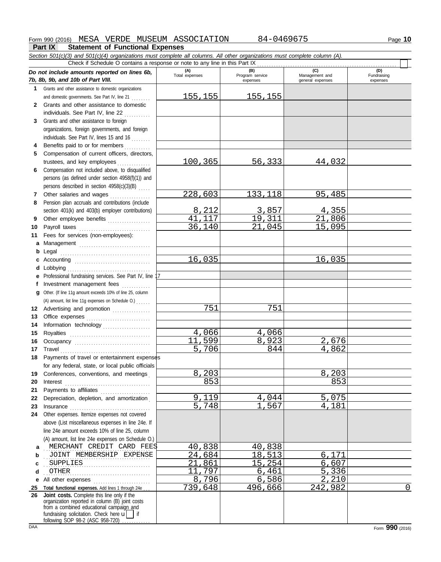#### **Part IX Statement of Functional Expenses**

*Section 501(c)(3) and 501(c)(4) organizations must complete all columns. All other organizations must complete column (A). Do not include amounts reported on lines 6b, 7b, 8b, 9b, and 10b of Part VIII.* **1 2 3 4** Benefits paid to or for members **.** . . . . . . . . **5 6** Compensation not included above, to disqualified **7** Grants and other assistance to domestic organizations and domestic governments. See Part IV, line 21 . . . . . . . . Grants and other assistance to domestic individuals. See Part IV, line 22 Grants and other assistance to foreign organizations, foreign governments, and foreign individuals. See Part IV, lines 15 and 16 Compensation of current officers, directors, trustees, and key employees ............... persons (as defined under section 4958(f)(1)) and persons described in section 4958(c)(3)(B) . . . . . Other salaries and wages ............ **(A) (B) (C) C**<br>Total expenses **a Program service Manageme** Total expenses<br>
expenses Program service<br>
Program service<br>  $\frac{1}{2}$ <br>  $\frac{1}{2}$ <br>  $\frac{1}{2}$ <br>  $\frac{1}{2}$ <br>  $\frac{1}{2}$ <br>  $\frac{1}{2}$ <br>  $\frac{1}{2}$ <br>  $\frac{1}{2}$ <br>  $\frac{1}{2}$ <br>  $\frac{1}{2}$ <br>  $\frac{1}{2}$ <br>  $\frac{1}{2}$ <br>  $\frac{1}{2}$ <br>  $\frac{1}{2}$ <br>  $\frac{1}{2}$ expenses general expenses (D)<br>Fundraising expenses Check if Schedule O contains a response or note to any line in this Part IX 155,155 155,155 100,365 56,333 44,032 228,603 133,118 95,485

- **8 9** Pension plan accruals and contributions (include section 401(k) and 403(b) employer contributions) Other employee benefits ...................
- **10** Payroll taxes ............................... **11 a** Management .............................. **b** Legal . . . . . . . . . . . . . . . . . . . . . . . . . . . . . . . . . . . . . . **c** Accounting . . . . . . . . . . . . . . . . . . . . . . . . . . . . . . . . **d e** Fees for services (non-employees): Lobbying . . . . . . . . . . . . . . . . . . . . . . . . . . . . . . . . . . . Professional fundraising services. See Part IV, line 17
	- **f g** Investment management fees Other. (If line 11g amount exceeds 10% of line 25, column
- **12** Advertising and promotion ............... (A) amount, list line 11g expenses on Schedule O.) . . . . . .
- **13** Office expenses **.......................**... **14 15 16 17** Travel . . . . . . . . . . . . . . . . . . . . . . . . . . . . . . . . . . . . . . Information technology . . . . . . . . . . . . . . . . . . . . Royalties . . . . . . . . . . . . . . . . . . . . . . . . . . . . . . . . . . Occupancy . . . . . . . . . . . . . . . . . . . . . . . . . . . . . . . .
- **18** Payments of travel or entertainment expenses **19** Conferences, conventions, and meetings . **20** Interest . . . . . . . . . . . . . . . . . . . . . . . . . . . . . . . . . . . . for any federal, state, or local public officials
- **21 22** Depreciation, depletion, and amortization . **23** Insurance . . . . . . . . . . . . . . . . . . . . . . . . . . . . . . . . . . **24** Other expenses. Itemize expenses not covered Payments to affiliates .......................
- **a** . . MERCHANT CREDIT CARD FEES 40,838 40,838 **b** above (List miscellaneous expenses in line 24e. If line 24e amount exceeds 10% of line 25, column (A) amount, list line 24e expenses on Schedule O.) . JOINT MEMBERSHIP EXPENSE 24,684 18,513 6,171
- **c** . . . . . . . . . . . . . . . . . . . . . . . . . . . . . . . . . . . . . . . . . . . . . SUPPLIES 21,861 15,254 6,607

**d** . . . . . . . . . . . . . . . . . . . . . . . . . . . . . . . . . . . . . . . . . . . . . OTHER 11,797 6,461 5,336 **e** All other expenses . . . . . . . . . . . . . . . . . . . . . . . . **25 Total functional expenses.** Add lines 1 through 24e . . . **26 Joint costs.** Complete this line only if the

fundraising solicitation. Check here  $\mathbf{u}$  | if organization reported in column (B) joint costs from a combined educational campaign and following SOP 98-2 (ASC 958-720)

8, 212 3, 857 4, 355<br>1, 117 19, 311 21, 806 41,117 19,311 21,806<br>36.140 21.045 15.095 21.045

16,035 16,035

11,599 8,923 2,676<br>5,706 844 4,862

8,203 8,203 8,203 853 853

9, 119 4, 044 5, 075<br>5, 748 1, 567 4, 181

8,796 6,586 2,210<br>739,648 496,666 242,982

496,<u>666 242,982</u> 0

751 751

4,066 4,066<br>1,599 8,923

 $\frac{1}{5,706}$ 

5,748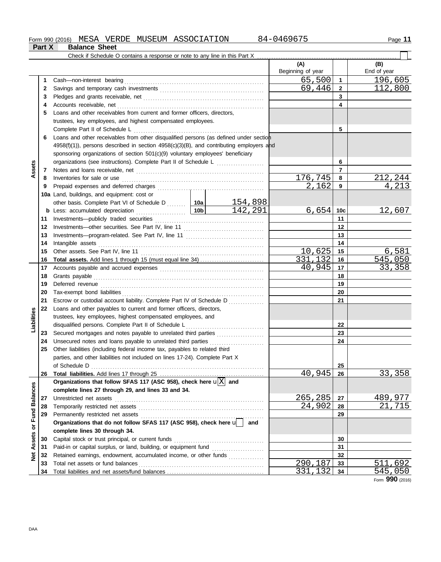**Part X Balance Sheet**

|                         |    |                                                                                              | (A)<br>Beginning of year |                | (B)<br>End of year |
|-------------------------|----|----------------------------------------------------------------------------------------------|--------------------------|----------------|--------------------|
|                         | 1  | Cash-non-interest bearing                                                                    | 65,500                   | $\mathbf{1}$   | 196,605            |
|                         | 2  |                                                                                              | 69,446                   | $\overline{2}$ | 112,800            |
|                         | 3  |                                                                                              |                          | 3              |                    |
|                         | 4  |                                                                                              |                          | 4              |                    |
|                         | 5  | Loans and other receivables from current and former officers, directors,                     |                          |                |                    |
|                         |    | trustees, key employees, and highest compensated employees.                                  |                          |                |                    |
|                         |    | Complete Part II of Schedule L                                                               |                          | 5              |                    |
|                         | 6  | Loans and other receivables from other disqualified persons (as defined under section        |                          |                |                    |
|                         |    | $4958(f)(1)$ , persons described in section $4958(c)(3)(B)$ , and contributing employers and |                          |                |                    |
|                         |    | sponsoring organizations of section 501(c)(9) voluntary employees' beneficiary               |                          |                |                    |
|                         |    |                                                                                              |                          | 6              |                    |
| Assets                  | 7  |                                                                                              |                          | $\overline{7}$ |                    |
|                         | 8  | Inventories for sale or use                                                                  | 176,745                  | 8              | 212,244            |
|                         | 9  |                                                                                              | $\overline{2,162}$       | 9              | 4,213              |
|                         |    | 10a Land, buildings, and equipment: cost or                                                  |                          |                |                    |
|                         |    | 154,898<br>other basis. Complete Part VI of Schedule D  10a                                  |                          |                |                    |
|                         |    | 142,291                                                                                      | 6,654                    | 10c            | 12,607             |
|                         | 11 |                                                                                              |                          | 11             |                    |
|                         | 12 |                                                                                              |                          | $12 \,$        |                    |
|                         | 13 |                                                                                              |                          | 13             |                    |
|                         | 14 | Intangible assets                                                                            |                          | 14             |                    |
|                         | 15 | Other assets. See Part IV, line 11                                                           | 10,625                   | 15             | 6,581              |
|                         | 16 |                                                                                              | 331,132                  | 16             | 545,050            |
|                         | 17 |                                                                                              | 40,945                   | 17             | 33,358             |
|                         | 18 |                                                                                              |                          | 18             |                    |
|                         | 19 |                                                                                              |                          | 19             |                    |
|                         | 20 |                                                                                              |                          | 20             |                    |
|                         | 21 | Escrow or custodial account liability. Complete Part IV of Schedule D                        |                          | 21             |                    |
|                         | 22 | Loans and other payables to current and former officers, directors,                          |                          |                |                    |
| Liabilities             |    | trustees, key employees, highest compensated employees, and                                  |                          |                |                    |
|                         |    | disqualified persons. Complete Part II of Schedule L                                         |                          | 22             |                    |
|                         | 23 | Secured mortgages and notes payable to unrelated third parties                               |                          | 23             |                    |
|                         | 24 | Unsecured notes and loans payable to unrelated third parties                                 |                          | 24             |                    |
|                         | 25 | Other liabilities (including federal income tax, payables to related third                   |                          |                |                    |
|                         |    | parties, and other liabilities not included on lines 17-24). Complete Part X                 |                          |                |                    |
|                         |    | of Schedule D                                                                                |                          | 25             |                    |
|                         | 26 |                                                                                              | 40,945                   | 26             | 33,358             |
|                         |    | Organizations that follow SFAS 117 (ASC 958), check here $\mathbf{u}[\overline{X}]$ and      |                          |                |                    |
|                         |    | complete lines 27 through 29, and lines 33 and 34.                                           |                          |                |                    |
|                         | 27 | Unrestricted net assets                                                                      | 265,285                  | 27             | 489,977            |
|                         | 28 | Temporarily restricted net assets                                                            | 24,902                   | 28             | 21,715             |
|                         | 29 | Permanently restricted net assets                                                            |                          | 29             |                    |
| Assets or Fund Balances |    | Organizations that do not follow SFAS 117 (ASC 958), check here u<br>and                     |                          |                |                    |
|                         |    | complete lines 30 through 34.                                                                |                          |                |                    |
|                         | 30 | Capital stock or trust principal, or current funds                                           |                          | 30             |                    |
|                         | 31 |                                                                                              |                          | 31             |                    |
| <b>Pet</b>              | 32 | Retained earnings, endowment, accumulated income, or other funds                             |                          | 32             |                    |
|                         | 33 |                                                                                              | 290,187                  | 33             | 511,692            |
|                         | 34 |                                                                                              | 331,132                  | 34             | 545,050            |

Form **990** (2016)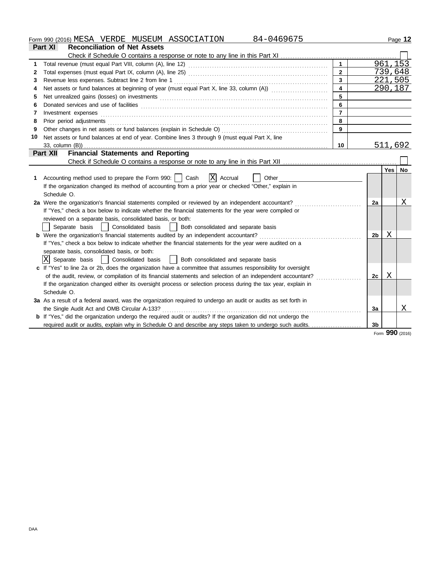Form 990 (2016) Page **12** MESA VERDE MUSEUM ASSOCIATION 84-0469675

|    | Part XI<br><b>Reconciliation of Net Assets</b>                                                                                                                                                                                |                         |                |            |           |
|----|-------------------------------------------------------------------------------------------------------------------------------------------------------------------------------------------------------------------------------|-------------------------|----------------|------------|-----------|
|    | Check if Schedule O contains a response or note to any line in this Part XI                                                                                                                                                   |                         |                |            |           |
|    |                                                                                                                                                                                                                               | $\mathbf{1}$            |                |            | 961, 153  |
| 2  |                                                                                                                                                                                                                               | $\overline{2}$          |                |            | 739,648   |
| 3  | Revenue less expenses. Subtract line 2 from line 1                                                                                                                                                                            | $\mathbf{3}$            |                |            | 221,505   |
| 4  | Net assets or fund balances at beginning of year (must equal Part X, line 33, column (A))                                                                                                                                     | $\overline{\mathbf{4}}$ |                |            | 290,187   |
| 5  | Net unrealized gains (losses) on investments [11] match match and match and match and match and match and match and match and match and match and match and match and match and match and match and match and match and match |                         |                |            |           |
| 6  |                                                                                                                                                                                                                               | 6                       |                |            |           |
| 7  | Investment expenses                                                                                                                                                                                                           | $\overline{7}$          |                |            |           |
| 8  | Prior period adjustments                                                                                                                                                                                                      | 8                       |                |            |           |
| 9  | Other changes in net assets or fund balances (explain in Schedule O)                                                                                                                                                          | 9                       |                |            |           |
| 10 | Net assets or fund balances at end of year. Combine lines 3 through 9 (must equal Part X, line                                                                                                                                |                         |                |            |           |
|    | 33, column (B))                                                                                                                                                                                                               | 10                      |                |            | 511,692   |
|    | <b>Financial Statements and Reporting</b><br>Part XII                                                                                                                                                                         |                         |                |            |           |
|    |                                                                                                                                                                                                                               |                         |                |            |           |
|    |                                                                                                                                                                                                                               |                         |                | Yes        | <b>No</b> |
| 1  | Accounting method used to prepare the Form 990:     Cash<br>$ X $ Accrual<br>Other                                                                                                                                            |                         |                |            |           |
|    | If the organization changed its method of accounting from a prior year or checked "Other," explain in                                                                                                                         |                         |                |            |           |
|    | Schedule O.                                                                                                                                                                                                                   |                         |                |            |           |
|    | 2a Were the organization's financial statements compiled or reviewed by an independent accountant?                                                                                                                            |                         | 2a             |            | Χ         |
|    | If "Yes," check a box below to indicate whether the financial statements for the year were compiled or                                                                                                                        |                         |                |            |           |
|    | reviewed on a separate basis, consolidated basis, or both:                                                                                                                                                                    |                         |                |            |           |
|    | Consolidated basis<br>Separate basis<br>Both consolidated and separate basis                                                                                                                                                  |                         |                |            |           |
|    | b Were the organization's financial statements audited by an independent accountant?                                                                                                                                          |                         | 2b             | Χ          |           |
|    | If "Yes," check a box below to indicate whether the financial statements for the year were audited on a                                                                                                                       |                         |                |            |           |
|    | separate basis, consolidated basis, or both:                                                                                                                                                                                  |                         |                |            |           |
|    | ΙXΙ<br>Separate basis<br>Consolidated basis<br>Both consolidated and separate basis                                                                                                                                           |                         |                |            |           |
|    | c If "Yes" to line 2a or 2b, does the organization have a committee that assumes responsibility for oversight                                                                                                                 |                         |                |            |           |
|    | of the audit, review, or compilation of its financial statements and selection of an independent accountant?                                                                                                                  |                         | 2c             | X          |           |
|    | If the organization changed either its oversight process or selection process during the tax year, explain in                                                                                                                 |                         |                |            |           |
|    | Schedule O.                                                                                                                                                                                                                   |                         |                |            |           |
|    | 3a As a result of a federal award, was the organization required to undergo an audit or audits as set forth in                                                                                                                |                         |                |            |           |
|    | the Single Audit Act and OMB Circular A-133?                                                                                                                                                                                  |                         | 3a             |            | Χ         |
|    | b If "Yes," did the organization undergo the required audit or audits? If the organization did not undergo the                                                                                                                |                         |                |            |           |
|    | required audit or audits, explain why in Schedule O and describe any steps taken to undergo such audits.                                                                                                                      |                         | 3 <sub>b</sub> |            |           |
|    |                                                                                                                                                                                                                               |                         |                | <b>nnn</b> |           |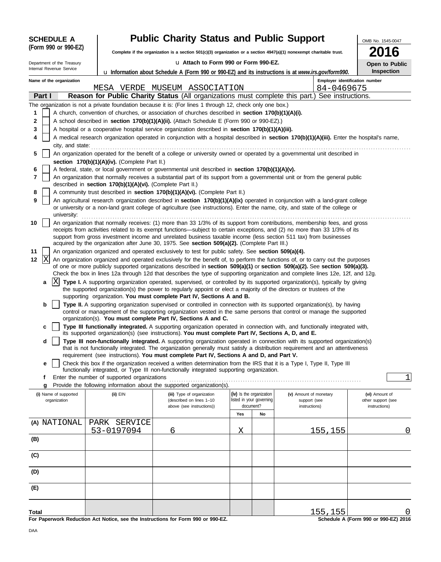| <b>SCHEDULE A</b>                                                       | <b>Public Charity Status and Public Support</b>            | OMB No. 1545-0047                                                                                                                                                                                                                                                                                                                                                               |                                                                                                            |                        |         |                                           |  |
|-------------------------------------------------------------------------|------------------------------------------------------------|---------------------------------------------------------------------------------------------------------------------------------------------------------------------------------------------------------------------------------------------------------------------------------------------------------------------------------------------------------------------------------|------------------------------------------------------------------------------------------------------------|------------------------|---------|-------------------------------------------|--|
| (Form 990 or 990-EZ)                                                    |                                                            | Complete if the organization is a section 501(c)(3) organization or a section $4947(a)(1)$ nonexempt charitable trust.                                                                                                                                                                                                                                                          |                                                                                                            |                        |         |                                           |  |
| La Attach to Form 990 or Form 990-EZ.<br>Department of the Treasury     |                                                            |                                                                                                                                                                                                                                                                                                                                                                                 |                                                                                                            |                        |         | Open to Public                            |  |
| Internal Revenue Service                                                |                                                            |                                                                                                                                                                                                                                                                                                                                                                                 | <b>u</b> Information about Schedule A (Form 990 or 990-EZ) and its instructions is at www.irs.gov/form990. |                        |         |                                           |  |
| Name of the organization<br>MESA VERDE MUSEUM ASSOCIATION<br>84-0469675 |                                                            |                                                                                                                                                                                                                                                                                                                                                                                 |                                                                                                            |                        |         | Employer identification number            |  |
| Part I                                                                  |                                                            | Reason for Public Charity Status (All organizations must complete this part.) See instructions.                                                                                                                                                                                                                                                                                 |                                                                                                            |                        |         |                                           |  |
|                                                                         |                                                            | The organization is not a private foundation because it is: (For lines 1 through 12, check only one box.)                                                                                                                                                                                                                                                                       |                                                                                                            |                        |         |                                           |  |
| 1                                                                       |                                                            | A church, convention of churches, or association of churches described in <b>section 170(b)(1)(A)(i).</b>                                                                                                                                                                                                                                                                       |                                                                                                            |                        |         |                                           |  |
| 2                                                                       |                                                            | A school described in section 170(b)(1)(A)(ii). (Attach Schedule E (Form 990 or 990-EZ).)                                                                                                                                                                                                                                                                                       |                                                                                                            |                        |         |                                           |  |
| 3                                                                       |                                                            | A hospital or a cooperative hospital service organization described in section 170(b)(1)(A)(iii).                                                                                                                                                                                                                                                                               |                                                                                                            |                        |         |                                           |  |
| 4                                                                       |                                                            | A medical research organization operated in conjunction with a hospital described in section 170(b)(1)(A)(iii). Enter the hospital's name,                                                                                                                                                                                                                                      |                                                                                                            |                        |         |                                           |  |
| city, and state:<br>5                                                   |                                                            | An organization operated for the benefit of a college or university owned or operated by a governmental unit described in                                                                                                                                                                                                                                                       |                                                                                                            |                        |         |                                           |  |
|                                                                         | section 170(b)(1)(A)(iv). (Complete Part II.)              |                                                                                                                                                                                                                                                                                                                                                                                 |                                                                                                            |                        |         |                                           |  |
| 6                                                                       |                                                            | A federal, state, or local government or governmental unit described in section 170(b)(1)(A)(v).                                                                                                                                                                                                                                                                                |                                                                                                            |                        |         |                                           |  |
| 7                                                                       | described in section 170(b)(1)(A)(vi). (Complete Part II.) | An organization that normally receives a substantial part of its support from a governmental unit or from the general public                                                                                                                                                                                                                                                    |                                                                                                            |                        |         |                                           |  |
| 8                                                                       |                                                            | A community trust described in section 170(b)(1)(A)(vi). (Complete Part II.)                                                                                                                                                                                                                                                                                                    |                                                                                                            |                        |         |                                           |  |
| 9<br>university:                                                        |                                                            | An agricultural research organization described in section 170(b)(1)(A)(ix) operated in conjunction with a land-grant college<br>or university or a non-land grant college of agriculture (see instructions). Enter the name, city, and state of the college or                                                                                                                 |                                                                                                            |                        |         |                                           |  |
| 10                                                                      |                                                            | An organization that normally receives: (1) more than 33 1/3% of its support from contributions, membership fees, and gross<br>receipts from activities related to its exempt functions—subject to certain exceptions, and (2) no more than 33 1/3% of its<br>support from gross investment income and unrelated business taxable income (less section 511 tax) from businesses |                                                                                                            |                        |         |                                           |  |
| 11                                                                      |                                                            | acquired by the organization after June 30, 1975. See section 509(a)(2). (Complete Part III.)<br>An organization organized and operated exclusively to test for public safety. See section 509(a)(4).                                                                                                                                                                           |                                                                                                            |                        |         |                                           |  |
| X<br>12                                                                 |                                                            | An organization organized and operated exclusively for the benefit of, to perform the functions of, or to carry out the purposes                                                                                                                                                                                                                                                |                                                                                                            |                        |         |                                           |  |
|                                                                         |                                                            | of one or more publicly supported organizations described in section 509(a)(1) or section 509(a)(2). See section 509(a)(3).                                                                                                                                                                                                                                                     |                                                                                                            |                        |         |                                           |  |
|                                                                         |                                                            | Check the box in lines 12a through 12d that describes the type of supporting organization and complete lines 12e, 12f, and 12g.                                                                                                                                                                                                                                                 |                                                                                                            |                        |         |                                           |  |
| ΙXΙ<br>a                                                                |                                                            | Type I. A supporting organization operated, supervised, or controlled by its supported organization(s), typically by giving<br>the supported organization(s) the power to regularly appoint or elect a majority of the directors or trustees of the                                                                                                                             |                                                                                                            |                        |         |                                           |  |
| b                                                                       |                                                            | supporting organization. You must complete Part IV, Sections A and B.<br>Type II. A supporting organization supervised or controlled in connection with its supported organization(s), by having<br>control or management of the supporting organization vested in the same persons that control or manage the supported                                                        |                                                                                                            |                        |         |                                           |  |
|                                                                         |                                                            | organization(s). You must complete Part IV, Sections A and C.                                                                                                                                                                                                                                                                                                                   |                                                                                                            |                        |         |                                           |  |
| C                                                                       |                                                            | Type III functionally integrated. A supporting organization operated in connection with, and functionally integrated with,                                                                                                                                                                                                                                                      |                                                                                                            |                        |         |                                           |  |
|                                                                         |                                                            | its supported organization(s) (see instructions). You must complete Part IV, Sections A, D, and E.                                                                                                                                                                                                                                                                              |                                                                                                            |                        |         |                                           |  |
| d                                                                       |                                                            | Type III non-functionally integrated. A supporting organization operated in connection with its supported organization(s)<br>that is not functionally integrated. The organization generally must satisfy a distribution requirement and an attentiveness                                                                                                                       |                                                                                                            |                        |         |                                           |  |
|                                                                         |                                                            | requirement (see instructions). You must complete Part IV, Sections A and D, and Part V.                                                                                                                                                                                                                                                                                        |                                                                                                            |                        |         |                                           |  |
| е                                                                       |                                                            | Check this box if the organization received a written determination from the IRS that it is a Type I, Type II, Type III                                                                                                                                                                                                                                                         |                                                                                                            |                        |         |                                           |  |
|                                                                         |                                                            | functionally integrated, or Type III non-functionally integrated supporting organization.                                                                                                                                                                                                                                                                                       |                                                                                                            |                        |         |                                           |  |
| f<br>g                                                                  | Enter the number of supported organizations                | Provide the following information about the supported organization(s).                                                                                                                                                                                                                                                                                                          |                                                                                                            |                        |         | 1                                         |  |
| (i) Name of supported                                                   | (ii) EIN                                                   | (iii) Type of organization                                                                                                                                                                                                                                                                                                                                                      | (iv) Is the organization                                                                                   | (v) Amount of monetary |         | (vi) Amount of                            |  |
| organization                                                            |                                                            | (described on lines 1-10                                                                                                                                                                                                                                                                                                                                                        | listed in your governing                                                                                   | support (see           |         | other support (see                        |  |
|                                                                         |                                                            | above (see instructions))                                                                                                                                                                                                                                                                                                                                                       | document?                                                                                                  | instructions)          |         | instructions)                             |  |
|                                                                         |                                                            |                                                                                                                                                                                                                                                                                                                                                                                 | Yes<br>No                                                                                                  |                        |         |                                           |  |
| (A) NATIONAL                                                            | PARK SERVICE<br>53-0197094                                 | 6                                                                                                                                                                                                                                                                                                                                                                               | Χ                                                                                                          |                        | 155,155 | 0                                         |  |
| (B)                                                                     |                                                            |                                                                                                                                                                                                                                                                                                                                                                                 |                                                                                                            |                        |         |                                           |  |
| (C)                                                                     |                                                            |                                                                                                                                                                                                                                                                                                                                                                                 |                                                                                                            |                        |         |                                           |  |
| (D)                                                                     |                                                            |                                                                                                                                                                                                                                                                                                                                                                                 |                                                                                                            |                        |         |                                           |  |
| (E)                                                                     |                                                            |                                                                                                                                                                                                                                                                                                                                                                                 |                                                                                                            |                        |         |                                           |  |
|                                                                         |                                                            |                                                                                                                                                                                                                                                                                                                                                                                 |                                                                                                            |                        |         |                                           |  |
| Total                                                                   |                                                            | For Paperwork Reduction Act Notice, see the Instructions for Form 990 or 990-EZ.                                                                                                                                                                                                                                                                                                |                                                                                                            |                        | 155,155 | O<br>Schedule A (Form 990 or 990-EZ) 2016 |  |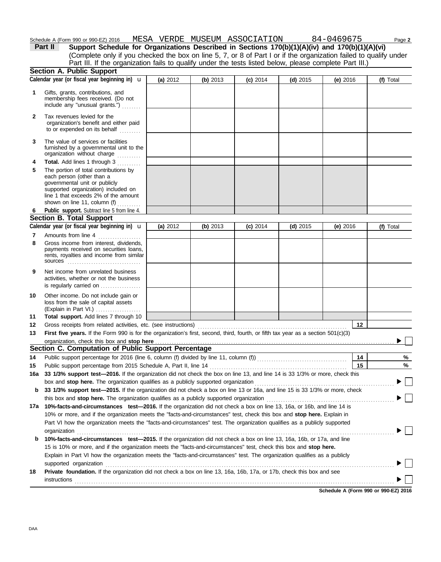| Schedule | or 990-E<br>990<br>(Form | $\sim$<br>2016<br>MH:<br>.<br>. | $^{\prime}$ $\Lambda$<br>. <i>.</i><br>,,,<br>╌<br>ᅩᄄᄓ | ISEUM<br>MUSE. | .ATION<br>. $\wedge$ $\mathsf{m}$ .<br>$\mathbf{r}$<br>1 L<br>ADL | u G<br>$\overline{ }$<br>. | Page 2 |
|----------|--------------------------|---------------------------------|--------------------------------------------------------|----------------|-------------------------------------------------------------------|----------------------------|--------|
|          |                          |                                 |                                                        |                |                                                                   |                            |        |

**Section A. Public Support (a)** 2012 **(b)** 2013 **(c)** 2014 **(d)** 2015 **(e)** 2016 **Calendar year (or fiscal year beginning in) (f)** Total (Complete only if you checked the box on line 5, 7, or 8 of Part I or if the organization failed to qualify under **Part II Support Schedule for Organizations Described in Sections 170(b)(1)(A)(iv) and 170(b)(1)(A)(vi)** Part III. If the organization fails to qualify under the tests listed below, please complete Part III.) u

|              | Calendar year tor riscal year beginning in) <b>u</b>                                                                                                                                                                                                 | (a) ∠∪1∠ | $(D)$ 2013 | $(C)$ 2014 | $(a)$ 2015 | (e) ∠∪ i b | (f) Total |
|--------------|------------------------------------------------------------------------------------------------------------------------------------------------------------------------------------------------------------------------------------------------------|----------|------------|------------|------------|------------|-----------|
| 1            | Gifts, grants, contributions, and<br>membership fees received. (Do not<br>include any "unusual grants.")                                                                                                                                             |          |            |            |            |            |           |
| $\mathbf{2}$ | Tax revenues levied for the<br>organization's benefit and either paid<br>to or expended on its behalf                                                                                                                                                |          |            |            |            |            |           |
| 3            | The value of services or facilities<br>furnished by a governmental unit to the<br>organization without charge                                                                                                                                        |          |            |            |            |            |           |
| 4            | Total. Add lines 1 through 3                                                                                                                                                                                                                         |          |            |            |            |            |           |
| 5            | The portion of total contributions by<br>each person (other than a<br>governmental unit or publicly<br>supported organization) included on<br>line 1 that exceeds 2% of the amount<br>shown on line 11, column $(f)$                                 |          |            |            |            |            |           |
| 6            | Public support. Subtract line 5 from line 4.                                                                                                                                                                                                         |          |            |            |            |            |           |
|              | <b>Section B. Total Support</b>                                                                                                                                                                                                                      |          |            |            |            |            |           |
|              | Calendar year (or fiscal year beginning in) <b>u</b>                                                                                                                                                                                                 | (a) 2012 | (b) 2013   | $(c)$ 2014 | $(d)$ 2015 | (e) 2016   | (f) Total |
| 7            | Amounts from line 4<br>.                                                                                                                                                                                                                             |          |            |            |            |            |           |
| 8            | Gross income from interest, dividends,<br>payments received on securities loans,<br>rents, royalties and income from similar<br><b>sources</b>                                                                                                       |          |            |            |            |            |           |
| 9            | Net income from unrelated business<br>activities, whether or not the business<br>is regularly carried on                                                                                                                                             |          |            |            |            |            |           |
| 10           | Other income. Do not include gain or<br>loss from the sale of capital assets<br>(Explain in Part VI.)                                                                                                                                                |          |            |            |            |            |           |
| 11           | Total support. Add lines 7 through 10                                                                                                                                                                                                                |          |            |            |            |            |           |
| 12           | Gross receipts from related activities, etc. (see instructions)                                                                                                                                                                                      |          |            |            |            | 12         |           |
| 13           | First five years. If the Form 990 is for the organization's first, second, third, fourth, or fifth tax year as a section $501(c)(3)$                                                                                                                 |          |            |            |            |            |           |
|              | organization, check this box and stop here                                                                                                                                                                                                           |          |            |            |            |            |           |
|              | Section C. Computation of Public Support Percentage                                                                                                                                                                                                  |          |            |            |            |            |           |
| 14           |                                                                                                                                                                                                                                                      |          |            |            |            | 14         | %         |
| 15           | Public support percentage from 2015 Schedule A, Part II, line 14                                                                                                                                                                                     |          |            |            |            | 15         | $\%$      |
| 16a          | 33 1/3% support test-2016. If the organization did not check the box on line 13, and line 14 is 33 1/3% or more, check this                                                                                                                          |          |            |            |            |            |           |
|              | box and stop here. The organization qualifies as a publicly supported organization                                                                                                                                                                   |          |            |            |            |            |           |
| b            | 33 1/3% support test—2015. If the organization did not check a box on line 13 or 16a, and line 15 is 33 1/3% or more, check                                                                                                                          |          |            |            |            |            |           |
|              | this box and stop here. The organization qualifies as a publicly supported organization                                                                                                                                                              |          |            |            |            |            |           |
|              | 17a 10%-facts-and-circumstances test-2016. If the organization did not check a box on line 13, 16a, or 16b, and line 14 is                                                                                                                           |          |            |            |            |            |           |
|              | 10% or more, and if the organization meets the "facts-and-circumstances" test, check this box and stop here. Explain in<br>Part VI how the organization meets the "facts-and-circumstances" test. The organization qualifies as a publicly supported |          |            |            |            |            |           |
|              |                                                                                                                                                                                                                                                      |          |            |            |            |            |           |
| b            | organization<br>10%-facts-and-circumstances test-2015. If the organization did not check a box on line 13, 16a, 16b, or 17a, and line                                                                                                                |          |            |            |            |            |           |
|              | 15 is 10% or more, and if the organization meets the "facts-and-circumstances" test, check this box and stop here.                                                                                                                                   |          |            |            |            |            |           |
|              | Explain in Part VI how the organization meets the "facts-and-circumstances" test. The organization qualifies as a publicly                                                                                                                           |          |            |            |            |            |           |
|              | supported organization                                                                                                                                                                                                                               |          |            |            |            |            |           |
| 18           | Private foundation. If the organization did not check a box on line 13, 16a, 16b, 17a, or 17b, check this box and see                                                                                                                                |          |            |            |            |            |           |
|              |                                                                                                                                                                                                                                                      |          |            |            |            |            |           |
|              |                                                                                                                                                                                                                                                      |          |            |            |            |            |           |

**Schedule A (Form 990 or 990-EZ) 2016**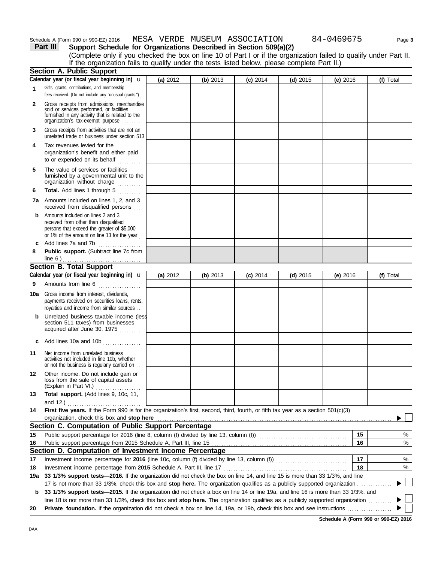#### **Part III Support Schedule for Organizations Described in Section 509(a)(2)** Schedule A (Form 990 or 990-EZ) 2016 MESA VERDE MUSEUM ASSOCIATION 84-0469675 Page 3

|              | (Complete only if you checked the box on line 10 of Part I or if the organization failed to qualify under Part II.<br>If the organization fails to qualify under the tests listed below, please complete Part II.)                                                   |          |          |            |            |            |           |
|--------------|----------------------------------------------------------------------------------------------------------------------------------------------------------------------------------------------------------------------------------------------------------------------|----------|----------|------------|------------|------------|-----------|
|              | <b>Section A. Public Support</b>                                                                                                                                                                                                                                     |          |          |            |            |            |           |
|              | Calendar year (or fiscal year beginning in) $\mathbf u$                                                                                                                                                                                                              | (a) 2012 | (b) 2013 | (c) 2014   | $(d)$ 2015 | (e) $2016$ | (f) Total |
| $\mathbf{1}$ | Gifts, grants, contributions, and membership<br>fees received. (Do not include any "unusual grants.")                                                                                                                                                                |          |          |            |            |            |           |
| $\mathbf{2}$ | Gross receipts from admissions, merchandise<br>sold or services performed, or facilities<br>furnished in any activity that is related to the<br>organization's tax-exempt purpose                                                                                    |          |          |            |            |            |           |
| 3            | Gross receipts from activities that are not an<br>unrelated trade or business under section 513                                                                                                                                                                      |          |          |            |            |            |           |
| 4            | Tax revenues levied for the<br>organization's benefit and either paid<br>to or expended on its behalf                                                                                                                                                                |          |          |            |            |            |           |
| 5            | The value of services or facilities<br>furnished by a governmental unit to the<br>organization without charge                                                                                                                                                        |          |          |            |            |            |           |
| 6            | Total. Add lines 1 through 5<br>.                                                                                                                                                                                                                                    |          |          |            |            |            |           |
|              | <b>7a</b> Amounts included on lines 1, 2, and 3<br>received from disqualified persons                                                                                                                                                                                |          |          |            |            |            |           |
| b            | Amounts included on lines 2 and 3<br>received from other than disqualified<br>persons that exceed the greater of \$5,000<br>or 1% of the amount on line 13 for the year                                                                                              |          |          |            |            |            |           |
|              | c Add lines 7a and 7b<br>.                                                                                                                                                                                                                                           |          |          |            |            |            |           |
| 8            | Public support. (Subtract line 7c from                                                                                                                                                                                                                               |          |          |            |            |            |           |
|              | <b>Section B. Total Support</b>                                                                                                                                                                                                                                      |          |          |            |            |            |           |
| 9            | Calendar year (or fiscal year beginning in) $\mathbf u$<br>Amounts from line 6                                                                                                                                                                                       | (a) 2012 | (b) 2013 | $(c)$ 2014 | $(d)$ 2015 | (e) 2016   | (f) Total |
| 10a          | Gross income from interest, dividends,<br>payments received on securities loans, rents,<br>royalties and income from similar sources                                                                                                                                 |          |          |            |            |            |           |
| b            | Unrelated business taxable income (less<br>section 511 taxes) from businesses<br>acquired after June 30, 1975                                                                                                                                                        |          |          |            |            |            |           |
|              | c Add lines 10a and 10b $\ldots$                                                                                                                                                                                                                                     |          |          |            |            |            |           |
| 11           | Net income from unrelated business<br>activities not included in line 10b, whether<br>or not the business is regularly carried on                                                                                                                                    |          |          |            |            |            |           |
| 12           | Other income. Do not include gain or<br>loss from the sale of capital assets<br>(Explain in Part VI.)                                                                                                                                                                |          |          |            |            |            |           |
| 13           | Total support. (Add lines 9, 10c, 11,<br>and 12.)                                                                                                                                                                                                                    |          |          |            |            |            |           |
| 14           | First five years. If the Form 990 is for the organization's first, second, third, fourth, or fifth tax year as a section 501(c)(3)<br>organization, check this box and stop here                                                                                     |          |          |            |            |            |           |
|              | Section C. Computation of Public Support Percentage                                                                                                                                                                                                                  |          |          |            |            |            |           |
| 15           |                                                                                                                                                                                                                                                                      |          |          |            |            | 15         | %         |
| 16           |                                                                                                                                                                                                                                                                      |          |          |            |            | 16         | %         |
|              | Section D. Computation of Investment Income Percentage                                                                                                                                                                                                               |          |          |            |            |            |           |
| 17           |                                                                                                                                                                                                                                                                      |          |          |            |            | 17         | %         |
| 18           | Investment income percentage from 2015 Schedule A, Part III, line 17                                                                                                                                                                                                 |          |          |            |            | 18         | %         |
| 19a          | 33 1/3% support tests-2016. If the organization did not check the box on line 14, and line 15 is more than 33 1/3%, and line                                                                                                                                         |          |          |            |            |            |           |
|              | 17 is not more than 33 1/3%, check this box and stop here. The organization qualifies as a publicly supported organization                                                                                                                                           |          |          |            |            |            |           |
| b            | 33 1/3% support tests-2015. If the organization did not check a box on line 14 or line 19a, and line 16 is more than 33 1/3%, and<br>line 18 is not more than 33 1/3%, check this box and stop here. The organization qualifies as a publicly supported organization |          |          |            |            |            |           |
| 20           |                                                                                                                                                                                                                                                                      |          |          |            |            |            |           |

**Schedule A (Form 990 or 990-EZ) 2016**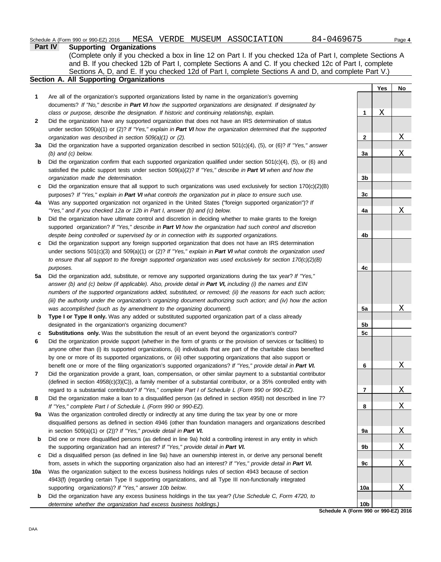|     | 84-0469675<br>Schedule A (Form 990 or 990-EZ) 2016 MESA VERDE MUSEUM ASSOCIATION                                                                                                                                                   |              |            | Page 4                  |
|-----|------------------------------------------------------------------------------------------------------------------------------------------------------------------------------------------------------------------------------------|--------------|------------|-------------------------|
|     | <b>Supporting Organizations</b><br>Part IV                                                                                                                                                                                         |              |            |                         |
|     | (Complete only if you checked a box in line 12 on Part I. If you checked 12a of Part I, complete Sections A                                                                                                                        |              |            |                         |
|     | and B. If you checked 12b of Part I, complete Sections A and C. If you checked 12c of Part I, complete                                                                                                                             |              |            |                         |
|     | Sections A, D, and E. If you checked 12d of Part I, complete Sections A and D, and complete Part V.)                                                                                                                               |              |            |                         |
|     | Section A. All Supporting Organizations                                                                                                                                                                                            |              |            |                         |
|     |                                                                                                                                                                                                                                    |              | <b>Yes</b> | No                      |
| 1   | Are all of the organization's supported organizations listed by name in the organization's governing                                                                                                                               |              |            |                         |
|     | documents? If "No," describe in Part VI how the supported organizations are designated. If designated by                                                                                                                           |              |            |                         |
|     | class or purpose, describe the designation. If historic and continuing relationship, explain.                                                                                                                                      | 1            | Χ          |                         |
| 2   | Did the organization have any supported organization that does not have an IRS determination of status                                                                                                                             |              |            |                         |
|     | under section 509(a)(1) or (2)? If "Yes," explain in Part VI how the organization determined that the supported                                                                                                                    |              |            |                         |
|     | organization was described in section 509(a)(1) or (2).                                                                                                                                                                            | $\mathbf{2}$ |            | Χ                       |
| За  | Did the organization have a supported organization described in section $501(c)(4)$ , (5), or (6)? If "Yes," answer                                                                                                                |              |            |                         |
|     | $(b)$ and $(c)$ below.                                                                                                                                                                                                             | За           |            | Χ                       |
| b   | Did the organization confirm that each supported organization qualified under section $501(c)(4)$ , (5), or (6) and                                                                                                                |              |            |                         |
|     | satisfied the public support tests under section 509(a)(2)? If "Yes," describe in Part VI when and how the                                                                                                                         |              |            |                         |
|     | organization made the determination.                                                                                                                                                                                               | 3b           |            |                         |
| c   | Did the organization ensure that all support to such organizations was used exclusively for section $170(c)(2)(B)$                                                                                                                 |              |            |                         |
|     | purposes? If "Yes," explain in Part VI what controls the organization put in place to ensure such use.                                                                                                                             | 3c           |            |                         |
| 4a  | Was any supported organization not organized in the United States ("foreign supported organization")? If                                                                                                                           |              |            |                         |
|     | "Yes," and if you checked 12a or 12b in Part I, answer (b) and (c) below.                                                                                                                                                          | 4a           |            | Χ                       |
| b   | Did the organization have ultimate control and discretion in deciding whether to make grants to the foreign                                                                                                                        |              |            |                         |
|     | supported organization? If "Yes," describe in Part VI how the organization had such control and discretion                                                                                                                         |              |            |                         |
|     | despite being controlled or supervised by or in connection with its supported organizations.                                                                                                                                       | 4b           |            |                         |
| c   | Did the organization support any foreign supported organization that does not have an IRS determination                                                                                                                            |              |            |                         |
|     | under sections $501(c)(3)$ and $509(a)(1)$ or $(2)$ ? If "Yes," explain in Part VI what controls the organization used                                                                                                             |              |            |                         |
|     | to ensure that all support to the foreign supported organization was used exclusively for section $170(c)(2)(B)$                                                                                                                   |              |            |                         |
|     | purposes.                                                                                                                                                                                                                          | 4c           |            |                         |
| 5a  | Did the organization add, substitute, or remove any supported organizations during the tax year? If "Yes,"                                                                                                                         |              |            |                         |
|     | answer (b) and (c) below (if applicable). Also, provide detail in Part VI, including (i) the names and EIN                                                                                                                         |              |            |                         |
|     | numbers of the supported organizations added, substituted, or removed; (ii) the reasons for each such action;                                                                                                                      |              |            |                         |
|     | (iii) the authority under the organization's organizing document authorizing such action; and (iv) how the action                                                                                                                  |              |            |                         |
|     | was accomplished (such as by amendment to the organizing document).                                                                                                                                                                | 5a           |            | Χ                       |
| b   | Type I or Type II only. Was any added or substituted supported organization part of a class already                                                                                                                                |              |            |                         |
|     | designated in the organization's organizing document?                                                                                                                                                                              | 5b<br>5c     |            |                         |
|     | Substitutions only. Was the substitution the result of an event beyond the organization's control?<br>Did the organization provide support (whether in the form of grants or the provision of services or facilities) to           |              |            |                         |
|     |                                                                                                                                                                                                                                    |              |            |                         |
|     | anyone other than (i) its supported organizations, (ii) individuals that are part of the charitable class benefited<br>by one or more of its supported organizations, or (iii) other supporting organizations that also support or |              |            |                         |
|     | benefit one or more of the filing organization's supported organizations? If "Yes," provide detail in Part VI.                                                                                                                     | 6            |            | Χ                       |
| 7   | Did the organization provide a grant, loan, compensation, or other similar payment to a substantial contributor                                                                                                                    |              |            |                         |
|     | (defined in section 4958(c)(3)(C)), a family member of a substantial contributor, or a 35% controlled entity with                                                                                                                  |              |            |                         |
|     | regard to a substantial contributor? If "Yes," complete Part I of Schedule L (Form 990 or 990-EZ).                                                                                                                                 | 7            |            | X                       |
| 8   | Did the organization make a loan to a disqualified person (as defined in section 4958) not described in line 7?                                                                                                                    |              |            |                         |
|     | If "Yes," complete Part I of Schedule L (Form 990 or 990-EZ).                                                                                                                                                                      | 8            |            | Χ                       |
| 9a  | Was the organization controlled directly or indirectly at any time during the tax year by one or more                                                                                                                              |              |            |                         |
|     | disqualified persons as defined in section 4946 (other than foundation managers and organizations described                                                                                                                        |              |            |                         |
|     | in section 509(a)(1) or (2))? If "Yes," provide detail in Part VI.                                                                                                                                                                 | 9а           |            | X                       |
| b   | Did one or more disqualified persons (as defined in line 9a) hold a controlling interest in any entity in which                                                                                                                    |              |            |                         |
|     | the supporting organization had an interest? If "Yes," provide detail in Part VI.                                                                                                                                                  | 9b           |            | <u>х</u>                |
| c   | Did a disqualified person (as defined in line 9a) have an ownership interest in, or derive any personal benefit                                                                                                                    |              |            |                         |
|     | from, assets in which the supporting organization also had an interest? If "Yes," provide detail in Part VI.                                                                                                                       | 9с           |            | Χ                       |
| 10a | Was the organization subject to the excess business holdings rules of section 4943 because of section                                                                                                                              |              |            |                         |
|     | 4943(f) (regarding certain Type II supporting organizations, and all Type III non-functionally integrated                                                                                                                          |              |            |                         |
|     | supporting organizations)? If "Yes," answer 10b below.                                                                                                                                                                             | 10a          |            | $\overline{\mathrm{X}}$ |
| b   | Did the organization have any excess business holdings in the tax year? (Use Schedule C, Form 4720, to                                                                                                                             |              |            |                         |

**Schedule A (Form 990 or 990-EZ) 2016 10b**

*determine whether the organization had excess business holdings.)*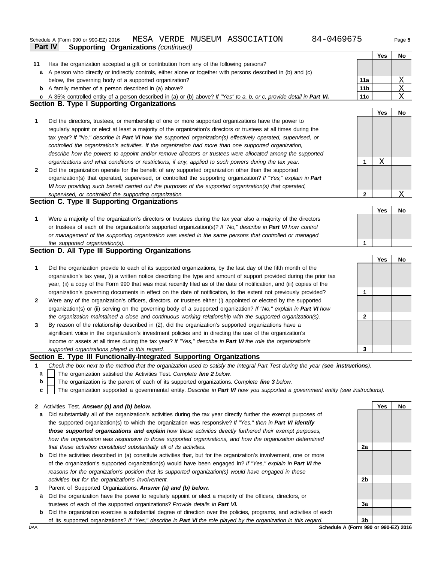|              | 84-0469675<br>MESA VERDE MUSEUM ASSOCIATION<br>Schedule A (Form 990 or 990-EZ) 2016                                               |                 |            | Page 5    |
|--------------|-----------------------------------------------------------------------------------------------------------------------------------|-----------------|------------|-----------|
|              | <b>Supporting Organizations (continued)</b><br>Part IV                                                                            |                 |            |           |
|              |                                                                                                                                   |                 | <b>Yes</b> | No        |
| 11           | Has the organization accepted a gift or contribution from any of the following persons?                                           |                 |            |           |
|              | a A person who directly or indirectly controls, either alone or together with persons described in (b) and (c)                    |                 |            |           |
|              | below, the governing body of a supported organization?                                                                            | 11a             |            | Χ         |
|              | <b>b</b> A family member of a person described in (a) above?                                                                      | 11 <sub>b</sub> |            | Χ         |
|              | c A 35% controlled entity of a person described in (a) or (b) above? If "Yes" to a, b, or c, provide detail in Part VI.           | 11c             |            | Χ         |
|              | Section B. Type I Supporting Organizations                                                                                        |                 |            |           |
|              |                                                                                                                                   |                 | <b>Yes</b> | No        |
| 1            | Did the directors, trustees, or membership of one or more supported organizations have the power to                               |                 |            |           |
|              | regularly appoint or elect at least a majority of the organization's directors or trustees at all times during the                |                 |            |           |
|              | tax year? If "No," describe in Part VI how the supported organization(s) effectively operated, supervised, or                     |                 |            |           |
|              | controlled the organization's activities. If the organization had more than one supported organization,                           |                 |            |           |
|              | describe how the powers to appoint and/or remove directors or trustees were allocated among the supported                         |                 |            |           |
|              | organizations and what conditions or restrictions, if any, applied to such powers during the tax year.                            | 1               | Χ          |           |
| $\mathbf{2}$ | Did the organization operate for the benefit of any supported organization other than the supported                               |                 |            |           |
|              | organization(s) that operated, supervised, or controlled the supporting organization? If "Yes," explain in Part                   |                 |            |           |
|              | VI how providing such benefit carried out the purposes of the supported organization(s) that operated,                            |                 |            |           |
|              | supervised, or controlled the supporting organization.                                                                            | $\mathbf{2}$    |            | X         |
|              | Section C. Type II Supporting Organizations                                                                                       |                 |            |           |
|              |                                                                                                                                   |                 | Yes        | No        |
| 1            | Were a majority of the organization's directors or trustees during the tax year also a majority of the directors                  |                 |            |           |
|              | or trustees of each of the organization's supported organization(s)? If "No," describe in Part VI how control                     |                 |            |           |
|              | or management of the supporting organization was vested in the same persons that controlled or managed                            |                 |            |           |
|              | the supported organization(s).                                                                                                    | 1               |            |           |
|              | Section D. All Type III Supporting Organizations                                                                                  |                 |            |           |
|              |                                                                                                                                   |                 | Yes        | No        |
| 1            | Did the organization provide to each of its supported organizations, by the last day of the fifth month of the                    |                 |            |           |
|              | organization's tax year, (i) a written notice describing the type and amount of support provided during the prior tax             |                 |            |           |
|              | year, (ii) a copy of the Form 990 that was most recently filed as of the date of notification, and (iii) copies of the            |                 |            |           |
|              | organization's governing documents in effect on the date of notification, to the extent not previously provided?                  | 1               |            |           |
| $\mathbf{2}$ | Were any of the organization's officers, directors, or trustees either (i) appointed or elected by the supported                  |                 |            |           |
|              | organization(s) or (ii) serving on the governing body of a supported organization? If "No," explain in Part VI how                |                 |            |           |
|              | the organization maintained a close and continuous working relationship with the supported organization(s).                       | 2               |            |           |
|              | By reason of the relationship described in (2), did the organization's supported organizations have a                             |                 |            |           |
| 3            | significant voice in the organization's investment policies and in directing the use of the organization's                        |                 |            |           |
|              |                                                                                                                                   |                 |            |           |
|              | income or assets at all times during the tax year? If "Yes," describe in Part VI the role the organization's                      |                 |            |           |
|              | supported organizations played in this regard.<br>Section E. Type III Functionally-Integrated Supporting Organizations            | 3               |            |           |
|              |                                                                                                                                   |                 |            |           |
| 1            | Check the box next to the method that the organization used to satisfy the Integral Part Test during the year (see instructions). |                 |            |           |
| a            | The organization satisfied the Activities Test. Complete line 2 below.                                                            |                 |            |           |
| b            | The organization is the parent of each of its supported organizations. Complete line 3 below.                                     |                 |            |           |
| C            | The organization supported a governmental entity. Describe in Part VI how you supported a government entity (see instructions).   |                 |            |           |
|              |                                                                                                                                   |                 |            |           |
|              | 2 Activities Test. Answer (a) and (b) below.                                                                                      |                 | Yes        | <b>No</b> |
| a            | Did substantially all of the organization's activities during the tax year directly further the exempt purposes of                |                 |            |           |
|              | the supported organization(s) to which the organization was responsive? If "Yes," then in Part VI identify                        |                 |            |           |
|              | those supported organizations and explain how these activities directly furthered their exempt purposes,                          |                 |            |           |
|              | how the organization was responsive to those supported organizations, and how the organization determined                         |                 |            |           |

- **b** Did the activities described in (a) constitute activities that, but for the organization's involvement, one or more *that these activities constituted substantially all of its activities.* of the organization's supported organization(s) would have been engaged in? *If "Yes," explain in Part VI the reasons for the organization's position that its supported organization(s) would have engaged in these activities but for the organization's involvement.*
- **3** Parent of Supported Organizations. *Answer (a) and (b) below.*
	- **a** Did the organization have the power to regularly appoint or elect a majority of the officers, directors, or trustees of each of the supported organizations? *Provide details in Part VI.*
- **b** Did the organization exercise a substantial degree of direction over the policies, programs, and activities of each of its supported organizations? *If "Yes," describe in Part VI the role played by the organization in this regard.*

**2a 2b 3a 3b**

DAA **SChedule A (Form 990 or 990-EZ) 2016**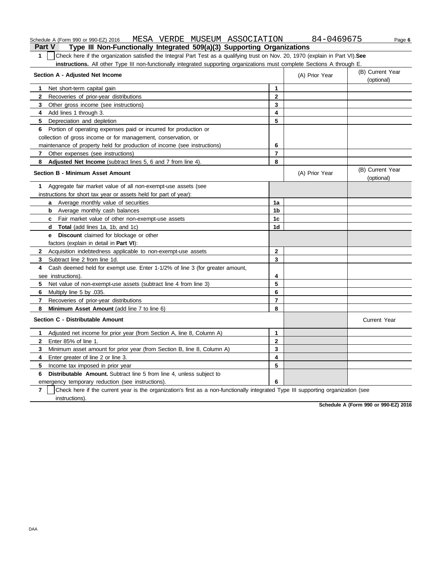#### Schedule A (Form 990 or 990-EZ) 2016 MESA VERDE MUSEUM ASSOCIATION 84-0469675 Page **6**

**Part V Type III Non-Functionally Integrated 509(a)(3) Supporting Organizations 1** Check here if the organization satisfied the Integral Part Test as a qualifying trust on Nov. 20, 1970 (explain in Part VI).**See instructions.** All other Type III non-functionally integrated supporting organizations must complete Sections A through E.

| Section A - Adjusted Net Income                                                                                                                     | (A) Prior Year | (B) Current Year<br>(optional) |                                |
|-----------------------------------------------------------------------------------------------------------------------------------------------------|----------------|--------------------------------|--------------------------------|
| Net short-term capital gain<br>1                                                                                                                    | 1              |                                |                                |
| $\mathbf{2}$<br>Recoveries of prior-year distributions                                                                                              | $\mathbf{2}$   |                                |                                |
| 3<br>Other gross income (see instructions)                                                                                                          | 3              |                                |                                |
| Add lines 1 through 3.<br>4                                                                                                                         | 4              |                                |                                |
| 5.<br>Depreciation and depletion                                                                                                                    | 5              |                                |                                |
| Portion of operating expenses paid or incurred for production or<br>6                                                                               |                |                                |                                |
| collection of gross income or for management, conservation, or                                                                                      |                |                                |                                |
| maintenance of property held for production of income (see instructions)                                                                            | 6              |                                |                                |
| Other expenses (see instructions)<br>7                                                                                                              | $\overline{7}$ |                                |                                |
| Adjusted Net Income (subtract lines 5, 6 and 7 from line 4).<br>8                                                                                   | 8              |                                |                                |
| <b>Section B - Minimum Asset Amount</b>                                                                                                             |                | (A) Prior Year                 | (B) Current Year<br>(optional) |
| Aggregate fair market value of all non-exempt-use assets (see<br>1.                                                                                 |                |                                |                                |
| instructions for short tax year or assets held for part of year):                                                                                   |                |                                |                                |
| a Average monthly value of securities                                                                                                               | 1a             |                                |                                |
| <b>b</b> Average monthly cash balances                                                                                                              | 1b             |                                |                                |
| <b>c</b> Fair market value of other non-exempt-use assets                                                                                           | 1 <sub>c</sub> |                                |                                |
| <b>d</b> Total (add lines 1a, 1b, and 1c)                                                                                                           | 1d             |                                |                                |
| Discount claimed for blockage or other<br>e                                                                                                         |                |                                |                                |
| factors (explain in detail in <b>Part VI)</b> :                                                                                                     |                |                                |                                |
| $\mathbf{2}$<br>Acquisition indebtedness applicable to non-exempt-use assets                                                                        | $\overline{2}$ |                                |                                |
| Subtract line 2 from line 1d.<br>3                                                                                                                  | 3              |                                |                                |
| Cash deemed held for exempt use. Enter 1-1/2% of line 3 (for greater amount,<br>4                                                                   |                |                                |                                |
| see instructions).                                                                                                                                  | 4              |                                |                                |
| 5.<br>Net value of non-exempt-use assets (subtract line 4 from line 3)                                                                              | 5              |                                |                                |
| Multiply line 5 by .035.<br>6                                                                                                                       | 6              |                                |                                |
| 7<br>Recoveries of prior-year distributions                                                                                                         | $\overline{7}$ |                                |                                |
| Minimum Asset Amount (add line 7 to line 6)<br>8                                                                                                    | 8              |                                |                                |
| Section C - Distributable Amount                                                                                                                    |                |                                | <b>Current Year</b>            |
| Adjusted net income for prior year (from Section A, line 8, Column A)<br>1                                                                          | 1              |                                |                                |
| Enter 85% of line 1.<br>$\mathbf{2}$                                                                                                                | $\mathbf{2}$   |                                |                                |
| 3<br>Minimum asset amount for prior year (from Section B, line 8, Column A)                                                                         | 3              |                                |                                |
| 4<br>Enter greater of line 2 or line 3.                                                                                                             | 4              |                                |                                |
| 5<br>Income tax imposed in prior year                                                                                                               | 5              |                                |                                |
| 6<br><b>Distributable Amount.</b> Subtract line 5 from line 4, unless subject to                                                                    |                |                                |                                |
| emergency temporary reduction (see instructions).                                                                                                   | 6              |                                |                                |
| $\overline{7}$<br>Check here if the current year is the organization's first as a non-functionally integrated Type III supporting organization (see |                |                                |                                |
| instructions).                                                                                                                                      |                |                                |                                |

**Schedule A (Form 990 or 990-EZ) 2016**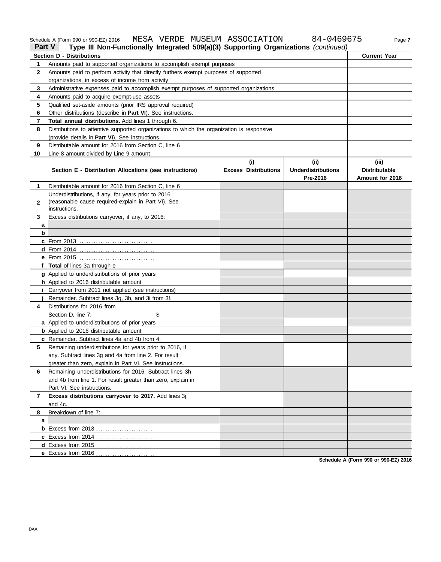#### Schedule A (Form 990 or 990-EZ) 2016 MESA VERDE MUSEUM ASSOCIATION 84-0469675 Page **7 Part V Type III Non-Functionally Integrated 509(a)(3) Supporting Organizations** *(continued)* **Section D - Distributions Current Year**

|                | <b>Section D - Distributions</b>                                                           |                             |                           |                      |  |  |  |
|----------------|--------------------------------------------------------------------------------------------|-----------------------------|---------------------------|----------------------|--|--|--|
| 1              | Amounts paid to supported organizations to accomplish exempt purposes                      |                             |                           |                      |  |  |  |
| $\mathbf{2}$   | Amounts paid to perform activity that directly furthers exempt purposes of supported       |                             |                           |                      |  |  |  |
|                | organizations, in excess of income from activity                                           |                             |                           |                      |  |  |  |
| 3              | Administrative expenses paid to accomplish exempt purposes of supported organizations      |                             |                           |                      |  |  |  |
| 4              | Amounts paid to acquire exempt-use assets                                                  |                             |                           |                      |  |  |  |
| 5              | Qualified set-aside amounts (prior IRS approval required)                                  |                             |                           |                      |  |  |  |
| 6              | Other distributions (describe in Part VI). See instructions.                               |                             |                           |                      |  |  |  |
| 7              | Total annual distributions. Add lines 1 through 6.                                         |                             |                           |                      |  |  |  |
| 8              | Distributions to attentive supported organizations to which the organization is responsive |                             |                           |                      |  |  |  |
|                | (provide details in Part VI). See instructions.                                            |                             |                           |                      |  |  |  |
| 9              | Distributable amount for 2016 from Section C, line 6                                       |                             |                           |                      |  |  |  |
| 10             | Line 8 amount divided by Line 9 amount                                                     |                             |                           |                      |  |  |  |
|                |                                                                                            | (i)                         | (ii)                      | (iii)                |  |  |  |
|                | Section E - Distribution Allocations (see instructions)                                    | <b>Excess Distributions</b> | <b>Underdistributions</b> | <b>Distributable</b> |  |  |  |
|                |                                                                                            |                             | Pre-2016                  | Amount for 2016      |  |  |  |
| 1              | Distributable amount for 2016 from Section C, line 6                                       |                             |                           |                      |  |  |  |
|                | Underdistributions, if any, for years prior to 2016                                        |                             |                           |                      |  |  |  |
| 2              | (reasonable cause required-explain in Part VI). See                                        |                             |                           |                      |  |  |  |
|                | instructions.                                                                              |                             |                           |                      |  |  |  |
| 3.             | Excess distributions carryover, if any, to 2016:                                           |                             |                           |                      |  |  |  |
| a              |                                                                                            |                             |                           |                      |  |  |  |
| b              |                                                                                            |                             |                           |                      |  |  |  |
|                | <b>c</b> From 2013                                                                         |                             |                           |                      |  |  |  |
|                |                                                                                            |                             |                           |                      |  |  |  |
|                |                                                                                            |                             |                           |                      |  |  |  |
|                | f Total of lines 3a through e                                                              |                             |                           |                      |  |  |  |
|                | g Applied to underdistributions of prior years                                             |                             |                           |                      |  |  |  |
|                | h Applied to 2016 distributable amount                                                     |                             |                           |                      |  |  |  |
|                | <i>i</i> Carryover from 2011 not applied (see instructions)                                |                             |                           |                      |  |  |  |
|                | Remainder. Subtract lines 3g, 3h, and 3i from 3f.                                          |                             |                           |                      |  |  |  |
| 4              | Distributions for 2016 from                                                                |                             |                           |                      |  |  |  |
|                | Section D, line 7:<br>\$                                                                   |                             |                           |                      |  |  |  |
|                | a Applied to underdistributions of prior years                                             |                             |                           |                      |  |  |  |
|                | <b>b</b> Applied to 2016 distributable amount                                              |                             |                           |                      |  |  |  |
|                | c Remainder. Subtract lines 4a and 4b from 4.                                              |                             |                           |                      |  |  |  |
| 5.             | Remaining underdistributions for years prior to 2016, if                                   |                             |                           |                      |  |  |  |
|                | any. Subtract lines 3g and 4a from line 2. For result                                      |                             |                           |                      |  |  |  |
|                | greater than zero, explain in Part VI. See instructions.                                   |                             |                           |                      |  |  |  |
|                | Remaining underdistributions for 2016. Subtract lines 3h<br>6                              |                             |                           |                      |  |  |  |
|                | and 4b from line 1. For result greater than zero, explain in                               |                             |                           |                      |  |  |  |
|                | Part VI. See instructions.                                                                 |                             |                           |                      |  |  |  |
| $\overline{7}$ | Excess distributions carryover to 2017. Add lines 3j                                       |                             |                           |                      |  |  |  |
|                | and 4c.                                                                                    |                             |                           |                      |  |  |  |
| 8              | Breakdown of line 7:                                                                       |                             |                           |                      |  |  |  |
| a              | <b>b</b> Excess from 2013                                                                  |                             |                           |                      |  |  |  |
|                |                                                                                            |                             |                           |                      |  |  |  |
|                |                                                                                            |                             |                           |                      |  |  |  |
|                | e Excess from 2016                                                                         |                             |                           |                      |  |  |  |
|                |                                                                                            |                             |                           |                      |  |  |  |

**Schedule A (Form 990 or 990-EZ) 2016**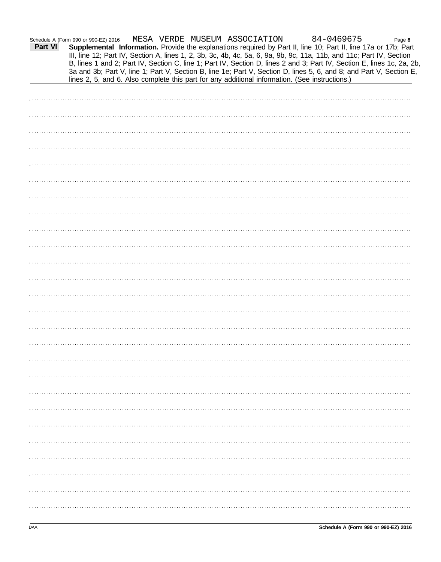| Schedule A (Form 990 or 990-EZ) 2016 |  |  |
|--------------------------------------|--|--|
|                                      |  |  |

|         | Schedule A (Form 990 or 990-EZ) 2016                                                                                   |  |  |  |  |
|---------|------------------------------------------------------------------------------------------------------------------------|--|--|--|--|
| Part VI |                                                                                                                        |  |  |  |  |
|         | III, line 12; Part IV, Section A, lines 1, 2, 3b, 3c, 4b, 4c, 5a, 6, 9a, 9b, 9c, 11a, 11b, and 11c; Part IV, Section   |  |  |  |  |
|         | B, lines 1 and 2; Part IV, Section C, line 1; Part IV, Section D, lines 2 and 3; Part IV, Section E, lines 1c, 2a, 2b, |  |  |  |  |
|         | 3a and 3b; Part V, line 1; Part V, Section B, line 1e; Part V, Section D, lines 5, 6, and 8; and Part V, Section E,    |  |  |  |  |
|         | lines 2, 5, and 6. Also complete this part for any additional information. (See instructions.)                         |  |  |  |  |
|         |                                                                                                                        |  |  |  |  |
|         |                                                                                                                        |  |  |  |  |
|         |                                                                                                                        |  |  |  |  |
|         |                                                                                                                        |  |  |  |  |
|         |                                                                                                                        |  |  |  |  |
|         |                                                                                                                        |  |  |  |  |
|         |                                                                                                                        |  |  |  |  |
|         |                                                                                                                        |  |  |  |  |
|         |                                                                                                                        |  |  |  |  |
|         |                                                                                                                        |  |  |  |  |
|         |                                                                                                                        |  |  |  |  |
|         |                                                                                                                        |  |  |  |  |
|         |                                                                                                                        |  |  |  |  |
|         |                                                                                                                        |  |  |  |  |
|         |                                                                                                                        |  |  |  |  |
|         |                                                                                                                        |  |  |  |  |
|         |                                                                                                                        |  |  |  |  |
|         |                                                                                                                        |  |  |  |  |
|         |                                                                                                                        |  |  |  |  |
|         |                                                                                                                        |  |  |  |  |
|         |                                                                                                                        |  |  |  |  |
|         |                                                                                                                        |  |  |  |  |
|         |                                                                                                                        |  |  |  |  |
|         |                                                                                                                        |  |  |  |  |
|         |                                                                                                                        |  |  |  |  |
|         |                                                                                                                        |  |  |  |  |
|         |                                                                                                                        |  |  |  |  |
|         |                                                                                                                        |  |  |  |  |
|         |                                                                                                                        |  |  |  |  |
|         |                                                                                                                        |  |  |  |  |
|         |                                                                                                                        |  |  |  |  |
|         |                                                                                                                        |  |  |  |  |
|         |                                                                                                                        |  |  |  |  |
|         |                                                                                                                        |  |  |  |  |
|         |                                                                                                                        |  |  |  |  |
|         |                                                                                                                        |  |  |  |  |
|         |                                                                                                                        |  |  |  |  |
|         |                                                                                                                        |  |  |  |  |
|         |                                                                                                                        |  |  |  |  |
|         |                                                                                                                        |  |  |  |  |
|         |                                                                                                                        |  |  |  |  |
|         |                                                                                                                        |  |  |  |  |
|         |                                                                                                                        |  |  |  |  |
|         |                                                                                                                        |  |  |  |  |
|         |                                                                                                                        |  |  |  |  |
|         |                                                                                                                        |  |  |  |  |
|         |                                                                                                                        |  |  |  |  |
|         |                                                                                                                        |  |  |  |  |
|         |                                                                                                                        |  |  |  |  |
|         |                                                                                                                        |  |  |  |  |
|         |                                                                                                                        |  |  |  |  |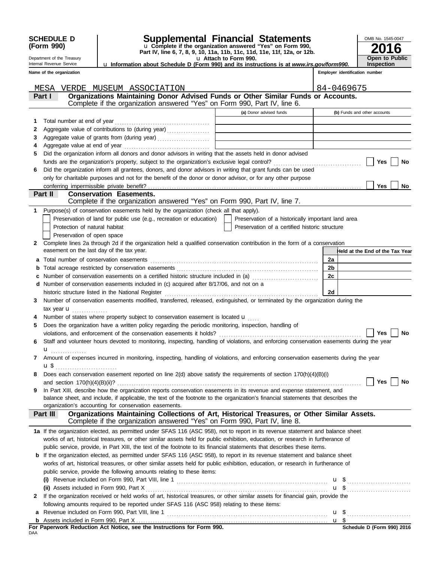|              | <b>SCHEDULE D</b>                                                     | <b>Supplemental Financial Statements</b>                                                                                                                                                                                     |                       |                                                    |                                | OMB No. 1545-0047               |  |  |
|--------------|-----------------------------------------------------------------------|------------------------------------------------------------------------------------------------------------------------------------------------------------------------------------------------------------------------------|-----------------------|----------------------------------------------------|--------------------------------|---------------------------------|--|--|
|              | (Form 990)                                                            | u Complete if the organization answered "Yes" on Form 990,                                                                                                                                                                   |                       |                                                    | 6                              |                                 |  |  |
|              | Department of the Treasury                                            | Part IV, line 6, 7, 8, 9, 10, 11a, 11b, 11c, 11d, 11e, 11f, 12a, or 12b.                                                                                                                                                     | u Attach to Form 990. |                                                    |                                | <b>Open to Public</b>           |  |  |
|              | Internal Revenue Service                                              | <b>u Information about Schedule D (Form 990) and its instructions is at www.irs.gov/form990.</b>                                                                                                                             |                       |                                                    |                                | <b>Inspection</b>               |  |  |
|              | Name of the organization                                              |                                                                                                                                                                                                                              |                       |                                                    | Employer identification number |                                 |  |  |
|              |                                                                       |                                                                                                                                                                                                                              |                       |                                                    |                                |                                 |  |  |
|              | Part I                                                                | MESA VERDE MUSEUM ASSOCIATION<br>Organizations Maintaining Donor Advised Funds or Other Similar Funds or Accounts.                                                                                                           |                       |                                                    | 84-0469675                     |                                 |  |  |
|              |                                                                       | Complete if the organization answered "Yes" on Form 990, Part IV, line 6.                                                                                                                                                    |                       |                                                    |                                |                                 |  |  |
|              |                                                                       |                                                                                                                                                                                                                              |                       | (a) Donor advised funds                            |                                | (b) Funds and other accounts    |  |  |
| 1            |                                                                       |                                                                                                                                                                                                                              |                       |                                                    |                                |                                 |  |  |
| 2            |                                                                       | Aggregate value of contributions to (during year)                                                                                                                                                                            |                       |                                                    |                                |                                 |  |  |
| 3            |                                                                       | Aggregate value of grants from (during year)                                                                                                                                                                                 |                       | <u> La Carlo de la Carlo de la Carlo de la Ca</u>  |                                |                                 |  |  |
| 4            |                                                                       |                                                                                                                                                                                                                              |                       |                                                    |                                |                                 |  |  |
| 5            |                                                                       | Did the organization inform all donors and donor advisors in writing that the assets held in donor advised                                                                                                                   |                       |                                                    |                                |                                 |  |  |
|              |                                                                       |                                                                                                                                                                                                                              |                       |                                                    |                                | Yes<br>No                       |  |  |
| 6            |                                                                       | Did the organization inform all grantees, donors, and donor advisors in writing that grant funds can be used<br>only for charitable purposes and not for the benefit of the donor or donor advisor, or for any other purpose |                       |                                                    |                                |                                 |  |  |
|              |                                                                       |                                                                                                                                                                                                                              |                       |                                                    |                                | <b>Yes</b><br>No                |  |  |
|              | Part II                                                               | <b>Conservation Easements.</b>                                                                                                                                                                                               |                       |                                                    |                                |                                 |  |  |
|              |                                                                       | Complete if the organization answered "Yes" on Form 990, Part IV, line 7.                                                                                                                                                    |                       |                                                    |                                |                                 |  |  |
| 1            |                                                                       | Purpose(s) of conservation easements held by the organization (check all that apply).                                                                                                                                        |                       |                                                    |                                |                                 |  |  |
|              |                                                                       | Preservation of land for public use (e.g., recreation or education)                                                                                                                                                          |                       | Preservation of a historically important land area |                                |                                 |  |  |
|              | Protection of natural habitat                                         |                                                                                                                                                                                                                              |                       | Preservation of a certified historic structure     |                                |                                 |  |  |
|              | Preservation of open space                                            |                                                                                                                                                                                                                              |                       |                                                    |                                |                                 |  |  |
| $\mathbf{2}$ |                                                                       | Complete lines 2a through 2d if the organization held a qualified conservation contribution in the form of a conservation                                                                                                    |                       |                                                    |                                |                                 |  |  |
|              | easement on the last day of the tax year.                             |                                                                                                                                                                                                                              |                       |                                                    |                                | Held at the End of the Tax Year |  |  |
|              |                                                                       |                                                                                                                                                                                                                              |                       |                                                    | 2a                             |                                 |  |  |
|              |                                                                       | Number of conservation easements on a certified historic structure included in (a) <i>[[[[[[[[[[[[[[[]]]</i> ]]                                                                                                              |                       |                                                    | 2b<br>2c                       |                                 |  |  |
|              |                                                                       | d Number of conservation easements included in (c) acquired after 8/17/06, and not on a                                                                                                                                      |                       |                                                    |                                |                                 |  |  |
|              |                                                                       |                                                                                                                                                                                                                              |                       |                                                    | 2d                             |                                 |  |  |
| 3            |                                                                       | Number of conservation easements modified, transferred, released, extinguished, or terminated by the organization during the                                                                                                 |                       |                                                    |                                |                                 |  |  |
|              | tax year $\mathbf{u}$                                                 |                                                                                                                                                                                                                              |                       |                                                    |                                |                                 |  |  |
|              |                                                                       | Number of states where property subject to conservation easement is located $\mathbf{u}$                                                                                                                                     |                       |                                                    |                                |                                 |  |  |
|              |                                                                       | Does the organization have a written policy regarding the periodic monitoring, inspection, handling of                                                                                                                       |                       |                                                    |                                |                                 |  |  |
|              |                                                                       | violations, and enforcement of the conservation easements it holds?                                                                                                                                                          |                       |                                                    |                                | Yes<br>No                       |  |  |
| 6            |                                                                       | Staff and volunteer hours devoted to monitoring, inspecting, handling of violations, and enforcing conservation easements during the year                                                                                    |                       |                                                    |                                |                                 |  |  |
|              | $\mathbf{u}$                                                          |                                                                                                                                                                                                                              |                       |                                                    |                                |                                 |  |  |
| 7            |                                                                       | Amount of expenses incurred in monitoring, inspecting, handling of violations, and enforcing conservation easements during the year                                                                                          |                       |                                                    |                                |                                 |  |  |
| 8            | $\mathbf{u}$ \$ $\ldots$ $\ldots$ $\ldots$ $\ldots$ $\ldots$ $\ldots$ | Does each conservation easement reported on line 2(d) above satisfy the requirements of section 170(h)(4)(B)(i)                                                                                                              |                       |                                                    |                                |                                 |  |  |
|              |                                                                       |                                                                                                                                                                                                                              |                       |                                                    |                                | Yes<br>No                       |  |  |
| 9            |                                                                       | In Part XIII, describe how the organization reports conservation easements in its revenue and expense statement, and                                                                                                         |                       |                                                    |                                |                                 |  |  |
|              |                                                                       | balance sheet, and include, if applicable, the text of the footnote to the organization's financial statements that describes the                                                                                            |                       |                                                    |                                |                                 |  |  |
|              |                                                                       | organization's accounting for conservation easements.                                                                                                                                                                        |                       |                                                    |                                |                                 |  |  |
|              | Part III                                                              | Organizations Maintaining Collections of Art, Historical Treasures, or Other Similar Assets.<br>Complete if the organization answered "Yes" on Form 990, Part IV, line 8.                                                    |                       |                                                    |                                |                                 |  |  |
|              |                                                                       | 1a If the organization elected, as permitted under SFAS 116 (ASC 958), not to report in its revenue statement and balance sheet                                                                                              |                       |                                                    |                                |                                 |  |  |
|              |                                                                       | works of art, historical treasures, or other similar assets held for public exhibition, education, or research in furtherance of                                                                                             |                       |                                                    |                                |                                 |  |  |
|              |                                                                       | public service, provide, in Part XIII, the text of the footnote to its financial statements that describes these items.                                                                                                      |                       |                                                    |                                |                                 |  |  |
|              |                                                                       | <b>b</b> If the organization elected, as permitted under SFAS 116 (ASC 958), to report in its revenue statement and balance sheet                                                                                            |                       |                                                    |                                |                                 |  |  |
|              |                                                                       | works of art, historical treasures, or other similar assets held for public exhibition, education, or research in furtherance of                                                                                             |                       |                                                    |                                |                                 |  |  |
|              |                                                                       | public service, provide the following amounts relating to these items:                                                                                                                                                       |                       |                                                    |                                |                                 |  |  |
|              |                                                                       |                                                                                                                                                                                                                              |                       |                                                    |                                | $\mathbf{u}$ \$                 |  |  |
|              |                                                                       |                                                                                                                                                                                                                              |                       |                                                    |                                | $\mathbf{u}$ \$                 |  |  |
| 2            |                                                                       | If the organization received or held works of art, historical treasures, or other similar assets for financial gain, provide the                                                                                             |                       |                                                    |                                |                                 |  |  |
|              |                                                                       | following amounts required to be reported under SFAS 116 (ASC 958) relating to these items:                                                                                                                                  |                       |                                                    |                                |                                 |  |  |
|              |                                                                       | <b>a</b> Revenue included on Form 990, Part VIII, line 1 $\ldots$ $\ldots$ $\ldots$ $\ldots$ $\ldots$ $\ldots$ $\ldots$ $\ldots$ $\ldots$ $\ldots$                                                                           |                       |                                                    |                                |                                 |  |  |
|              |                                                                       |                                                                                                                                                                                                                              |                       |                                                    |                                |                                 |  |  |

**For Paperwork Reduction Act Notice, see the Instructions for Form 990.**<br><sub>DAA</sub>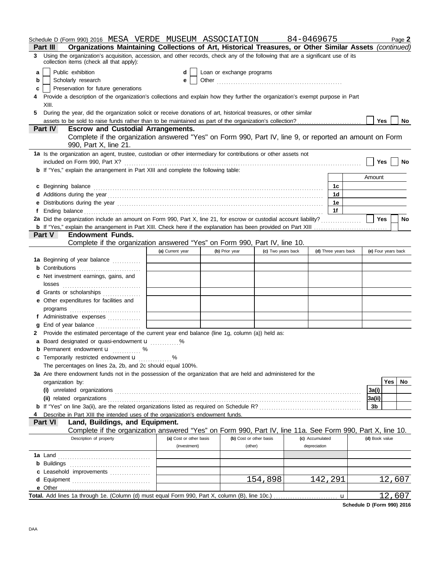|    | Schedule D (Form 990) 2016 MESA VERDE MUSEUM ASSOCIATION 84-0469675                                                                                                                                                                                            |                         |                           |                    |                 |                      | Page 2                  |
|----|----------------------------------------------------------------------------------------------------------------------------------------------------------------------------------------------------------------------------------------------------------------|-------------------------|---------------------------|--------------------|-----------------|----------------------|-------------------------|
| 3  | Organizations Maintaining Collections of Art, Historical Treasures, or Other Similar Assets (continued)<br><b>Part III</b><br>Using the organization's acquisition, accession, and other records, check any of the following that are a significant use of its |                         |                           |                    |                 |                      |                         |
|    | collection items (check all that apply):                                                                                                                                                                                                                       |                         |                           |                    |                 |                      |                         |
| a  | Public exhibition                                                                                                                                                                                                                                              | d                       | Loan or exchange programs |                    |                 |                      |                         |
| b  | Scholarly research                                                                                                                                                                                                                                             | е                       |                           |                    |                 |                      |                         |
| c  | Preservation for future generations                                                                                                                                                                                                                            |                         |                           |                    |                 |                      |                         |
| 4  | Provide a description of the organization's collections and explain how they further the organization's exempt purpose in Part                                                                                                                                 |                         |                           |                    |                 |                      |                         |
|    | XIII.                                                                                                                                                                                                                                                          |                         |                           |                    |                 |                      |                         |
| 5. | During the year, did the organization solicit or receive donations of art, historical treasures, or other similar                                                                                                                                              |                         |                           |                    |                 |                      | Yes<br><b>No</b>        |
|    | <b>Part IV</b><br><b>Escrow and Custodial Arrangements.</b>                                                                                                                                                                                                    |                         |                           |                    |                 |                      |                         |
|    | Complete if the organization answered "Yes" on Form 990, Part IV, line 9, or reported an amount on Form                                                                                                                                                        |                         |                           |                    |                 |                      |                         |
|    | 990, Part X, line 21.                                                                                                                                                                                                                                          |                         |                           |                    |                 |                      |                         |
|    | 1a Is the organization an agent, trustee, custodian or other intermediary for contributions or other assets not<br>included on Form 990, Part X?                                                                                                               |                         |                           |                    |                 |                      | <b>Yes</b><br><b>No</b> |
|    | <b>b</b> If "Yes," explain the arrangement in Part XIII and complete the following table:                                                                                                                                                                      |                         |                           |                    |                 |                      |                         |
|    |                                                                                                                                                                                                                                                                |                         |                           |                    |                 |                      | Amount                  |
| c  | Beginning balance                                                                                                                                                                                                                                              |                         |                           |                    |                 | 1c                   |                         |
|    |                                                                                                                                                                                                                                                                |                         |                           |                    |                 | 1 <sub>d</sub>       |                         |
|    |                                                                                                                                                                                                                                                                |                         |                           |                    |                 | 1е                   |                         |
| f  |                                                                                                                                                                                                                                                                |                         |                           |                    |                 | 1f                   |                         |
|    | 2a Did the organization include an amount on Form 990, Part X, line 21, for escrow or custodial account liability?                                                                                                                                             |                         |                           |                    |                 |                      | Yes<br>No               |
|    |                                                                                                                                                                                                                                                                |                         |                           |                    |                 |                      |                         |
|    | Part V<br><b>Endowment Funds.</b>                                                                                                                                                                                                                              |                         |                           |                    |                 |                      |                         |
|    | Complete if the organization answered "Yes" on Form 990, Part IV, line 10.                                                                                                                                                                                     |                         |                           |                    |                 |                      |                         |
|    |                                                                                                                                                                                                                                                                | (a) Current year        | (b) Prior year            | (c) Two years back |                 | (d) Three years back | (e) Four years back     |
|    | 1a Beginning of year balance                                                                                                                                                                                                                                   |                         |                           |                    |                 |                      |                         |
|    | <b>b</b> Contributions <b>contributions</b>                                                                                                                                                                                                                    |                         |                           |                    |                 |                      |                         |
|    | c Net investment earnings, gains, and                                                                                                                                                                                                                          |                         |                           |                    |                 |                      |                         |
|    | d Grants or scholarships                                                                                                                                                                                                                                       |                         |                           |                    |                 |                      |                         |
|    | e Other expenditures for facilities and                                                                                                                                                                                                                        |                         |                           |                    |                 |                      |                         |
|    | programs                                                                                                                                                                                                                                                       |                         |                           |                    |                 |                      |                         |
|    | f Administrative expenses                                                                                                                                                                                                                                      |                         |                           |                    |                 |                      |                         |
| a  | End of year balance                                                                                                                                                                                                                                            |                         |                           |                    |                 |                      |                         |
|    | 2 Provide the estimated percentage of the current year end balance (line 1g, column (a)) held as:                                                                                                                                                              |                         |                           |                    |                 |                      |                         |
|    | a Board designated or quasi-endowment u                                                                                                                                                                                                                        |                         |                           |                    |                 |                      |                         |
| b  | Permanent endowment <b>u</b> %                                                                                                                                                                                                                                 |                         |                           |                    |                 |                      |                         |
| c  | Temporarily restricted endowment u                                                                                                                                                                                                                             | %                       |                           |                    |                 |                      |                         |
|    | The percentages on lines 2a, 2b, and 2c should equal 100%.                                                                                                                                                                                                     |                         |                           |                    |                 |                      |                         |
|    | 3a Are there endowment funds not in the possession of the organization that are held and administered for the                                                                                                                                                  |                         |                           |                    |                 |                      |                         |
|    | organization by:                                                                                                                                                                                                                                               |                         |                           |                    |                 |                      | Yes<br>No               |
|    |                                                                                                                                                                                                                                                                |                         |                           |                    |                 |                      | 3a(i)                   |
|    | (ii) related organizations                                                                                                                                                                                                                                     |                         |                           |                    |                 |                      | 3a(ii)                  |
|    |                                                                                                                                                                                                                                                                |                         |                           |                    |                 |                      | 3b                      |
|    | Describe in Part XIII the intended uses of the organization's endowment funds.<br>Land, Buildings, and Equipment.<br><b>Part VI</b>                                                                                                                            |                         |                           |                    |                 |                      |                         |
|    | Complete if the organization answered "Yes" on Form 990, Part IV, line 11a. See Form 990, Part X, line 10.                                                                                                                                                     |                         |                           |                    |                 |                      |                         |
|    | Description of property                                                                                                                                                                                                                                        | (a) Cost or other basis | (b) Cost or other basis   |                    | (c) Accumulated |                      | (d) Book value          |
|    |                                                                                                                                                                                                                                                                | (investment)            | (other)                   |                    | depreciation    |                      |                         |
|    |                                                                                                                                                                                                                                                                |                         |                           |                    |                 |                      |                         |
|    |                                                                                                                                                                                                                                                                |                         |                           |                    |                 |                      |                         |
|    | c Leasehold improvements                                                                                                                                                                                                                                       |                         |                           |                    |                 |                      |                         |
|    |                                                                                                                                                                                                                                                                |                         |                           | 154,898            |                 | 142,291              | <u>12,607</u>           |
|    | e Other                                                                                                                                                                                                                                                        |                         |                           |                    |                 |                      |                         |
|    |                                                                                                                                                                                                                                                                |                         |                           |                    |                 | u                    | <u>12,607</u>           |

**Schedule D (Form 990) 2016**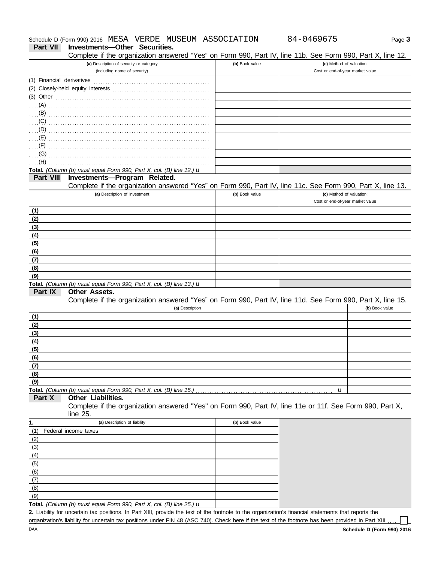| Schedule D (Form 990) 2016 | MESA | VERDE | MUSEUM | ASSOCIATION | 04696<br>ולכ | ს age ა |
|----------------------------|------|-------|--------|-------------|--------------|---------|
|                            |      |       |        |             |              |         |

## **Part VII Investments—Other Securities.**<br>Complete if the organization answer

Complete if the organization answered "Yes" on Form 990, Part IV, line 11b. See Form 990, Part X, line 12.

| Complete if the organization answered "Yes" on Form 990, Part IV, line 11b. See Form 990, Part X, line 12.                                                                                                                           |                |                                                              |
|--------------------------------------------------------------------------------------------------------------------------------------------------------------------------------------------------------------------------------------|----------------|--------------------------------------------------------------|
| (a) Description of security or category<br>(including name of security)                                                                                                                                                              | (b) Book value | (c) Method of valuation:<br>Cost or end-of-year market value |
|                                                                                                                                                                                                                                      |                |                                                              |
| (1) Financial derivatives                                                                                                                                                                                                            |                |                                                              |
|                                                                                                                                                                                                                                      |                |                                                              |
| (3) Other <b>contract and the contract of the contract of the contract of the contract of the contract of the contract of the contract of the contract of the contract of the contract of the contract of the contract of the co</b> |                |                                                              |
|                                                                                                                                                                                                                                      |                |                                                              |
|                                                                                                                                                                                                                                      |                |                                                              |
|                                                                                                                                                                                                                                      |                |                                                              |
|                                                                                                                                                                                                                                      |                |                                                              |
|                                                                                                                                                                                                                                      |                |                                                              |
| (F)                                                                                                                                                                                                                                  |                |                                                              |
| (G)                                                                                                                                                                                                                                  |                |                                                              |
| (H)                                                                                                                                                                                                                                  |                |                                                              |
| Total. (Column (b) must equal Form 990, Part X, col. (B) line 12.) $\mathbf u$                                                                                                                                                       |                |                                                              |
| Investments-Program Related.<br><b>Part VIII</b>                                                                                                                                                                                     |                |                                                              |
| Complete if the organization answered "Yes" on Form 990, Part IV, line 11c. See Form 990, Part X, line 13.                                                                                                                           |                |                                                              |
| (a) Description of investment                                                                                                                                                                                                        | (b) Book value | (c) Method of valuation:                                     |
|                                                                                                                                                                                                                                      |                | Cost or end-of-year market value                             |
| (1)                                                                                                                                                                                                                                  |                |                                                              |
| (2)                                                                                                                                                                                                                                  |                |                                                              |
| (3)                                                                                                                                                                                                                                  |                |                                                              |
| (4)                                                                                                                                                                                                                                  |                |                                                              |
| (5)                                                                                                                                                                                                                                  |                |                                                              |
| (6)                                                                                                                                                                                                                                  |                |                                                              |
| (7)                                                                                                                                                                                                                                  |                |                                                              |
| (8)                                                                                                                                                                                                                                  |                |                                                              |
| (9)                                                                                                                                                                                                                                  |                |                                                              |
| Total. (Column (b) must equal Form 990, Part X, col. (B) line 13.) $\mathbf u$                                                                                                                                                       |                |                                                              |
| Part IX<br>Other Assets.                                                                                                                                                                                                             |                |                                                              |
| Complete if the organization answered "Yes" on Form 990, Part IV, line 11d. See Form 990, Part X, line 15.                                                                                                                           |                |                                                              |
| (a) Description                                                                                                                                                                                                                      |                | (b) Book value                                               |
| (1)                                                                                                                                                                                                                                  |                |                                                              |
| (2)                                                                                                                                                                                                                                  |                |                                                              |
| (3)                                                                                                                                                                                                                                  |                |                                                              |
| (4)                                                                                                                                                                                                                                  |                |                                                              |
| (5)                                                                                                                                                                                                                                  |                |                                                              |
| (6)                                                                                                                                                                                                                                  |                |                                                              |
| (7)                                                                                                                                                                                                                                  |                |                                                              |
| (8)                                                                                                                                                                                                                                  |                |                                                              |
| (9)                                                                                                                                                                                                                                  |                |                                                              |
| Total. (Column (b) must equal Form 990, Part X, col. (B) line 15.)                                                                                                                                                                   |                | u                                                            |
| <b>Other Liabilities.</b><br>Part X                                                                                                                                                                                                  |                |                                                              |
| Complete if the organization answered "Yes" on Form 990, Part IV, line 11e or 11f. See Form 990, Part X,                                                                                                                             |                |                                                              |
| line 25.                                                                                                                                                                                                                             |                |                                                              |
| (a) Description of liability<br>1.                                                                                                                                                                                                   | (b) Book value |                                                              |
| (1)<br>Federal income taxes                                                                                                                                                                                                          |                |                                                              |
| (2)                                                                                                                                                                                                                                  |                |                                                              |
| (3)                                                                                                                                                                                                                                  |                |                                                              |
| (4)                                                                                                                                                                                                                                  |                |                                                              |
| (5)                                                                                                                                                                                                                                  |                |                                                              |
| (6)                                                                                                                                                                                                                                  |                |                                                              |
| (7)                                                                                                                                                                                                                                  |                |                                                              |
| (8)                                                                                                                                                                                                                                  |                |                                                              |
| (9)                                                                                                                                                                                                                                  |                |                                                              |
| Total. (Column (b) must equal Form 990, Part X, col. (B) line 25.) $\mathbf u$                                                                                                                                                       |                |                                                              |
| 2. Liability for uncertain tax positions. In Part XIII, provide the text of the footnote to the organization's financial statements that reports the                                                                                 |                |                                                              |

organization's liability for uncertain tax positions under FIN 48 (ASC 740). Check here if the text of the footnote has been provided in Part XIII ...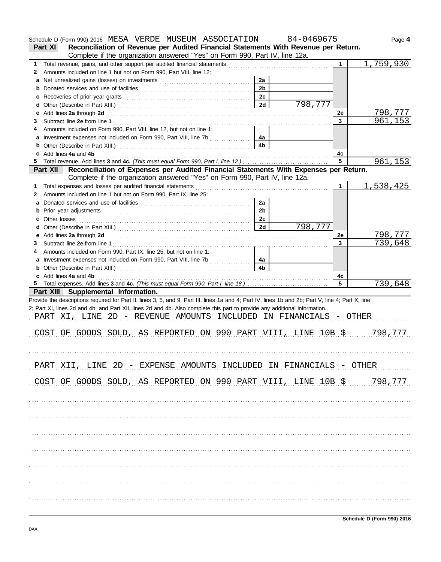|        | Schedule D (Form 990) 2016 MESA VERDE MUSEUM ASSOCIATION 84-0469675                                                                                                                                                           |                |         |                      | Page 4    |
|--------|-------------------------------------------------------------------------------------------------------------------------------------------------------------------------------------------------------------------------------|----------------|---------|----------------------|-----------|
|        | Reconciliation of Revenue per Audited Financial Statements With Revenue per Return.<br>Part XI                                                                                                                                |                |         |                      |           |
|        | Complete if the organization answered "Yes" on Form 990, Part IV, line 12a.                                                                                                                                                   |                |         |                      |           |
| 1.     |                                                                                                                                                                                                                               |                |         | $\blacktriangleleft$ | 1,759,930 |
| 2      | Amounts included on line 1 but not on Form 990, Part VIII, line 12:                                                                                                                                                           |                |         |                      |           |
| a      |                                                                                                                                                                                                                               | 2a             |         |                      |           |
| b      |                                                                                                                                                                                                                               | 2 <sub>b</sub> |         |                      |           |
| c      |                                                                                                                                                                                                                               | 2c             |         |                      |           |
| d      |                                                                                                                                                                                                                               | 2d             | 798,777 |                      |           |
| е      |                                                                                                                                                                                                                               |                |         | 2e                   | 798,777   |
| 3      |                                                                                                                                                                                                                               |                |         | $\mathbf{3}$         | 961,153   |
| 4      | Amounts included on Form 990, Part VIII, line 12, but not on line 1:                                                                                                                                                          |                |         |                      |           |
| a      | Investment expenses not included on Form 990, Part VIII, line 7b                                                                                                                                                              | 4a             |         |                      |           |
| b      |                                                                                                                                                                                                                               | 4 <sub>b</sub> |         |                      |           |
| c      | Add lines 4a and 4b                                                                                                                                                                                                           |                |         | 4c<br>5              |           |
| 5      | Reconciliation of Expenses per Audited Financial Statements With Expenses per Return.<br><b>Part XII</b>                                                                                                                      |                |         |                      | 961,153   |
|        | Complete if the organization answered "Yes" on Form 990, Part IV, line 12a.                                                                                                                                                   |                |         |                      |           |
| 1.     | Total expenses and losses per audited financial statements                                                                                                                                                                    |                |         | 1                    | 1,538,425 |
| 2      | Amounts included on line 1 but not on Form 990, Part IX, line 25:                                                                                                                                                             |                |         |                      |           |
| a      |                                                                                                                                                                                                                               | 2a             |         |                      |           |
| b      |                                                                                                                                                                                                                               | 2 <sub>b</sub> |         |                      |           |
|        |                                                                                                                                                                                                                               | 2c             |         |                      |           |
| С      |                                                                                                                                                                                                                               | 2d             | 798,777 |                      |           |
| d      |                                                                                                                                                                                                                               |                |         | 2e                   | 798,777   |
| е<br>3 |                                                                                                                                                                                                                               |                |         | 3                    | 739,648   |
|        | Amounts included on Form 990, Part IX, line 25, but not on line 1:                                                                                                                                                            |                |         |                      |           |
| 4      |                                                                                                                                                                                                                               | 4a             |         |                      |           |
|        |                                                                                                                                                                                                                               | 4 <sub>b</sub> |         |                      |           |
| b      |                                                                                                                                                                                                                               |                |         |                      |           |
|        | c Add lines 4a and 4b (a) and the contract of the contract of the contract of the contract of the contract of the contract of the contract of the contract of the contract of the contract of the contract of the contract of |                |         | 4c<br>5              | 739,648   |
|        | Part XIII Supplemental Information.                                                                                                                                                                                           |                |         |                      |           |
|        | Provide the descriptions required for Part II, lines 3, 5, and 9; Part III, lines 1a and 4; Part IV, lines 1b and 2b; Part V, line 4; Part X, line                                                                            |                |         |                      |           |
|        | 2; Part XI, lines 2d and 4b; and Part XII, lines 2d and 4b. Also complete this part to provide any additional information.                                                                                                    |                |         |                      |           |
|        | PART XI, LINE 2D - REVENUE AMOUNTS INCLUDED IN FINANCIALS - OTHER                                                                                                                                                             |                |         |                      |           |
|        |                                                                                                                                                                                                                               |                |         |                      |           |
|        | COST OF GOODS SOLD, AS REPORTED ON 990 PART VIII, LINE 10B \$ 777                                                                                                                                                             |                |         |                      |           |
|        |                                                                                                                                                                                                                               |                |         |                      |           |
|        |                                                                                                                                                                                                                               |                |         |                      |           |
|        |                                                                                                                                                                                                                               |                |         |                      |           |
|        | PART XII, LINE 2D - EXPENSE AMOUNTS INCLUDED IN FINANCIALS - OTHER                                                                                                                                                            |                |         |                      |           |
|        |                                                                                                                                                                                                                               |                |         |                      |           |
|        | COST OF GOODS SOLD, AS REPORTED ON 990 PART VIII, LINE 10B \$ 798,777                                                                                                                                                         |                |         |                      |           |
|        |                                                                                                                                                                                                                               |                |         |                      |           |
|        |                                                                                                                                                                                                                               |                |         |                      |           |
|        |                                                                                                                                                                                                                               |                |         |                      |           |
|        |                                                                                                                                                                                                                               |                |         |                      |           |
|        |                                                                                                                                                                                                                               |                |         |                      |           |
|        |                                                                                                                                                                                                                               |                |         |                      |           |
|        |                                                                                                                                                                                                                               |                |         |                      |           |
|        |                                                                                                                                                                                                                               |                |         |                      |           |
|        |                                                                                                                                                                                                                               |                |         |                      |           |
|        |                                                                                                                                                                                                                               |                |         |                      |           |
|        |                                                                                                                                                                                                                               |                |         |                      |           |
|        |                                                                                                                                                                                                                               |                |         |                      |           |
|        |                                                                                                                                                                                                                               |                |         |                      |           |
|        |                                                                                                                                                                                                                               |                |         |                      |           |
|        |                                                                                                                                                                                                                               |                |         |                      |           |
|        |                                                                                                                                                                                                                               |                |         |                      |           |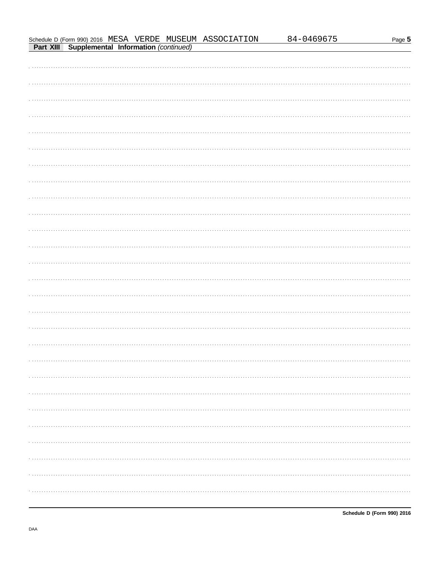$\ddotsc$ 

 $\ddot{\phantom{a}}$ 

 $\ddotsc$ 

 $\ddot{\phantom{a}}$ 

 $\ddotsc$ 

 $\ddot{\phantom{a}}$ 

 $\ddot{\phantom{a}}$ 

 $\ddotsc$ 

 $\ddotsc$ 

 $\ddot{\phantom{0}}$ 

 $\ddot{\phantom{a}}$ 

 $\ddotsc$ 

 $\ddotsc$ 

84-0469675

Schedule D (Form 990) 2016 MESA VERDE MUSEUM ASSOCIATION

**Part XIII** Supplemental Information (continued)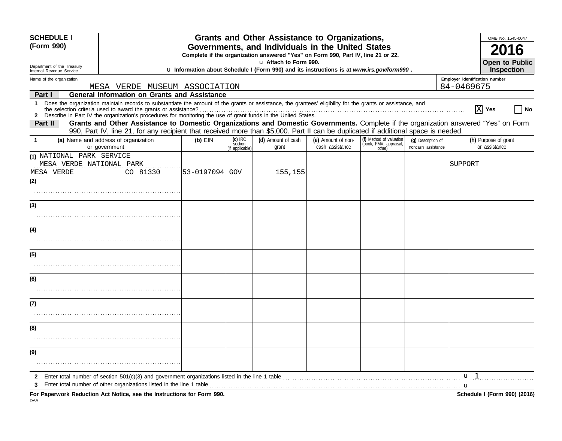| <b>SCHEDULE I</b><br>(Form 990) |                                                                                                                                                     |                                                                                                                                                                                                                                                                               | Grants and Other Assistance to Organizations,<br>Governments, and Individuals in the United States |                                         | OMB No. 1545-0047                                                                                         |                                       |                                                             |                                          |            |                                       |
|---------------------------------|-----------------------------------------------------------------------------------------------------------------------------------------------------|-------------------------------------------------------------------------------------------------------------------------------------------------------------------------------------------------------------------------------------------------------------------------------|----------------------------------------------------------------------------------------------------|-----------------------------------------|-----------------------------------------------------------------------------------------------------------|---------------------------------------|-------------------------------------------------------------|------------------------------------------|------------|---------------------------------------|
|                                 |                                                                                                                                                     |                                                                                                                                                                                                                                                                               |                                                                                                    |                                         | Complete if the organization answered "Yes" on Form 990, Part IV, line 21 or 22.<br>u Attach to Form 990. |                                       |                                                             |                                          |            | <b>Open to Public</b>                 |
|                                 | Department of the Treasury<br>u Information about Schedule I (Form 990) and its instructions is at www.irs.gov/form990.<br>Internal Revenue Service |                                                                                                                                                                                                                                                                               |                                                                                                    |                                         |                                                                                                           |                                       |                                                             |                                          | Inspection |                                       |
|                                 | Name of the organization                                                                                                                            |                                                                                                                                                                                                                                                                               |                                                                                                    |                                         |                                                                                                           |                                       | Employer identification number                              |                                          |            |                                       |
| Part I                          |                                                                                                                                                     | MESA VERDE MUSEUM ASSOCIATION<br><b>General Information on Grants and Assistance</b>                                                                                                                                                                                          |                                                                                                    |                                         |                                                                                                           |                                       |                                                             |                                          | 84-0469675 |                                       |
| $\mathbf 1$                     |                                                                                                                                                     | Does the organization maintain records to substantiate the amount of the grants or assistance, the grantees' eligibility for the grants or assistance, and<br>2 Describe in Part IV the organization's procedures for monitoring the use of grant funds in the United States. |                                                                                                    |                                         |                                                                                                           |                                       |                                                             |                                          |            | $ X $ Yes<br>No                       |
| Part II                         |                                                                                                                                                     | Grants and Other Assistance to Domestic Organizations and Domestic Governments. Complete if the organization answered "Yes" on Form<br>990, Part IV, line 21, for any recipient that received more than \$5,000. Part II can be duplicated if additional space is needed.     |                                                                                                    |                                         |                                                                                                           |                                       |                                                             |                                          |            |                                       |
|                                 |                                                                                                                                                     | (a) Name and address of organization<br>or government                                                                                                                                                                                                                         | $(b)$ EIN                                                                                          | $(c)$ IRC<br>section<br>(if applicable) | (d) Amount of cash<br>grant                                                                               | (e) Amount of non-<br>cash assistance | (f) Method of valuation<br>(book, FMV, appraisal,<br>other) | (q) Description of<br>noncash assistance |            | (h) Purpose of grant<br>or assistance |
| MESA VERDE                      | (1) NATIONAL PARK SERVICE                                                                                                                           | MESA VERDE NATIONAL PARK<br>CO 81330                                                                                                                                                                                                                                          | 53-0197094  GOV                                                                                    |                                         | 155,155                                                                                                   |                                       |                                                             |                                          | SUPPORT    |                                       |
| (2)                             |                                                                                                                                                     |                                                                                                                                                                                                                                                                               |                                                                                                    |                                         |                                                                                                           |                                       |                                                             |                                          |            |                                       |
|                                 |                                                                                                                                                     |                                                                                                                                                                                                                                                                               |                                                                                                    |                                         |                                                                                                           |                                       |                                                             |                                          |            |                                       |
| (3)                             |                                                                                                                                                     |                                                                                                                                                                                                                                                                               |                                                                                                    |                                         |                                                                                                           |                                       |                                                             |                                          |            |                                       |
|                                 |                                                                                                                                                     |                                                                                                                                                                                                                                                                               |                                                                                                    |                                         |                                                                                                           |                                       |                                                             |                                          |            |                                       |
| (4)                             |                                                                                                                                                     |                                                                                                                                                                                                                                                                               |                                                                                                    |                                         |                                                                                                           |                                       |                                                             |                                          |            |                                       |
|                                 |                                                                                                                                                     |                                                                                                                                                                                                                                                                               |                                                                                                    |                                         |                                                                                                           |                                       |                                                             |                                          |            |                                       |
| (5)                             |                                                                                                                                                     |                                                                                                                                                                                                                                                                               |                                                                                                    |                                         |                                                                                                           |                                       |                                                             |                                          |            |                                       |
|                                 |                                                                                                                                                     |                                                                                                                                                                                                                                                                               |                                                                                                    |                                         |                                                                                                           |                                       |                                                             |                                          |            |                                       |
| (6)                             |                                                                                                                                                     |                                                                                                                                                                                                                                                                               |                                                                                                    |                                         |                                                                                                           |                                       |                                                             |                                          |            |                                       |
|                                 |                                                                                                                                                     |                                                                                                                                                                                                                                                                               |                                                                                                    |                                         |                                                                                                           |                                       |                                                             |                                          |            |                                       |
| (7)                             |                                                                                                                                                     |                                                                                                                                                                                                                                                                               |                                                                                                    |                                         |                                                                                                           |                                       |                                                             |                                          |            |                                       |
|                                 |                                                                                                                                                     |                                                                                                                                                                                                                                                                               |                                                                                                    |                                         |                                                                                                           |                                       |                                                             |                                          |            |                                       |
| (8)                             |                                                                                                                                                     |                                                                                                                                                                                                                                                                               |                                                                                                    |                                         |                                                                                                           |                                       |                                                             |                                          |            |                                       |
|                                 |                                                                                                                                                     |                                                                                                                                                                                                                                                                               |                                                                                                    |                                         |                                                                                                           |                                       |                                                             |                                          |            |                                       |
| (9)                             |                                                                                                                                                     |                                                                                                                                                                                                                                                                               |                                                                                                    |                                         |                                                                                                           |                                       |                                                             |                                          |            |                                       |
|                                 |                                                                                                                                                     |                                                                                                                                                                                                                                                                               |                                                                                                    |                                         |                                                                                                           |                                       |                                                             |                                          |            |                                       |
| $\mathbf{2}$                    |                                                                                                                                                     | Enter total number of section 501(c)(3) and government organizations listed in the line 1 table<br>Enter total number of other organizations listed in the line 1 table                                                                                                       |                                                                                                    |                                         |                                                                                                           |                                       |                                                             |                                          | u l        |                                       |
|                                 |                                                                                                                                                     | For Paperwork Reduction Act Notice, see the Instructions for Form 990.                                                                                                                                                                                                        |                                                                                                    |                                         |                                                                                                           |                                       |                                                             |                                          | u          | Schedule I (Form 990) (2016)          |
| DAA                             |                                                                                                                                                     |                                                                                                                                                                                                                                                                               |                                                                                                    |                                         |                                                                                                           |                                       |                                                             |                                          |            |                                       |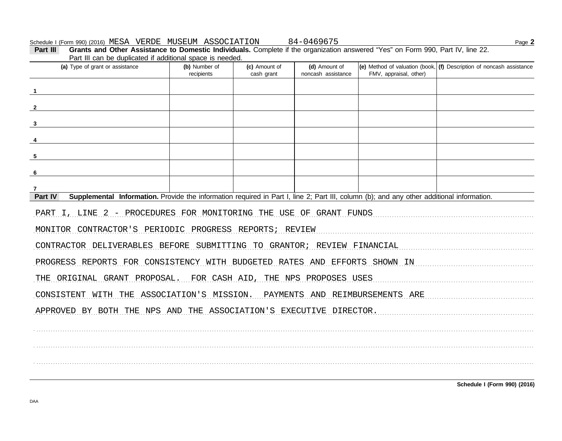Part III can be duplicated if additional space is needed. (a) Type of grant or assistance (b) Number of (d) Amount of (e) Method of valuation (book, (f) Description of noncash assistance (c) Amount of recipients cash grant noncash assistance FMV, appraisal, other)  $\overline{\mathbf{1}}$  $\mathbf{2}$  $\overline{\mathbf{3}}$  $\overline{4}$ 5 6  $\overline{7}$ Part IV Supplemental Information. Provide the information required in Part I, line 2; Part III, column (b); and any other additional information. PART I, LINE 2 - PROCEDURES FOR MONITORING THE USE OF GRANT FUNDS MONITOR CONTRACTOR'S PERIODIC PROGRESS REPORTS; REVIEW CONTRACTOR DELIVERABLES BEFORE SUBMITTING TO GRANTOR; REVIEW FINANCIAL PROGRESS REPORTS FOR CONSISTENCY WITH BUDGETED RATES AND EFFORTS SHOWN IN THE ORIGINAL GRANT PROPOSAL. FOR CASH AID, THE NPS PROPOSES USES CONSISTENT WITH THE ASSOCIATION'S MISSION. PAYMENTS AND REIMBURSEMENTS ARE APPROVED BY BOTH THE NPS AND THE ASSOCIATION'S EXECUTIVE DIRECTOR.

Part III

Page 2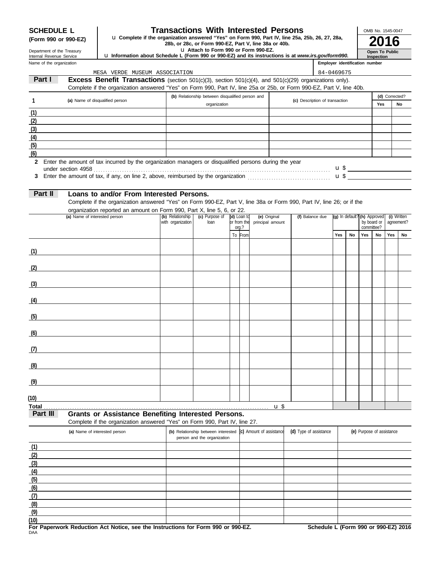#### **SCHEDULE L Transactions With Interested Persons**

anization answered "Yes" on Form 990, Part IV, line 25a, 25b, 26, 27, 28a,<br>28b, or 28c, or Form 990-EZ, Part V, line 38a or 40b.<br>**u** Attach to Form 990 or Form 990-EZ. **(Form 990 or 990-EZ)** u **Complete if the organization answered "Yes" on Form 990, Part IV, line 25a, 25b, 26, 27, 28a,**

Department of the Treasury Internal Revenue Service

**(7) (8) (9)**

## u **Information about Schedule L (Form 990 or 990-EZ) and its instructions is at** *www.irs.gov/form990.*

| Open To Public |
|----------------|
| Inspection     |

OMB No. 1545-0047

|              | Name of the organization                                                                                                                                                                                                                        |                   |                                                                    |                      |                          |                                |                        |  | Employer identification number |    |     |                                |                |             |
|--------------|-------------------------------------------------------------------------------------------------------------------------------------------------------------------------------------------------------------------------------------------------|-------------------|--------------------------------------------------------------------|----------------------|--------------------------|--------------------------------|------------------------|--|--------------------------------|----|-----|--------------------------------|----------------|-------------|
|              | MESA VERDE MUSEUM ASSOCIATION                                                                                                                                                                                                                   |                   |                                                                    |                      |                          |                                |                        |  | 84-0469675                     |    |     |                                |                |             |
|              | Part I<br><b>Excess Benefit Transactions</b> (section 501(c)(3), section 501(c)(4), and 501(c)(29) organizations only).<br>Complete if the organization answered "Yes" on Form 990, Part IV, line 25a or 25b, or Form 990-EZ, Part V, line 40b. |                   |                                                                    |                      |                          |                                |                        |  |                                |    |     |                                |                |             |
|              |                                                                                                                                                                                                                                                 |                   | (b) Relationship between disqualified person and                   |                      |                          |                                |                        |  |                                |    |     |                                | (d) Corrected? |             |
| 1            | (a) Name of disqualified person                                                                                                                                                                                                                 |                   | organization                                                       |                      |                          | (c) Description of transaction |                        |  |                                |    |     | Yes                            |                | No          |
| (1)          |                                                                                                                                                                                                                                                 |                   |                                                                    |                      |                          |                                |                        |  |                                |    |     |                                |                |             |
| (2)          |                                                                                                                                                                                                                                                 |                   |                                                                    |                      |                          |                                |                        |  |                                |    |     |                                |                |             |
| (3)          |                                                                                                                                                                                                                                                 |                   |                                                                    |                      |                          |                                |                        |  |                                |    |     |                                |                |             |
| (4)          |                                                                                                                                                                                                                                                 |                   |                                                                    |                      |                          |                                |                        |  |                                |    |     |                                |                |             |
| (5)          |                                                                                                                                                                                                                                                 |                   |                                                                    |                      |                          |                                |                        |  |                                |    |     |                                |                |             |
| (6)          |                                                                                                                                                                                                                                                 |                   |                                                                    |                      |                          |                                |                        |  |                                |    |     |                                |                |             |
| $\mathbf{2}$ | Enter the amount of tax incurred by the organization managers or disqualified persons during the year                                                                                                                                           |                   |                                                                    |                      |                          |                                |                        |  |                                |    |     |                                |                |             |
| 3            |                                                                                                                                                                                                                                                 |                   |                                                                    |                      |                          |                                |                        |  |                                |    |     |                                |                |             |
|              | Part II<br>Loans to and/or From Interested Persons.                                                                                                                                                                                             |                   |                                                                    |                      |                          |                                |                        |  |                                |    |     |                                |                |             |
|              | Complete if the organization answered "Yes" on Form 990-EZ, Part V, line 38a or Form 990, Part IV, line 26; or if the<br>organization reported an amount on Form 990, Part X, line 5, 6, or 22.                                                 |                   |                                                                    |                      |                          |                                |                        |  |                                |    |     |                                |                |             |
|              | (a) Name of interested person                                                                                                                                                                                                                   | (b) Relationship  | (c) Purpose of                                                     | (d) Loan to          | (e) Original             |                                | (f) Balance due        |  |                                |    |     | $(g)$ In default? (h) Approved |                | (i) Written |
|              |                                                                                                                                                                                                                                                 | with organization | loan                                                               | or from the<br>org.? | principal amount         |                                |                        |  |                                |    |     | by board or<br>committee?      |                | agreement?  |
|              |                                                                                                                                                                                                                                                 |                   |                                                                    | To From              |                          |                                |                        |  | Yes                            | No | Yes | No                             | Yes            | No          |
|              |                                                                                                                                                                                                                                                 |                   |                                                                    |                      |                          |                                |                        |  |                                |    |     |                                |                |             |
|              | (1)                                                                                                                                                                                                                                             |                   |                                                                    |                      |                          |                                |                        |  |                                |    |     |                                |                |             |
|              | (2)                                                                                                                                                                                                                                             |                   |                                                                    |                      |                          |                                |                        |  |                                |    |     |                                |                |             |
| (3)          | <u> 1980 - Andrea Station, amerikansk politik (</u>                                                                                                                                                                                             |                   |                                                                    |                      |                          |                                |                        |  |                                |    |     |                                |                |             |
| (4)          | <u> 1980 - Johann Barbara, martxa alemaniar a</u>                                                                                                                                                                                               |                   |                                                                    |                      |                          |                                |                        |  |                                |    |     |                                |                |             |
| (5)          | <u> 1989 - Johann Barbara, martxa alemaniar a</u>                                                                                                                                                                                               |                   |                                                                    |                      |                          |                                |                        |  |                                |    |     |                                |                |             |
| (6)          |                                                                                                                                                                                                                                                 |                   |                                                                    |                      |                          |                                |                        |  |                                |    |     |                                |                |             |
| (7)          |                                                                                                                                                                                                                                                 |                   |                                                                    |                      |                          |                                |                        |  |                                |    |     |                                |                |             |
| (8)          |                                                                                                                                                                                                                                                 |                   |                                                                    |                      |                          |                                |                        |  |                                |    |     |                                |                |             |
| (9)          |                                                                                                                                                                                                                                                 |                   |                                                                    |                      |                          |                                |                        |  |                                |    |     |                                |                |             |
| (10)         |                                                                                                                                                                                                                                                 |                   |                                                                    |                      |                          |                                |                        |  |                                |    |     |                                |                |             |
| <b>Total</b> |                                                                                                                                                                                                                                                 |                   |                                                                    |                      |                          | $\mathbf{u}$                   |                        |  |                                |    |     |                                |                |             |
|              | Part III<br><b>Grants or Assistance Benefiting Interested Persons.</b><br>Complete if the organization answered "Yes" on Form 990, Part IV, line 27.                                                                                            |                   |                                                                    |                      |                          |                                |                        |  |                                |    |     |                                |                |             |
|              | (a) Name of interested person                                                                                                                                                                                                                   |                   | (b) Relationship between interested<br>person and the organization |                      | (c) Amount of assistance |                                | (d) Type of assistance |  |                                |    |     | (e) Purpose of assistance      |                |             |
| (1)          |                                                                                                                                                                                                                                                 |                   |                                                                    |                      |                          |                                |                        |  |                                |    |     |                                |                |             |
| (2)          |                                                                                                                                                                                                                                                 |                   |                                                                    |                      |                          |                                |                        |  |                                |    |     |                                |                |             |
| (3)          |                                                                                                                                                                                                                                                 |                   |                                                                    |                      |                          |                                |                        |  |                                |    |     |                                |                |             |
| (4)          |                                                                                                                                                                                                                                                 |                   |                                                                    |                      |                          |                                |                        |  |                                |    |     |                                |                |             |
| (5)          |                                                                                                                                                                                                                                                 |                   |                                                                    |                      |                          |                                |                        |  |                                |    |     |                                |                |             |
| (6)          |                                                                                                                                                                                                                                                 |                   |                                                                    |                      |                          |                                |                        |  |                                |    |     |                                |                |             |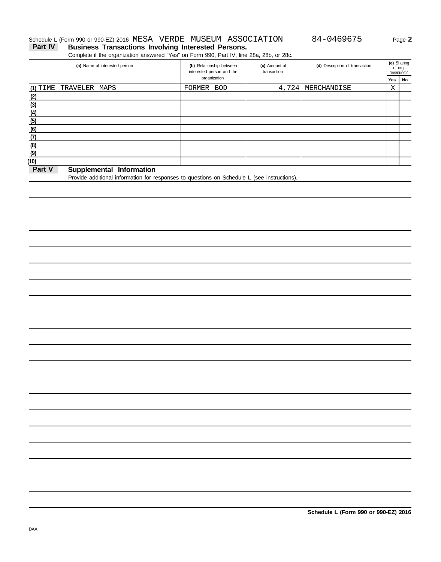#### Schedule L (Form 990 or 990-EZ) 2016 MESA VERDE MUSEUM ASSOCIATION 84-0469675 Page 2

Part IV Business Transactions Involving Interested Persons.

Complete if the organization answered "Yes" on Form 990, Part IV, line 28a, 28b, or 28c.

| (a) Name of interested person          | (b) Relationship between<br>interested person and the | (c) Amount of<br>transaction | (d) Description of transaction |     | (e) Sharing<br>of org.<br>revenues? |
|----------------------------------------|-------------------------------------------------------|------------------------------|--------------------------------|-----|-------------------------------------|
|                                        | organization                                          |                              |                                | Yes | No                                  |
| (1) TIME TRAVELER MAPS                 | FORMER BOD                                            | 4,724                        | MERCHANDISE                    | Χ   |                                     |
| (2)                                    |                                                       |                              |                                |     |                                     |
| (3)                                    |                                                       |                              |                                |     |                                     |
| (4)                                    |                                                       |                              |                                |     |                                     |
| (5)                                    |                                                       |                              |                                |     |                                     |
| (6)                                    |                                                       |                              |                                |     |                                     |
| (7)                                    |                                                       |                              |                                |     |                                     |
| (8)                                    |                                                       |                              |                                |     |                                     |
| (9)                                    |                                                       |                              |                                |     |                                     |
| (10)                                   |                                                       |                              |                                |     |                                     |
| $Dout$ $V$<br>Cupulamental Information |                                                       |                              |                                |     |                                     |

#### **Part V** Supplemental Information

Provide additional information for responses to questions on Schedule L (see instructions).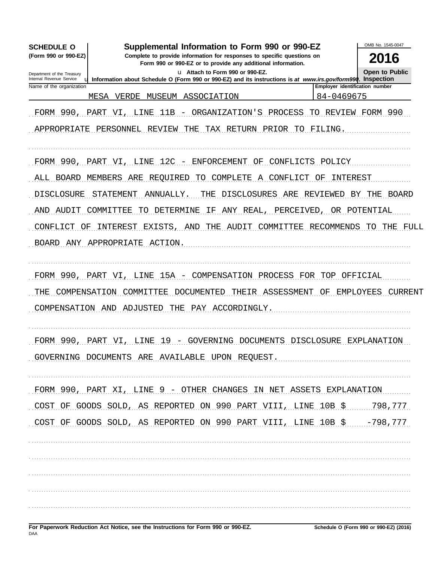| <b>SCHEDULE O</b>                                    | Supplemental Information to Form 990 or 990-EZ                                                                        |                                | OMB No. 1545-0047    |
|------------------------------------------------------|-----------------------------------------------------------------------------------------------------------------------|--------------------------------|----------------------|
| (Form 990 or 990-EZ)                                 | 2016                                                                                                                  |                                |                      |
| Department of the Treasury                           | <b>Open to Public</b>                                                                                                 |                                |                      |
| Internal Revenue Service<br>Name of the organization | <b>u</b> Information about Schedule O (Form 990 or 990-EZ) and its instructions is at www.irs.gov/form990. Inspection | Employer identification number |                      |
|                                                      | MESA<br>MUSEUM ASSOCIATION<br><b>VERDE</b>                                                                            | 84-0469675                     |                      |
| FORM 990, PART VI, LINE                              | 11B<br>ORGANIZATION'S PROCESS<br>$\overline{\phantom{m}}$                                                             | TO.<br>REVIEW                  | FORM 990             |
| APPROPRIATE                                          | PERSONNEL REVIEW<br>THE<br>TAX RETURN PRIOR TO FILING.                                                                |                                |                      |
| FORM 990,                                            | 12C - ENFORCEMENT<br>ΟF<br>PART VI, LINE                                                                              | CONFLICTS POLICY               |                      |
| ALL BOARD                                            | REQUIRED<br>MEMBERS<br>ARE<br>TО<br>COMPLETE<br>A                                                                     | CONFLICT<br>ΟF<br>INTEREST     |                      |
| <b>DISCLOSURE</b>                                    | DISCLOSURES ARE<br>STATEMENT<br>ANNUALLY<br>THE                                                                       | REVIEWED<br>BY                 | BOARD<br>THE         |
| AND<br>AUDIT                                         | DETERMINE<br>ANY REAL,<br>COMMITTEE<br>TO<br>ΙF                                                                       | PERCEIVED                      | OR POTENTIAL         |
| CONFLICT<br>OF                                       | INTEREST<br>EXISTS,<br>THE<br>AND<br>AUDIT                                                                            | COMMITTEE RECOMMENDS           | TO<br>THE FULL       |
|                                                      |                                                                                                                       |                                |                      |
| BOARD ANY APPROPRIATE                                | ACTION.                                                                                                               |                                |                      |
| FORM 990,                                            | 15A - COMPENSATION PROCESS FOR TOP<br>PART VI, LINE                                                                   |                                | OFFICIAL             |
| THE<br>COMPENSATION                                  | THEIR ASSESSMENT<br>COMMITTEE<br>DOCUMENTED                                                                           | ΟF                             | CURRENT<br>EMPLOYEES |
|                                                      | COMPENSATION AND ADJUSTED<br>THE<br>PAY ACCORDINGLY.                                                                  |                                |                      |
|                                                      |                                                                                                                       |                                |                      |
|                                                      | FORM 990, PART VI, LINE 19 - GOVERNING DOCUMENTS                                                                      | DISCLOSURE EXPLANATION         |                      |
|                                                      | GOVERNING DOCUMENTS ARE AVAILABLE UPON REQUEST.                                                                       |                                |                      |
|                                                      | FORM 990, PART XI, LINE 9 - OTHER CHANGES IN NET ASSETS EXPLANATION                                                   |                                |                      |
|                                                      | COST OF GOODS SOLD, AS REPORTED ON 990 PART VIII, LINE 10B \$ 798,777                                                 |                                |                      |
|                                                      | COST OF GOODS SOLD, AS REPORTED ON 990 PART VIII, LINE 10B $$$ -798,777                                               |                                |                      |
|                                                      |                                                                                                                       |                                |                      |
|                                                      |                                                                                                                       |                                |                      |
|                                                      |                                                                                                                       |                                |                      |
|                                                      |                                                                                                                       |                                |                      |
|                                                      |                                                                                                                       |                                |                      |
|                                                      |                                                                                                                       |                                |                      |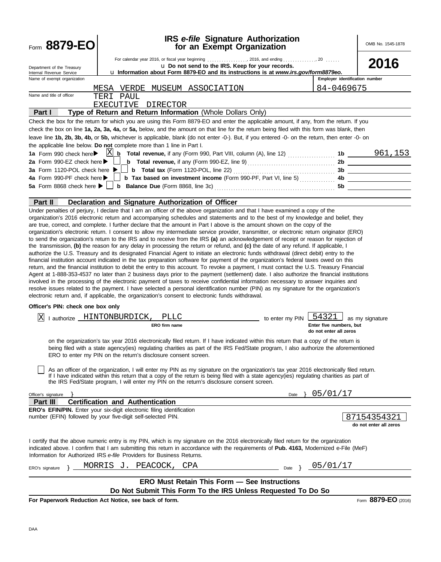| Form 8879-EO                                                                                                                                 |                                                                | <b>IRS</b> e-file Signature Authorization<br>for an Exempt Organization                                                                                                                                                                                                                                                                                                                                                                                                                                                                                                                                                                                                                                                                                                                                                                                                                                                                                    |                 |                                                            | OMB No. 1545-1878                     |
|----------------------------------------------------------------------------------------------------------------------------------------------|----------------------------------------------------------------|------------------------------------------------------------------------------------------------------------------------------------------------------------------------------------------------------------------------------------------------------------------------------------------------------------------------------------------------------------------------------------------------------------------------------------------------------------------------------------------------------------------------------------------------------------------------------------------------------------------------------------------------------------------------------------------------------------------------------------------------------------------------------------------------------------------------------------------------------------------------------------------------------------------------------------------------------------|-----------------|------------------------------------------------------------|---------------------------------------|
|                                                                                                                                              |                                                                |                                                                                                                                                                                                                                                                                                                                                                                                                                                                                                                                                                                                                                                                                                                                                                                                                                                                                                                                                            |                 |                                                            |                                       |
| Department of the Treasury                                                                                                                   |                                                                | u Do not send to the IRS. Keep for your records.                                                                                                                                                                                                                                                                                                                                                                                                                                                                                                                                                                                                                                                                                                                                                                                                                                                                                                           |                 |                                                            | 2016                                  |
| Internal Revenue Service<br>Name of exempt organization                                                                                      |                                                                | u Information about Form 8879-EO and its instructions is at www.irs.gov/form8879eo.                                                                                                                                                                                                                                                                                                                                                                                                                                                                                                                                                                                                                                                                                                                                                                                                                                                                        |                 | Employer identification number                             |                                       |
|                                                                                                                                              |                                                                |                                                                                                                                                                                                                                                                                                                                                                                                                                                                                                                                                                                                                                                                                                                                                                                                                                                                                                                                                            |                 |                                                            |                                       |
| Name and title of officer                                                                                                                    | TERI PAUL                                                      | MESA VERDE MUSEUM ASSOCIATION                                                                                                                                                                                                                                                                                                                                                                                                                                                                                                                                                                                                                                                                                                                                                                                                                                                                                                                              |                 | 84-0469675                                                 |                                       |
|                                                                                                                                              | EXECUTIVE DIRECTOR                                             |                                                                                                                                                                                                                                                                                                                                                                                                                                                                                                                                                                                                                                                                                                                                                                                                                                                                                                                                                            |                 |                                                            |                                       |
| Part I                                                                                                                                       |                                                                | Type of Return and Return Information (Whole Dollars Only)                                                                                                                                                                                                                                                                                                                                                                                                                                                                                                                                                                                                                                                                                                                                                                                                                                                                                                 |                 |                                                            |                                       |
|                                                                                                                                              |                                                                | Check the box for the return for which you are using this Form 8879-EO and enter the applicable amount, if any, from the return. If you                                                                                                                                                                                                                                                                                                                                                                                                                                                                                                                                                                                                                                                                                                                                                                                                                    |                 |                                                            |                                       |
|                                                                                                                                              |                                                                | check the box on line 1a, 2a, 3a, 4a, or 5a, below, and the amount on that line for the return being filed with this form was blank, then                                                                                                                                                                                                                                                                                                                                                                                                                                                                                                                                                                                                                                                                                                                                                                                                                  |                 |                                                            |                                       |
|                                                                                                                                              |                                                                | leave line 1b, 2b, 3b, 4b, or 5b, whichever is applicable, blank (do not enter -0-). But, if you entered -0- on the return, then enter -0- on                                                                                                                                                                                                                                                                                                                                                                                                                                                                                                                                                                                                                                                                                                                                                                                                              |                 |                                                            |                                       |
| the applicable line below. Do not complete more than 1 line in Part I.                                                                       |                                                                |                                                                                                                                                                                                                                                                                                                                                                                                                                                                                                                                                                                                                                                                                                                                                                                                                                                                                                                                                            |                 |                                                            |                                       |
| 1a Form 990 check here $\blacktriangleright$ $\mathbb{X}$                                                                                    |                                                                | $\mu$ Total revenue, if any (Form 990, Part VIII, column (A), line 12) $\mu$ , $\mu$ 15 $\mu$ 15 $\mu$                                                                                                                                                                                                                                                                                                                                                                                                                                                                                                                                                                                                                                                                                                                                                                                                                                                     |                 |                                                            |                                       |
| 2a Form 990-EZ check here $\blacktriangleright$                                                                                              |                                                                |                                                                                                                                                                                                                                                                                                                                                                                                                                                                                                                                                                                                                                                                                                                                                                                                                                                                                                                                                            |                 |                                                            |                                       |
| 3a Form 1120-POL check here ▶                                                                                                                |                                                                |                                                                                                                                                                                                                                                                                                                                                                                                                                                                                                                                                                                                                                                                                                                                                                                                                                                                                                                                                            |                 |                                                            |                                       |
| 4a Form 990-PF check here ▶                                                                                                                  |                                                                |                                                                                                                                                                                                                                                                                                                                                                                                                                                                                                                                                                                                                                                                                                                                                                                                                                                                                                                                                            |                 |                                                            |                                       |
|                                                                                                                                              |                                                                |                                                                                                                                                                                                                                                                                                                                                                                                                                                                                                                                                                                                                                                                                                                                                                                                                                                                                                                                                            |                 |                                                            |                                       |
| <b>Part II</b>                                                                                                                               |                                                                | Declaration and Signature Authorization of Officer                                                                                                                                                                                                                                                                                                                                                                                                                                                                                                                                                                                                                                                                                                                                                                                                                                                                                                         |                 |                                                            |                                       |
|                                                                                                                                              |                                                                | Under penalties of perjury, I declare that I am an officer of the above organization and that I have examined a copy of the                                                                                                                                                                                                                                                                                                                                                                                                                                                                                                                                                                                                                                                                                                                                                                                                                                |                 |                                                            |                                       |
|                                                                                                                                              |                                                                | authorize the U.S. Treasury and its designated Financial Agent to initiate an electronic funds withdrawal (direct debit) entry to the<br>financial institution account indicated in the tax preparation software for payment of the organization's federal taxes owed on this<br>return, and the financial institution to debit the entry to this account. To revoke a payment, I must contact the U.S. Treasury Financial<br>Agent at 1-888-353-4537 no later than 2 business days prior to the payment (settlement) date. I also authorize the financial institutions<br>involved in the processing of the electronic payment of taxes to receive confidential information necessary to answer inquiries and<br>resolve issues related to the payment. I have selected a personal identification number (PIN) as my signature for the organization's<br>electronic return and, if applicable, the organization's consent to electronic funds withdrawal. |                 |                                                            |                                       |
| Officer's PIN: check one box only                                                                                                            |                                                                |                                                                                                                                                                                                                                                                                                                                                                                                                                                                                                                                                                                                                                                                                                                                                                                                                                                                                                                                                            |                 |                                                            |                                       |
|                                                                                                                                              |                                                                |                                                                                                                                                                                                                                                                                                                                                                                                                                                                                                                                                                                                                                                                                                                                                                                                                                                                                                                                                            |                 |                                                            |                                       |
| lxl                                                                                                                                          | I authorize HINTONBURDICK,<br>ERO firm name                    | PLLC                                                                                                                                                                                                                                                                                                                                                                                                                                                                                                                                                                                                                                                                                                                                                                                                                                                                                                                                                       | to enter my PIN | 54321<br>Enter five numbers, but<br>do not enter all zeros | as my signature                       |
|                                                                                                                                              | ERO to enter my PIN on the return's disclosure consent screen. | on the organization's tax year 2016 electronically filed return. If I have indicated within this return that a copy of the return is<br>being filed with a state agency(ies) regulating charities as part of the IRS Fed/State program, I also authorize the aforementioned                                                                                                                                                                                                                                                                                                                                                                                                                                                                                                                                                                                                                                                                                |                 |                                                            |                                       |
|                                                                                                                                              |                                                                | As an officer of the organization, I will enter my PIN as my signature on the organization's tax year 2016 electronically filed return.<br>If I have indicated within this return that a copy of the return is being filed with a state agency(ies) regulating charities as part of<br>the IRS Fed/State program, I will enter my PIN on the return's disclosure consent screen.                                                                                                                                                                                                                                                                                                                                                                                                                                                                                                                                                                           |                 |                                                            |                                       |
| Officer's signature                                                                                                                          |                                                                |                                                                                                                                                                                                                                                                                                                                                                                                                                                                                                                                                                                                                                                                                                                                                                                                                                                                                                                                                            | Date            | 05/01/17                                                   |                                       |
| Part III                                                                                                                                     | <b>Certification and Authentication</b>                        |                                                                                                                                                                                                                                                                                                                                                                                                                                                                                                                                                                                                                                                                                                                                                                                                                                                                                                                                                            |                 |                                                            |                                       |
| <b>ERO's EFIN/PIN.</b> Enter your six-digit electronic filing identification<br>number (EFIN) followed by your five-digit self-selected PIN. |                                                                |                                                                                                                                                                                                                                                                                                                                                                                                                                                                                                                                                                                                                                                                                                                                                                                                                                                                                                                                                            |                 |                                                            | 87154354321<br>do not enter all zeros |
| Information for Authorized IRS e-file Providers for Business Returns.                                                                        |                                                                | I certify that the above numeric entry is my PIN, which is my signature on the 2016 electronically filed return for the organization<br>indicated above. I confirm that I am submitting this return in accordance with the requirements of Pub. 4163, Modernized e-File (MeF)                                                                                                                                                                                                                                                                                                                                                                                                                                                                                                                                                                                                                                                                              |                 |                                                            |                                       |
| ERO's signature                                                                                                                              | MORRIS J.<br>PEACOCK,                                          | CPA                                                                                                                                                                                                                                                                                                                                                                                                                                                                                                                                                                                                                                                                                                                                                                                                                                                                                                                                                        | Date }          | 05/01/17                                                   |                                       |
|                                                                                                                                              |                                                                | <b>ERO Must Retain This Form - See Instructions</b><br>Do Not Submit This Form To the IRS Unless Requested To Do So                                                                                                                                                                                                                                                                                                                                                                                                                                                                                                                                                                                                                                                                                                                                                                                                                                        |                 |                                                            |                                       |
|                                                                                                                                              |                                                                |                                                                                                                                                                                                                                                                                                                                                                                                                                                                                                                                                                                                                                                                                                                                                                                                                                                                                                                                                            |                 |                                                            | r                                     |

**For Paperwork Reduction Act Notice, see back of form.**

Form **8879-EO** (2016)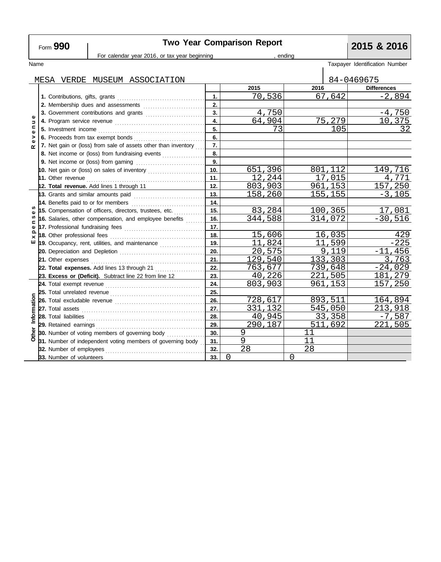# **Two Year Comparison Report**<br> **2015 & 2016**<br> **2016**<br> **2016**

|                                       | Form JJU                                                       |                                                                            |                  |          |         |                      | ZUIJ U ZUIU                    |
|---------------------------------------|----------------------------------------------------------------|----------------------------------------------------------------------------|------------------|----------|---------|----------------------|--------------------------------|
|                                       |                                                                | For calendar year 2016, or tax year beginning                              |                  | endina   |         |                      |                                |
| Name                                  |                                                                |                                                                            |                  |          |         |                      | Taxpayer Identification Number |
|                                       |                                                                | MESA VERDE MUSEUM ASSOCIATION                                              |                  |          |         |                      | 84-0469675                     |
|                                       |                                                                |                                                                            |                  | 2015     | 2016    |                      | <b>Differences</b>             |
|                                       |                                                                |                                                                            | 1.               | 70,536   |         | $\overline{6}$ 7,642 | $-2,894$                       |
|                                       |                                                                |                                                                            | 2.               |          |         |                      |                                |
|                                       | 3. Government contributions and grants                         |                                                                            | $\overline{3}$ . | 4,750    |         |                      | $-4,750$                       |
| Φ<br>$\Rightarrow$                    |                                                                |                                                                            | 4.               | 64,904   | 75,279  |                      | 10,375                         |
| $\mathbf{C}$<br>Φ<br>><br>œ           |                                                                |                                                                            | 5.               | 73       | 105     |                      | 32                             |
|                                       |                                                                |                                                                            | 6.               |          |         |                      |                                |
|                                       | 7. Net gain or (loss) from sale of assets other than inventory |                                                                            | $\overline{7}$ . |          |         |                      |                                |
|                                       |                                                                |                                                                            | 8.               |          |         |                      |                                |
|                                       |                                                                |                                                                            |                  |          |         |                      |                                |
|                                       |                                                                |                                                                            |                  | 651,396  | 801,112 |                      | 149,716                        |
|                                       |                                                                |                                                                            |                  | 12,244   | 17,015  |                      | 4,771                          |
|                                       |                                                                | 12. Total revenue. Add lines 1 through 11                                  |                  | 803,903  | 961,153 |                      | 157,250                        |
|                                       |                                                                | 13. Grants and similar amounts paid                                        | 13.              | 158,260  |         | 155,155              | $-3,105$                       |
|                                       |                                                                | 14. Benefits paid to or for members                                        |                  |          |         |                      |                                |
| w<br>w<br>$\mathbf{C}$<br>Φ<br>௨<br>× | 15. Compensation of officers, directors, trustees, etc.        |                                                                            | 15.              | 83,284   |         | 100,365              | 17,081                         |
|                                       |                                                                | 16. Salaries, other compensation, and employee benefits                    |                  | 344,588  |         | 314,072              | $-30,516$                      |
|                                       |                                                                | 17. Professional fundraising fees                                          |                  |          |         |                      |                                |
|                                       |                                                                | 18. Other professional fees                                                | 18.              | 15,606   |         | 16,035               | 429                            |
| ш                                     |                                                                | 19. Occupancy, rent, utilities, and maintenance <i>[[[[[[[[[[[[[[[]]]]</i> | 19.              | 11,824   |         | 11,599               | $-225$                         |
|                                       |                                                                |                                                                            |                  | 20,575   | 9.119   |                      | $-11,456$                      |
|                                       |                                                                | 21. Other expenses                                                         |                  | 129,540  | 133,303 |                      | 3,763                          |
|                                       |                                                                | 22. Total expenses. Add lines 13 through 21                                | 22.              | 763,677  |         | 739,648              | $-24,029$                      |
|                                       |                                                                | 23. Excess or (Deficit). Subtract line 22 from line 12                     | 23.              | 40,226   |         | 221,505              | 181,279                        |
|                                       |                                                                |                                                                            | 24.              | 803,903  |         | 961,153              | 157,250                        |
|                                       |                                                                |                                                                            | 25.              |          |         |                      |                                |
|                                       |                                                                |                                                                            | 26.              | 728,617  |         | 893,511              | 164,894                        |
| Information                           |                                                                |                                                                            | 27.              | 331,132  |         | 545,050              | 213,918                        |
|                                       | 28. Total liabilities                                          |                                                                            | 28.              | 40,945   |         | 33,358               | <u>-7,587</u>                  |
| Other                                 | 29. Retained earnings                                          |                                                                            | 29.              | 290,187  |         | 511,692              | 221,505                        |
|                                       |                                                                | 30. Number of voting members of governing body                             | 30.              | 9        | 11      |                      |                                |
|                                       |                                                                | 31. Number of independent voting members of governing body                 | 31.              | 9        | 11      |                      |                                |
|                                       | 32. Number of employees                                        |                                                                            | 32.              | 28       | 28      |                      |                                |
|                                       | 33. Number of volunteers                                       |                                                                            | 33.              | $\Omega$ | 0       |                      |                                |